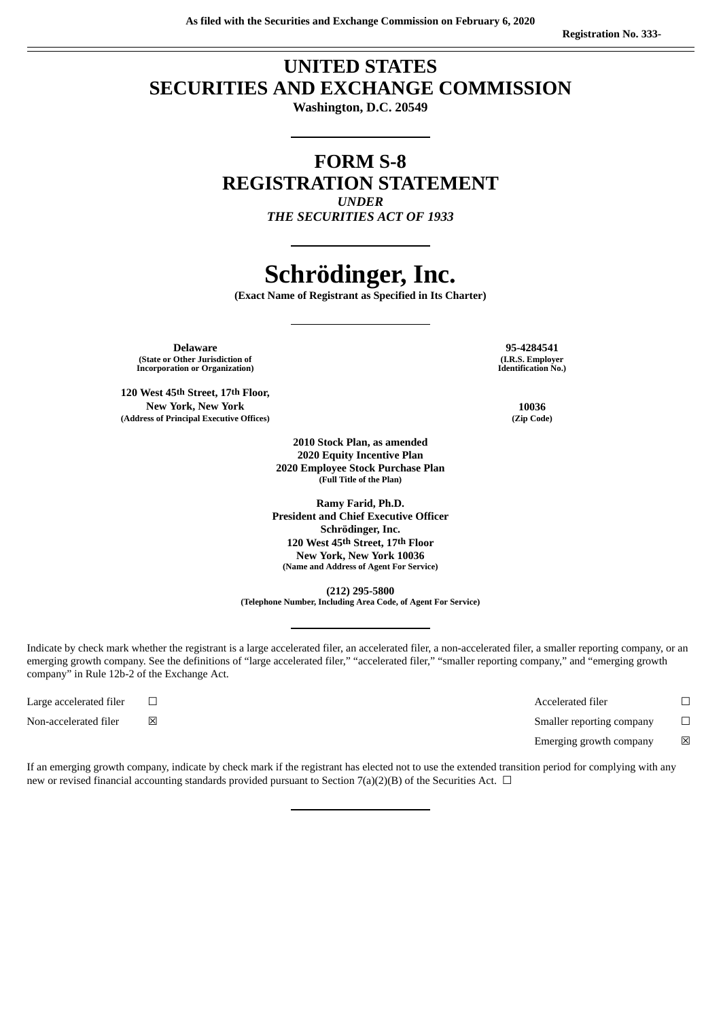## **UNITED STATES SECURITIES AND EXCHANGE COMMISSION**

**Washington, D.C. 20549**

## **FORM S-8 REGISTRATION STATEMENT** *UNDER*

*THE SECURITIES ACT OF 1933*

# **Schrödinger, Inc.**

**(Exact Name of Registrant as Specified in Its Charter)**

**Delaware 95-4284541 (State or Other Jurisdiction of Incorporation or Organization)**

**120 West 45th Street, 17th Floor, New York, New York 10036 (Address of Principal Executive Offices) (Zip Code)**

**(I.R.S. Employer Identification No.)**

 **Stock Plan, as amended Equity Incentive Plan Employee Stock Purchase Plan (Full Title of the Plan)**

**Ramy Farid, Ph.D. President and Chief Executive Officer Schrödinger, Inc. 120 West 45th Street, 17th Floor New York, New York 10036 (Name and Address of Agent For Service)**

**(212) 295-5800 (Telephone Number, Including Area Code, of Agent For Service)**

Indicate by check mark whether the registrant is a large accelerated filer, an accelerated filer, a non-accelerated filer, a smaller reporting company, or an emerging growth company. See the definitions of "large accelerated filer," "accelerated filer," "smaller reporting company," and "emerging growth company" in Rule 12b-2 of the Exchange Act.

Large accelerated filer ☐ Accelerated filer ☐ Non-accelerated filer **⊠** △ Smaller reporting company <del>□</del> Emerging growth company  $\boxtimes$ 

If an emerging growth company, indicate by check mark if the registrant has elected not to use the extended transition period for complying with any new or revised financial accounting standards provided pursuant to Section 7(a)(2)(B) of the Securities Act.  $\Box$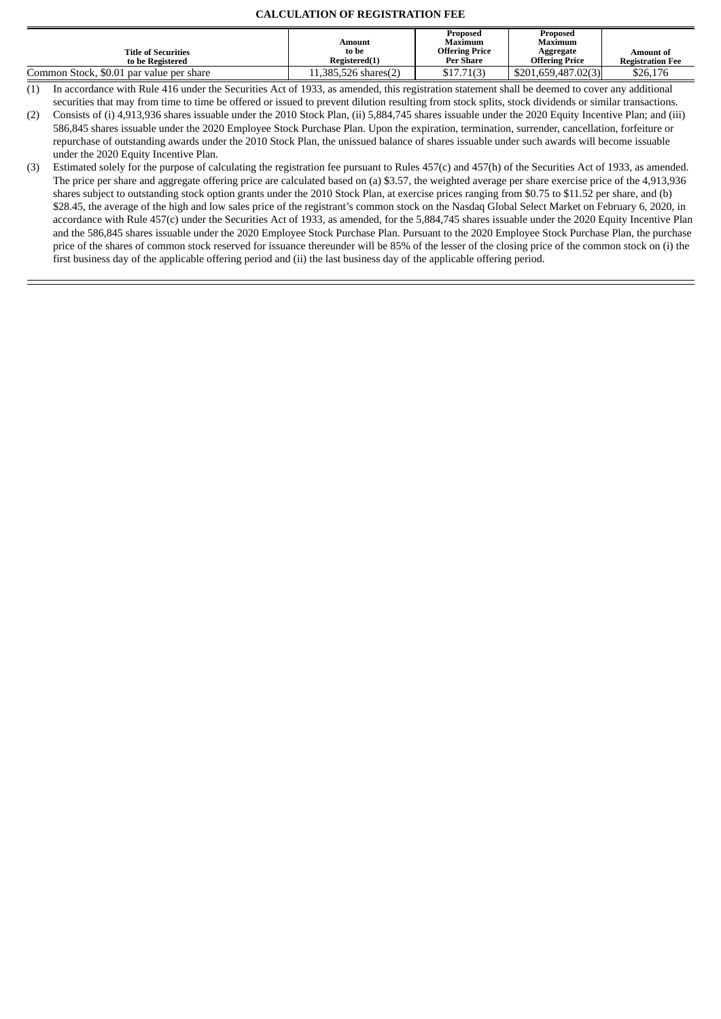#### **CALCULATION OF REGISTRATION FEE**

|                                                |                        | <b>Proposed</b>                    | Proposed                           |                                      |
|------------------------------------------------|------------------------|------------------------------------|------------------------------------|--------------------------------------|
|                                                | Amount                 | Maximum                            | Maximum                            |                                      |
| <b>Title of Securities</b><br>to be Registered | to be<br>Registered(1) | <b>Offering Price</b><br>Per Share | Aggregate<br><b>Offering Price</b> | Amount of<br><b>Registration Fee</b> |
| Common Stock, \$0.01 par value per share       | 11,385,526 shares(2)   | \$17.71(3)                         | \$201.659.487.02(3)                | \$26,176                             |

 $(1)$  In accordance with Rule 416 under the Securities Act of 1933, as amended, this registration statement shall be deemed to cover any additional securities that may from time to time be offered or issued to prevent dilution resulting from stock splits, stock dividends or similar transactions.

(2) Consists of (i) 4,913,936 shares issuable under the 2010 Stock Plan, (ii) 5,884,745 shares issuable under the 2020 Equity Incentive Plan; and (iii) 586,845 shares issuable under the 2020 Employee Stock Purchase Plan. Upon the expiration, termination, surrender, cancellation, forfeiture or repurchase of outstanding awards under the 2010 Stock Plan, the unissued balance of shares issuable under such awards will become issuable under the 2020 Equity Incentive Plan.

(3) Estimated solely for the purpose of calculating the registration fee pursuant to Rules 457(c) and 457(h) of the Securities Act of 1933, as amended. The price per share and aggregate offering price are calculated based on (a) \$3.57, the weighted average per share exercise price of the 4,913,936 shares subject to outstanding stock option grants under the 2010 Stock Plan, at exercise prices ranging from \$0.75 to \$11.52 per share, and (b) \$28.45, the average of the high and low sales price of the registrant's common stock on the Nasdaq Global Select Market on February 6, 2020, in accordance with Rule 457(c) under the Securities Act of 1933, as amended, for the 5,884,745 shares issuable under the 2020 Equity Incentive Plan and the 586,845 shares issuable under the 2020 Employee Stock Purchase Plan. Pursuant to the 2020 Employee Stock Purchase Plan, the purchase price of the shares of common stock reserved for issuance thereunder will be 85% of the lesser of the closing price of the common stock on (i) the first business day of the applicable offering period and (ii) the last business day of the applicable offering period.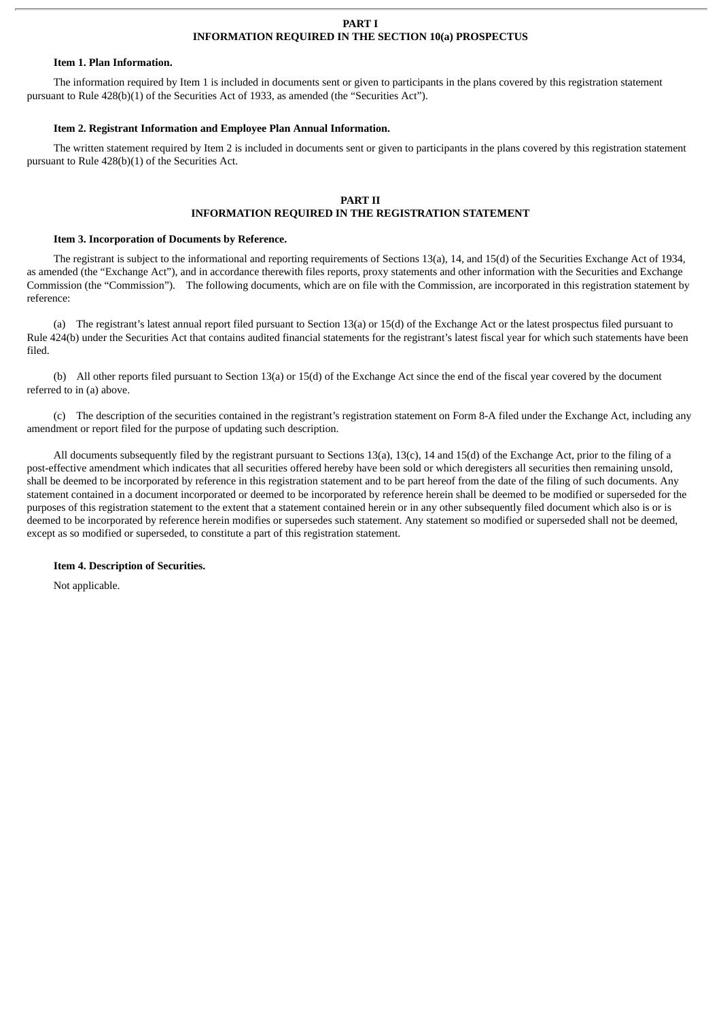#### **PART I INFORMATION REQUIRED IN THE SECTION 10(a) PROSPECTUS**

#### **Item 1. Plan Information.**

The information required by Item 1 is included in documents sent or given to participants in the plans covered by this registration statement pursuant to Rule 428(b)(1) of the Securities Act of 1933, as amended (the "Securities Act").

#### **Item 2. Registrant Information and Employee Plan Annual Information.**

The written statement required by Item 2 is included in documents sent or given to participants in the plans covered by this registration statement pursuant to Rule 428(b)(1) of the Securities Act.

#### **PART II**

#### **INFORMATION REQUIRED IN THE REGISTRATION STATEMENT**

#### **Item 3. Incorporation of Documents by Reference.**

The registrant is subject to the informational and reporting requirements of Sections 13(a), 14, and 15(d) of the Securities Exchange Act of 1934, as amended (the "Exchange Act"), and in accordance therewith files reports, proxy statements and other information with the Securities and Exchange Commission (the "Commission"). The following documents, which are on file with the Commission, are incorporated in this registration statement by reference:

(a) The registrant's latest annual report filed pursuant to Section 13(a) or 15(d) of the Exchange Act or the latest prospectus filed pursuant to Rule 424(b) under the Securities Act that contains audited financial statements for the registrant's latest fiscal year for which such statements have been filed.

(b) All other reports filed pursuant to Section 13(a) or 15(d) of the Exchange Act since the end of the fiscal year covered by the document referred to in (a) above.

(c) The description of the securities contained in the registrant's registration statement on Form 8-A filed under the Exchange Act, including any amendment or report filed for the purpose of updating such description.

All documents subsequently filed by the registrant pursuant to Sections 13(a), 13(c), 14 and 15(d) of the Exchange Act, prior to the filing of a post-effective amendment which indicates that all securities offered hereby have been sold or which deregisters all securities then remaining unsold, shall be deemed to be incorporated by reference in this registration statement and to be part hereof from the date of the filing of such documents. Any statement contained in a document incorporated or deemed to be incorporated by reference herein shall be deemed to be modified or superseded for the purposes of this registration statement to the extent that a statement contained herein or in any other subsequently filed document which also is or is deemed to be incorporated by reference herein modifies or supersedes such statement. Any statement so modified or superseded shall not be deemed, except as so modified or superseded, to constitute a part of this registration statement.

#### **Item 4. Description of Securities.**

Not applicable.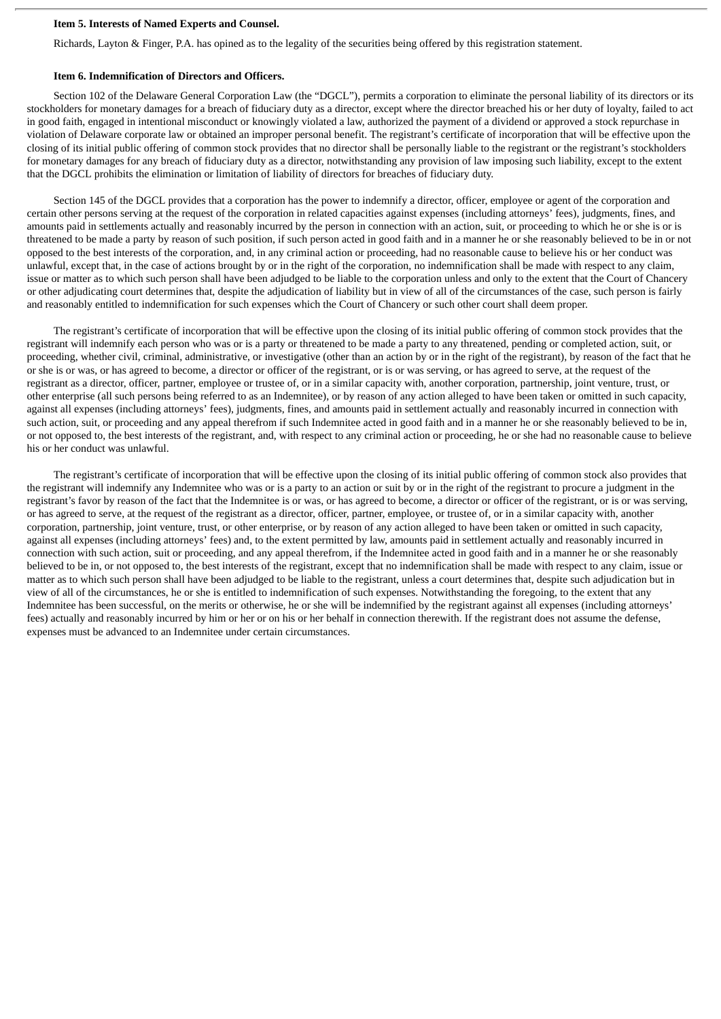#### **Item 5. Interests of Named Experts and Counsel.**

Richards, Layton & Finger, P.A. has opined as to the legality of the securities being offered by this registration statement.

#### **Item 6. Indemnification of Directors and Officers.**

Section 102 of the Delaware General Corporation Law (the "DGCL"), permits a corporation to eliminate the personal liability of its directors or its stockholders for monetary damages for a breach of fiduciary duty as a director, except where the director breached his or her duty of loyalty, failed to act in good faith, engaged in intentional misconduct or knowingly violated a law, authorized the payment of a dividend or approved a stock repurchase in violation of Delaware corporate law or obtained an improper personal benefit. The registrant's certificate of incorporation that will be effective upon the closing of its initial public offering of common stock provides that no director shall be personally liable to the registrant or the registrant's stockholders for monetary damages for any breach of fiduciary duty as a director, notwithstanding any provision of law imposing such liability, except to the extent that the DGCL prohibits the elimination or limitation of liability of directors for breaches of fiduciary duty.

Section 145 of the DGCL provides that a corporation has the power to indemnify a director, officer, employee or agent of the corporation and certain other persons serving at the request of the corporation in related capacities against expenses (including attorneys' fees), judgments, fines, and amounts paid in settlements actually and reasonably incurred by the person in connection with an action, suit, or proceeding to which he or she is or is threatened to be made a party by reason of such position, if such person acted in good faith and in a manner he or she reasonably believed to be in or not opposed to the best interests of the corporation, and, in any criminal action or proceeding, had no reasonable cause to believe his or her conduct was unlawful, except that, in the case of actions brought by or in the right of the corporation, no indemnification shall be made with respect to any claim, issue or matter as to which such person shall have been adjudged to be liable to the corporation unless and only to the extent that the Court of Chancery or other adjudicating court determines that, despite the adjudication of liability but in view of all of the circumstances of the case, such person is fairly and reasonably entitled to indemnification for such expenses which the Court of Chancery or such other court shall deem proper.

The registrant's certificate of incorporation that will be effective upon the closing of its initial public offering of common stock provides that the registrant will indemnify each person who was or is a party or threatened to be made a party to any threatened, pending or completed action, suit, or proceeding, whether civil, criminal, administrative, or investigative (other than an action by or in the right of the registrant), by reason of the fact that he or she is or was, or has agreed to become, a director or officer of the registrant, or is or was serving, or has agreed to serve, at the request of the registrant as a director, officer, partner, employee or trustee of, or in a similar capacity with, another corporation, partnership, joint venture, trust, or other enterprise (all such persons being referred to as an Indemnitee), or by reason of any action alleged to have been taken or omitted in such capacity, against all expenses (including attorneys' fees), judgments, fines, and amounts paid in settlement actually and reasonably incurred in connection with such action, suit, or proceeding and any appeal therefrom if such Indemnitee acted in good faith and in a manner he or she reasonably believed to be in, or not opposed to, the best interests of the registrant, and, with respect to any criminal action or proceeding, he or she had no reasonable cause to believe his or her conduct was unlawful.

The registrant's certificate of incorporation that will be effective upon the closing of its initial public offering of common stock also provides that the registrant will indemnify any Indemnitee who was or is a party to an action or suit by or in the right of the registrant to procure a judgment in the registrant's favor by reason of the fact that the Indemnitee is or was, or has agreed to become, a director or officer of the registrant, or is or was serving, or has agreed to serve, at the request of the registrant as a director, officer, partner, employee, or trustee of, or in a similar capacity with, another corporation, partnership, joint venture, trust, or other enterprise, or by reason of any action alleged to have been taken or omitted in such capacity, against all expenses (including attorneys' fees) and, to the extent permitted by law, amounts paid in settlement actually and reasonably incurred in connection with such action, suit or proceeding, and any appeal therefrom, if the Indemnitee acted in good faith and in a manner he or she reasonably believed to be in, or not opposed to, the best interests of the registrant, except that no indemnification shall be made with respect to any claim, issue or matter as to which such person shall have been adjudged to be liable to the registrant, unless a court determines that, despite such adjudication but in view of all of the circumstances, he or she is entitled to indemnification of such expenses. Notwithstanding the foregoing, to the extent that any Indemnitee has been successful, on the merits or otherwise, he or she will be indemnified by the registrant against all expenses (including attorneys' fees) actually and reasonably incurred by him or her or on his or her behalf in connection therewith. If the registrant does not assume the defense, expenses must be advanced to an Indemnitee under certain circumstances.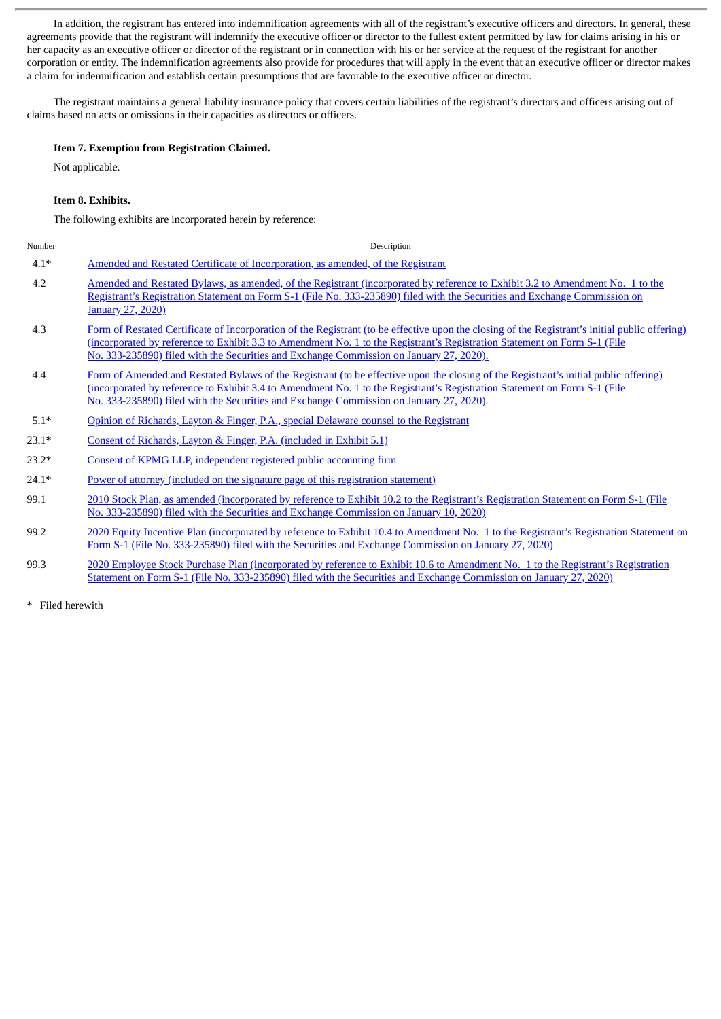In addition, the registrant has entered into indemnification agreements with all of the registrant's executive officers and directors. In general, these agreements provide that the registrant will indemnify the executive officer or director to the fullest extent permitted by law for claims arising in his or her capacity as an executive officer or director of the registrant or in connection with his or her service at the request of the registrant for another corporation or entity. The indemnification agreements also provide for procedures that will apply in the event that an executive officer or director makes a claim for indemnification and establish certain presumptions that are favorable to the executive officer or director.

The registrant maintains a general liability insurance policy that covers certain liabilities of the registrant's directors and officers arising out of claims based on acts or omissions in their capacities as directors or officers.

#### **Item 7. Exemption from Registration Claimed.**

Not applicable.

#### **Item 8. Exhibits.**

The following exhibits are incorporated herein by reference:

| Number  | Description                                                                                                                                                                                                                                                                                                                                                            |
|---------|------------------------------------------------------------------------------------------------------------------------------------------------------------------------------------------------------------------------------------------------------------------------------------------------------------------------------------------------------------------------|
| $4.1*$  | Amended and Restated Certificate of Incorporation, as amended, of the Registrant                                                                                                                                                                                                                                                                                       |
| 4.2     | Amended and Restated Bylaws, as amended, of the Registrant (incorporated by reference to Exhibit 3.2 to Amendment No. 1 to the<br>Registrant's Registration Statement on Form S-1 (File No. 333-235890) filed with the Securities and Exchange Commission on<br><b>January 27, 2020</b> )                                                                              |
| 4.3     | Form of Restated Certificate of Incorporation of the Registrant (to be effective upon the closing of the Registrant's initial public offering)<br>(incorporated by reference to Exhibit 3.3 to Amendment No. 1 to the Registrant's Registration Statement on Form S-1 (File<br>No. 333-235890) filed with the Securities and Exchange Commission on January 27, 2020). |
| 4.4     | Form of Amended and Restated Bylaws of the Registrant (to be effective upon the closing of the Registrant's initial public offering)<br>(incorporated by reference to Exhibit 3.4 to Amendment No. 1 to the Registrant's Registration Statement on Form S-1 (File<br>No. 333-235890) filed with the Securities and Exchange Commission on January 27, 2020).           |
| $5.1*$  | Opinion of Richards, Layton & Finger, P.A., special Delaware counsel to the Registrant                                                                                                                                                                                                                                                                                 |
| $23.1*$ | Consent of Richards, Layton & Finger, P.A. (included in Exhibit 5.1)                                                                                                                                                                                                                                                                                                   |
| $23.2*$ | Consent of KPMG LLP, independent registered public accounting firm                                                                                                                                                                                                                                                                                                     |

24.1\* Power of attorney (included on the signature page of this [registration](#page-6-0) statement)

99.1 2010 Stock Plan, as amended [\(incorporated](http://www.sec.gov/Archives/edgar/data/1490978/000119312520005504/d766269dex102.htm) by reference to Exhibit 10.2 to the Registrant's Registration Statement on Form S-1 (File No. 333-235890) filed with the Securities and Exchange Commission on January 10, 2020)

- 99.2 2020 Equity Incentive Plan [\(incorporated](http://www.sec.gov/Archives/edgar/data/1490978/000119312520014624/d766269dex104.htm) by reference to Exhibit 10.4 to Amendment No. 1 to the Registrant's Registration Statement on Form S-1 (File No. 333-235890) filed with the Securities and Exchange Commission on January 27, 2020)
- 99.3 2020 Employee Stock Purchase Plan [\(incorporated](http://www.sec.gov/Archives/edgar/data/1490978/000119312520014624/d766269dex106.htm) by reference to Exhibit 10.6 to Amendment No. 1 to the Registrant's Registration Statement on Form S-1 (File No. 333-235890) filed with the Securities and Exchange Commission on January 27, 2020)

\* Filed herewith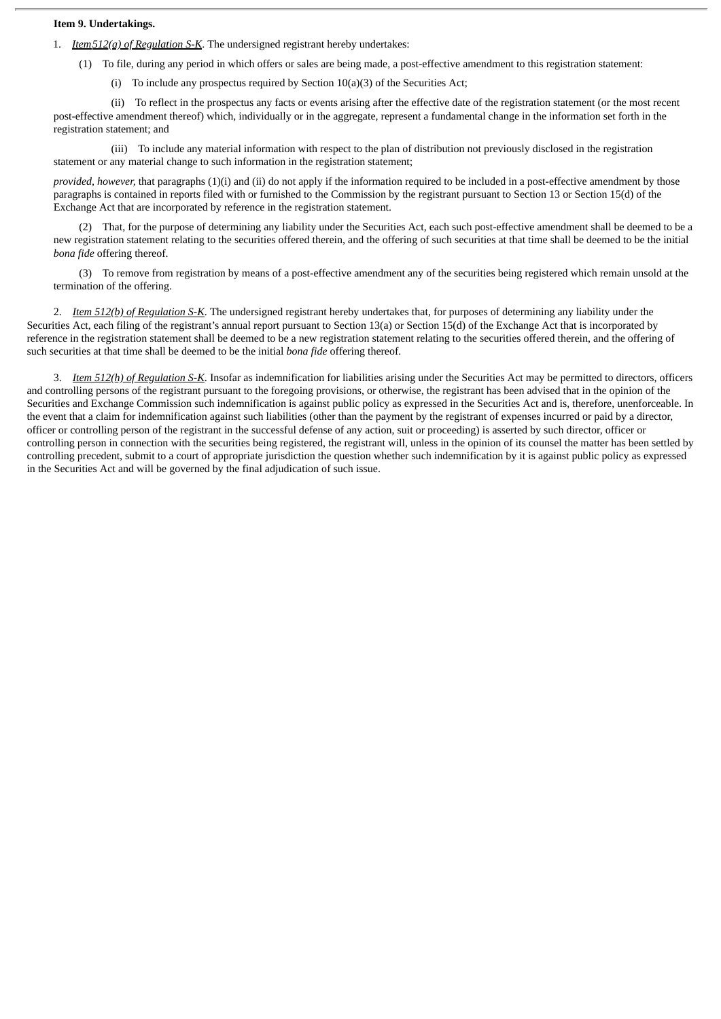#### **Item 9. Undertakings.**

- 1. *Item512(a) of Regulation S-K*. The undersigned registrant hereby undertakes:
	- (1) To file, during any period in which offers or sales are being made, a post-effective amendment to this registration statement:
		- (i) To include any prospectus required by Section 10(a)(3) of the Securities Act;

(ii) To reflect in the prospectus any facts or events arising after the effective date of the registration statement (or the most recent post-effective amendment thereof) which, individually or in the aggregate, represent a fundamental change in the information set forth in the registration statement; and

(iii) To include any material information with respect to the plan of distribution not previously disclosed in the registration statement or any material change to such information in the registration statement;

*provided, however,* that paragraphs (1)(i) and (ii) do not apply if the information required to be included in a post-effective amendment by those paragraphs is contained in reports filed with or furnished to the Commission by the registrant pursuant to Section 13 or Section 15(d) of the Exchange Act that are incorporated by reference in the registration statement.

(2) That, for the purpose of determining any liability under the Securities Act, each such post-effective amendment shall be deemed to be a new registration statement relating to the securities offered therein, and the offering of such securities at that time shall be deemed to be the initial *bona fide* offering thereof.

(3) To remove from registration by means of a post-effective amendment any of the securities being registered which remain unsold at the termination of the offering.

2. *Item 512(b) of Regulation S-K*. The undersigned registrant hereby undertakes that, for purposes of determining any liability under the Securities Act, each filing of the registrant's annual report pursuant to Section 13(a) or Section 15(d) of the Exchange Act that is incorporated by reference in the registration statement shall be deemed to be a new registration statement relating to the securities offered therein, and the offering of such securities at that time shall be deemed to be the initial *bona fide* offering thereof.

3. *Item 512(h) of Regulation S-K*. Insofar as indemnification for liabilities arising under the Securities Act may be permitted to directors, officers and controlling persons of the registrant pursuant to the foregoing provisions, or otherwise, the registrant has been advised that in the opinion of the Securities and Exchange Commission such indemnification is against public policy as expressed in the Securities Act and is, therefore, unenforceable. In the event that a claim for indemnification against such liabilities (other than the payment by the registrant of expenses incurred or paid by a director, officer or controlling person of the registrant in the successful defense of any action, suit or proceeding) is asserted by such director, officer or controlling person in connection with the securities being registered, the registrant will, unless in the opinion of its counsel the matter has been settled by controlling precedent, submit to a court of appropriate jurisdiction the question whether such indemnification by it is against public policy as expressed in the Securities Act and will be governed by the final adjudication of such issue.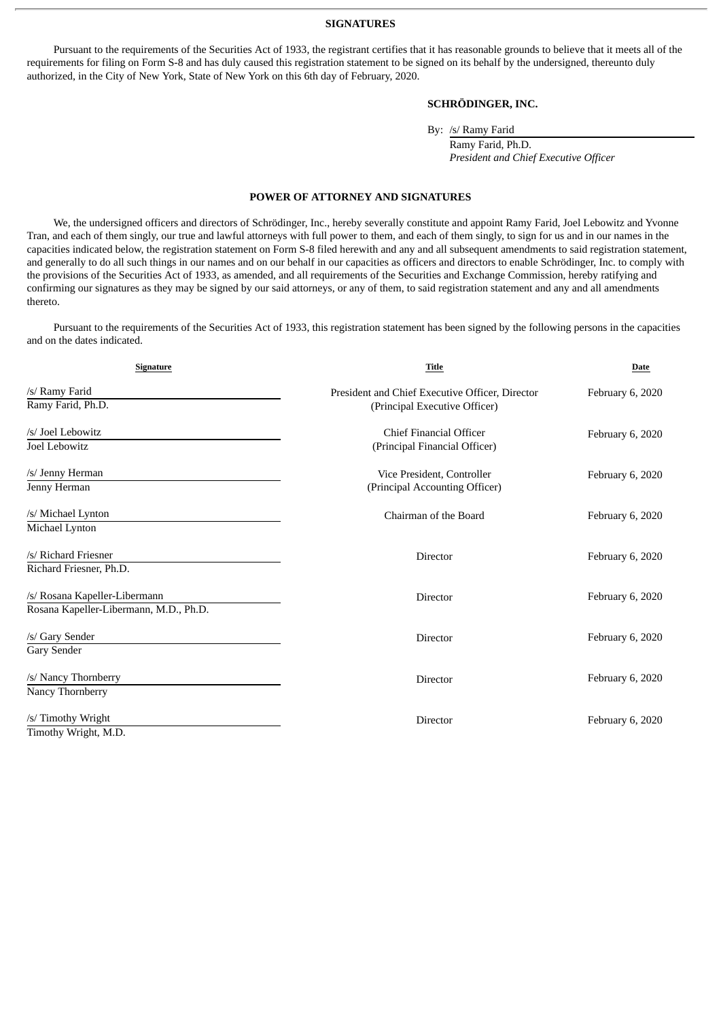#### **SIGNATURES**

Pursuant to the requirements of the Securities Act of 1933, the registrant certifies that it has reasonable grounds to believe that it meets all of the requirements for filing on Form S-8 and has duly caused this registration statement to be signed on its behalf by the undersigned, thereunto duly authorized, in the City of New York, State of New York on this 6th day of February, 2020.

#### **SCHRÖDINGER, INC.**

By: /s/ Ramy Farid

Ramy Farid, Ph.D. *President and Chief Executive Officer*

#### **POWER OF ATTORNEY AND SIGNATURES**

<span id="page-6-0"></span>We, the undersigned officers and directors of Schrödinger, Inc., hereby severally constitute and appoint Ramy Farid, Joel Lebowitz and Yvonne Tran, and each of them singly, our true and lawful attorneys with full power to them, and each of them singly, to sign for us and in our names in the capacities indicated below, the registration statement on Form S-8 filed herewith and any and all subsequent amendments to said registration statement, and generally to do all such things in our names and on our behalf in our capacities as officers and directors to enable Schrödinger, Inc. to comply with the provisions of the Securities Act of 1933, as amended, and all requirements of the Securities and Exchange Commission, hereby ratifying and confirming our signatures as they may be signed by our said attorneys, or any of them, to said registration statement and any and all amendments thereto.

Pursuant to the requirements of the Securities Act of 1933, this registration statement has been signed by the following persons in the capacities and on the dates indicated.

| Signature                              | <b>Title</b>                                    | <b>Date</b>      |  |
|----------------------------------------|-------------------------------------------------|------------------|--|
| /s/ Ramy Farid                         | President and Chief Executive Officer, Director | February 6, 2020 |  |
| Ramy Farid, Ph.D.                      | (Principal Executive Officer)                   |                  |  |
| /s/ Joel Lebowitz                      | <b>Chief Financial Officer</b>                  | February 6, 2020 |  |
| Joel Lebowitz                          | (Principal Financial Officer)                   |                  |  |
| /s/ Jenny Herman                       | Vice President, Controller                      | February 6, 2020 |  |
| Jenny Herman                           | (Principal Accounting Officer)                  |                  |  |
| /s/ Michael Lynton                     | Chairman of the Board                           | February 6, 2020 |  |
| Michael Lynton                         |                                                 |                  |  |
| /s/ Richard Friesner                   | Director                                        | February 6, 2020 |  |
| Richard Friesner, Ph.D.                |                                                 |                  |  |
| /s/ Rosana Kapeller-Libermann          | Director                                        | February 6, 2020 |  |
| Rosana Kapeller-Libermann, M.D., Ph.D. |                                                 |                  |  |
| /s/ Gary Sender                        | <b>Director</b>                                 | February 6, 2020 |  |
| Gary Sender                            |                                                 |                  |  |
| /s/ Nancy Thornberry                   | <b>Director</b>                                 | February 6, 2020 |  |
| Nancy Thornberry                       |                                                 |                  |  |
| /s/ Timothy Wright                     | Director                                        | February 6, 2020 |  |
| Timothy Wright, M.D.                   |                                                 |                  |  |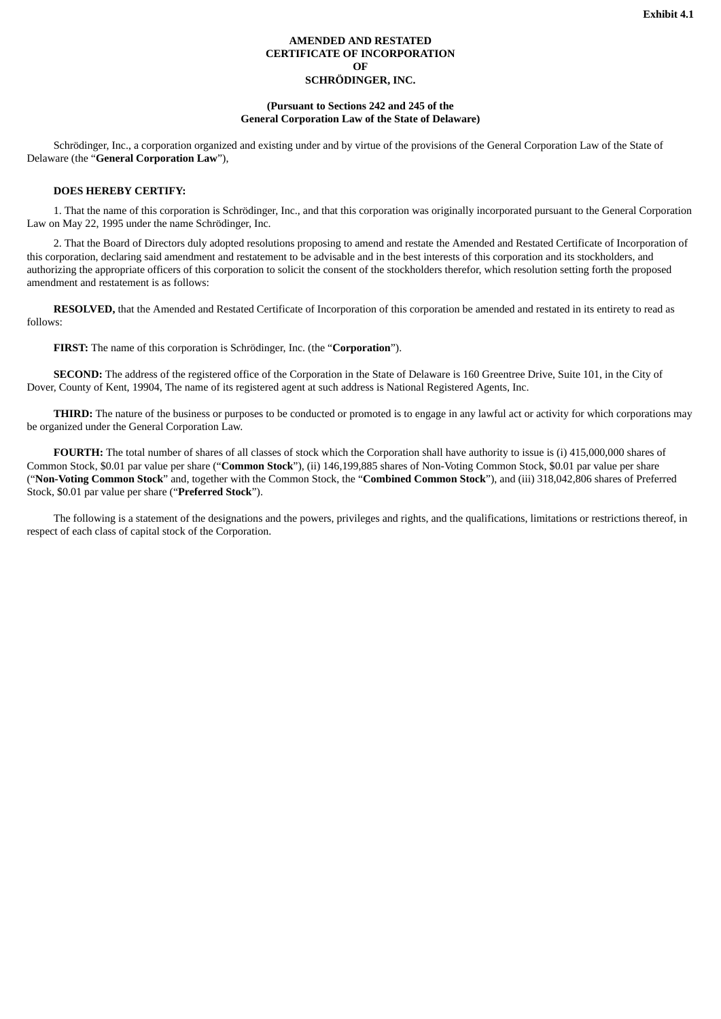#### **AMENDED AND RESTATED CERTIFICATE OF INCORPORATION OF SCHRÖDINGER, INC.**

#### **(Pursuant to Sections 242 and 245 of the General Corporation Law of the State of Delaware)**

<span id="page-7-0"></span>Schrödinger, Inc., a corporation organized and existing under and by virtue of the provisions of the General Corporation Law of the State of Delaware (the "**General Corporation Law**"),

#### **DOES HEREBY CERTIFY:**

1. That the name of this corporation is Schrödinger, Inc., and that this corporation was originally incorporated pursuant to the General Corporation Law on May 22, 1995 under the name Schrödinger, Inc.

2. That the Board of Directors duly adopted resolutions proposing to amend and restate the Amended and Restated Certificate of Incorporation of this corporation, declaring said amendment and restatement to be advisable and in the best interests of this corporation and its stockholders, and authorizing the appropriate officers of this corporation to solicit the consent of the stockholders therefor, which resolution setting forth the proposed amendment and restatement is as follows:

**RESOLVED,** that the Amended and Restated Certificate of Incorporation of this corporation be amended and restated in its entirety to read as follows:

**FIRST:** The name of this corporation is Schrödinger, Inc. (the "**Corporation**").

**SECOND:** The address of the registered office of the Corporation in the State of Delaware is 160 Greentree Drive, Suite 101, in the City of Dover, County of Kent, 19904, The name of its registered agent at such address is National Registered Agents, Inc.

**THIRD:** The nature of the business or purposes to be conducted or promoted is to engage in any lawful act or activity for which corporations may be organized under the General Corporation Law.

**FOURTH:** The total number of shares of all classes of stock which the Corporation shall have authority to issue is (i) 415,000,000 shares of Common Stock, \$0.01 par value per share ("**Common Stock**"), (ii) 146,199,885 shares of Non-Voting Common Stock, \$0.01 par value per share ("**Non-Voting Common Stock**" and, together with the Common Stock, the "**Combined Common Stock**"), and (iii) 318,042,806 shares of Preferred Stock, \$0.01 par value per share ("**Preferred Stock**").

The following is a statement of the designations and the powers, privileges and rights, and the qualifications, limitations or restrictions thereof, in respect of each class of capital stock of the Corporation.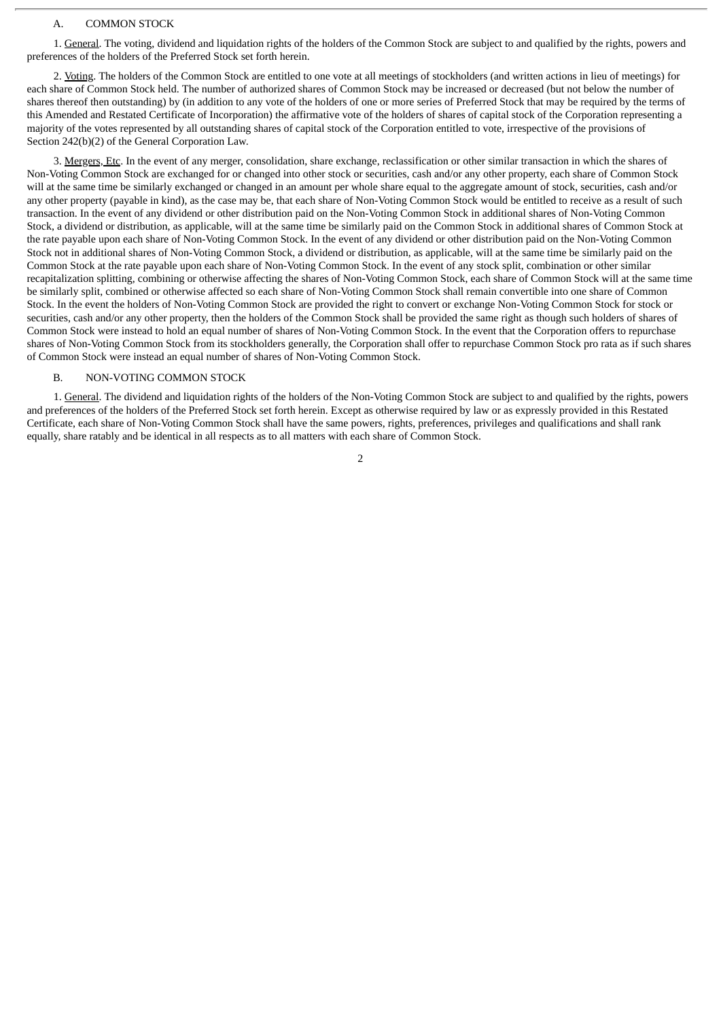#### A. COMMON STOCK

1. General. The voting, dividend and liquidation rights of the holders of the Common Stock are subject to and qualified by the rights, powers and preferences of the holders of the Preferred Stock set forth herein.

2. Voting. The holders of the Common Stock are entitled to one vote at all meetings of stockholders (and written actions in lieu of meetings) for each share of Common Stock held. The number of authorized shares of Common Stock may be increased or decreased (but not below the number of shares thereof then outstanding) by (in addition to any vote of the holders of one or more series of Preferred Stock that may be required by the terms of this Amended and Restated Certificate of Incorporation) the affirmative vote of the holders of shares of capital stock of the Corporation representing a majority of the votes represented by all outstanding shares of capital stock of the Corporation entitled to vote, irrespective of the provisions of Section 242(b)(2) of the General Corporation Law.

3. Mergers, Etc. In the event of any merger, consolidation, share exchange, reclassification or other similar transaction in which the shares of Non-Voting Common Stock are exchanged for or changed into other stock or securities, cash and/or any other property, each share of Common Stock will at the same time be similarly exchanged or changed in an amount per whole share equal to the aggregate amount of stock, securities, cash and/or any other property (payable in kind), as the case may be, that each share of Non-Voting Common Stock would be entitled to receive as a result of such transaction. In the event of any dividend or other distribution paid on the Non-Voting Common Stock in additional shares of Non-Voting Common Stock, a dividend or distribution, as applicable, will at the same time be similarly paid on the Common Stock in additional shares of Common Stock at the rate payable upon each share of Non-Voting Common Stock. In the event of any dividend or other distribution paid on the Non-Voting Common Stock not in additional shares of Non-Voting Common Stock, a dividend or distribution, as applicable, will at the same time be similarly paid on the Common Stock at the rate payable upon each share of Non-Voting Common Stock. In the event of any stock split, combination or other similar recapitalization splitting, combining or otherwise affecting the shares of Non-Voting Common Stock, each share of Common Stock will at the same time be similarly split, combined or otherwise affected so each share of Non-Voting Common Stock shall remain convertible into one share of Common Stock. In the event the holders of Non-Voting Common Stock are provided the right to convert or exchange Non-Voting Common Stock for stock or securities, cash and/or any other property, then the holders of the Common Stock shall be provided the same right as though such holders of shares of Common Stock were instead to hold an equal number of shares of Non-Voting Common Stock. In the event that the Corporation offers to repurchase shares of Non-Voting Common Stock from its stockholders generally, the Corporation shall offer to repurchase Common Stock pro rata as if such shares of Common Stock were instead an equal number of shares of Non-Voting Common Stock.

#### B. NON-VOTING COMMON STOCK

1. General. The dividend and liquidation rights of the holders of the Non-Voting Common Stock are subject to and qualified by the rights, powers and preferences of the holders of the Preferred Stock set forth herein. Except as otherwise required by law or as expressly provided in this Restated Certificate, each share of Non-Voting Common Stock shall have the same powers, rights, preferences, privileges and qualifications and shall rank equally, share ratably and be identical in all respects as to all matters with each share of Common Stock.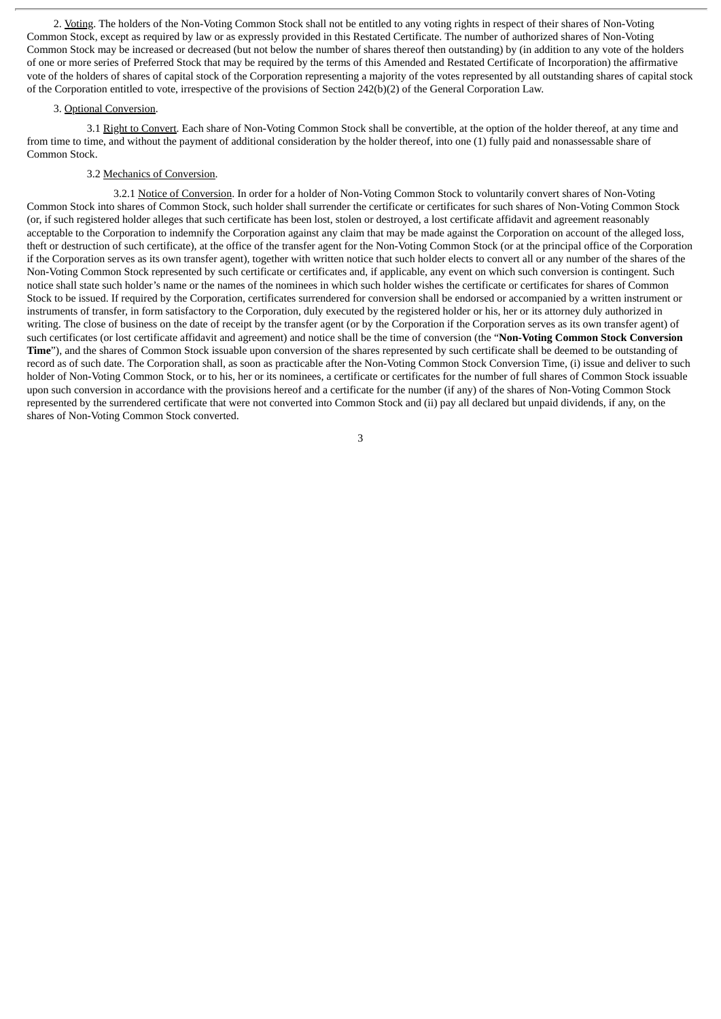2. Voting. The holders of the Non-Voting Common Stock shall not be entitled to any voting rights in respect of their shares of Non-Voting Common Stock, except as required by law or as expressly provided in this Restated Certificate. The number of authorized shares of Non-Voting Common Stock may be increased or decreased (but not below the number of shares thereof then outstanding) by (in addition to any vote of the holders of one or more series of Preferred Stock that may be required by the terms of this Amended and Restated Certificate of Incorporation) the affirmative vote of the holders of shares of capital stock of the Corporation representing a majority of the votes represented by all outstanding shares of capital stock of the Corporation entitled to vote, irrespective of the provisions of Section 242(b)(2) of the General Corporation Law.

#### 3. Optional Conversion.

3.1 Right to Convert. Each share of Non-Voting Common Stock shall be convertible, at the option of the holder thereof, at any time and from time to time, and without the payment of additional consideration by the holder thereof, into one (1) fully paid and nonassessable share of Common Stock.

#### 3.2 Mechanics of Conversion.

3.2.1 Notice of Conversion. In order for a holder of Non-Voting Common Stock to voluntarily convert shares of Non-Voting Common Stock into shares of Common Stock, such holder shall surrender the certificate or certificates for such shares of Non-Voting Common Stock (or, if such registered holder alleges that such certificate has been lost, stolen or destroyed, a lost certificate affidavit and agreement reasonably acceptable to the Corporation to indemnify the Corporation against any claim that may be made against the Corporation on account of the alleged loss, theft or destruction of such certificate), at the office of the transfer agent for the Non-Voting Common Stock (or at the principal office of the Corporation if the Corporation serves as its own transfer agent), together with written notice that such holder elects to convert all or any number of the shares of the Non-Voting Common Stock represented by such certificate or certificates and, if applicable, any event on which such conversion is contingent. Such notice shall state such holder's name or the names of the nominees in which such holder wishes the certificate or certificates for shares of Common Stock to be issued. If required by the Corporation, certificates surrendered for conversion shall be endorsed or accompanied by a written instrument or instruments of transfer, in form satisfactory to the Corporation, duly executed by the registered holder or his, her or its attorney duly authorized in writing. The close of business on the date of receipt by the transfer agent (or by the Corporation if the Corporation serves as its own transfer agent) of such certificates (or lost certificate affidavit and agreement) and notice shall be the time of conversion (the "**Non-Voting Common Stock Conversion Time**"), and the shares of Common Stock issuable upon conversion of the shares represented by such certificate shall be deemed to be outstanding of record as of such date. The Corporation shall, as soon as practicable after the Non-Voting Common Stock Conversion Time, (i) issue and deliver to such holder of Non-Voting Common Stock, or to his, her or its nominees, a certificate or certificates for the number of full shares of Common Stock issuable upon such conversion in accordance with the provisions hereof and a certificate for the number (if any) of the shares of Non-Voting Common Stock represented by the surrendered certificate that were not converted into Common Stock and (ii) pay all declared but unpaid dividends, if any, on the shares of Non-Voting Common Stock converted.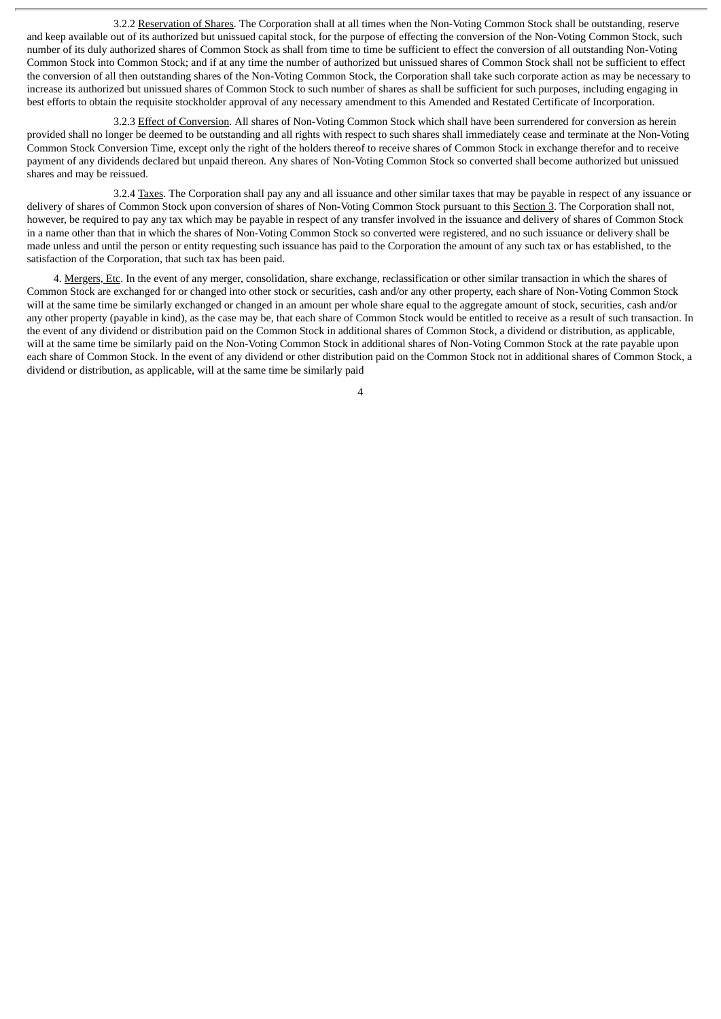3.2.2 Reservation of Shares. The Corporation shall at all times when the Non-Voting Common Stock shall be outstanding, reserve and keep available out of its authorized but unissued capital stock, for the purpose of effecting the conversion of the Non-Voting Common Stock, such number of its duly authorized shares of Common Stock as shall from time to time be sufficient to effect the conversion of all outstanding Non-Voting Common Stock into Common Stock; and if at any time the number of authorized but unissued shares of Common Stock shall not be sufficient to effect the conversion of all then outstanding shares of the Non-Voting Common Stock, the Corporation shall take such corporate action as may be necessary to increase its authorized but unissued shares of Common Stock to such number of shares as shall be sufficient for such purposes, including engaging in best efforts to obtain the requisite stockholder approval of any necessary amendment to this Amended and Restated Certificate of Incorporation.

3.2.3 Effect of Conversion. All shares of Non-Voting Common Stock which shall have been surrendered for conversion as herein provided shall no longer be deemed to be outstanding and all rights with respect to such shares shall immediately cease and terminate at the Non-Voting Common Stock Conversion Time, except only the right of the holders thereof to receive shares of Common Stock in exchange therefor and to receive payment of any dividends declared but unpaid thereon. Any shares of Non-Voting Common Stock so converted shall become authorized but unissued shares and may be reissued.

3.2.4 Taxes. The Corporation shall pay any and all issuance and other similar taxes that may be payable in respect of any issuance or delivery of shares of Common Stock upon conversion of shares of Non-Voting Common Stock pursuant to this Section 3. The Corporation shall not, however, be required to pay any tax which may be payable in respect of any transfer involved in the issuance and delivery of shares of Common Stock in a name other than that in which the shares of Non-Voting Common Stock so converted were registered, and no such issuance or delivery shall be made unless and until the person or entity requesting such issuance has paid to the Corporation the amount of any such tax or has established, to the satisfaction of the Corporation, that such tax has been paid.

4. Mergers, Etc. In the event of any merger, consolidation, share exchange, reclassification or other similar transaction in which the shares of Common Stock are exchanged for or changed into other stock or securities, cash and/or any other property, each share of Non-Voting Common Stock will at the same time be similarly exchanged or changed in an amount per whole share equal to the aggregate amount of stock, securities, cash and/or any other property (payable in kind), as the case may be, that each share of Common Stock would be entitled to receive as a result of such transaction. In the event of any dividend or distribution paid on the Common Stock in additional shares of Common Stock, a dividend or distribution, as applicable, will at the same time be similarly paid on the Non-Voting Common Stock in additional shares of Non-Voting Common Stock at the rate payable upon each share of Common Stock. In the event of any dividend or other distribution paid on the Common Stock not in additional shares of Common Stock, a dividend or distribution, as applicable, will at the same time be similarly paid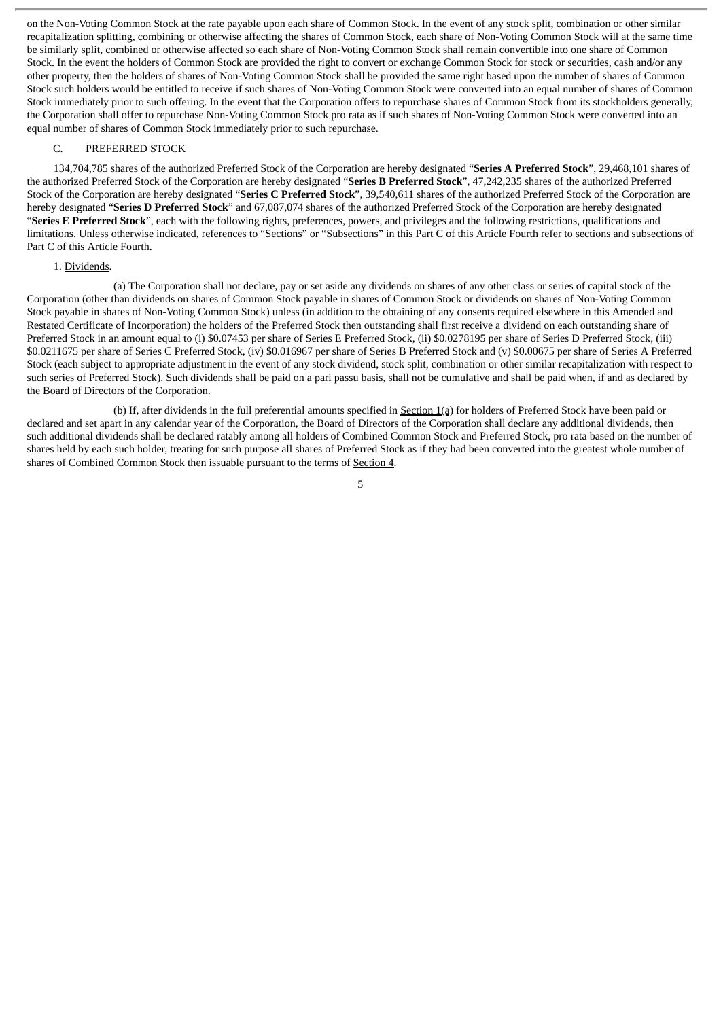on the Non-Voting Common Stock at the rate payable upon each share of Common Stock. In the event of any stock split, combination or other similar recapitalization splitting, combining or otherwise affecting the shares of Common Stock, each share of Non-Voting Common Stock will at the same time be similarly split, combined or otherwise affected so each share of Non-Voting Common Stock shall remain convertible into one share of Common Stock. In the event the holders of Common Stock are provided the right to convert or exchange Common Stock for stock or securities, cash and/or any other property, then the holders of shares of Non-Voting Common Stock shall be provided the same right based upon the number of shares of Common Stock such holders would be entitled to receive if such shares of Non-Voting Common Stock were converted into an equal number of shares of Common Stock immediately prior to such offering. In the event that the Corporation offers to repurchase shares of Common Stock from its stockholders generally, the Corporation shall offer to repurchase Non-Voting Common Stock pro rata as if such shares of Non-Voting Common Stock were converted into an equal number of shares of Common Stock immediately prior to such repurchase.

#### C. PREFERRED STOCK

134,704,785 shares of the authorized Preferred Stock of the Corporation are hereby designated "**Series A Preferred Stock**", 29,468,101 shares of the authorized Preferred Stock of the Corporation are hereby designated "**Series B Preferred Stock**", 47,242,235 shares of the authorized Preferred Stock of the Corporation are hereby designated "**Series C Preferred Stock**", 39,540,611 shares of the authorized Preferred Stock of the Corporation are hereby designated "**Series D Preferred Stock**" and 67,087,074 shares of the authorized Preferred Stock of the Corporation are hereby designated "**Series E Preferred Stock**", each with the following rights, preferences, powers, and privileges and the following restrictions, qualifications and limitations. Unless otherwise indicated, references to "Sections" or "Subsections" in this Part C of this Article Fourth refer to sections and subsections of Part C of this Article Fourth.

#### 1. Dividends.

(a) The Corporation shall not declare, pay or set aside any dividends on shares of any other class or series of capital stock of the Corporation (other than dividends on shares of Common Stock payable in shares of Common Stock or dividends on shares of Non-Voting Common Stock payable in shares of Non-Voting Common Stock) unless (in addition to the obtaining of any consents required elsewhere in this Amended and Restated Certificate of Incorporation) the holders of the Preferred Stock then outstanding shall first receive a dividend on each outstanding share of Preferred Stock in an amount equal to (i) \$0.07453 per share of Series E Preferred Stock, (ii) \$0.0278195 per share of Series D Preferred Stock, (iii) \$0.0211675 per share of Series C Preferred Stock, (iv) \$0.016967 per share of Series B Preferred Stock and (v) \$0.00675 per share of Series A Preferred Stock (each subject to appropriate adjustment in the event of any stock dividend, stock split, combination or other similar recapitalization with respect to such series of Preferred Stock). Such dividends shall be paid on a pari passu basis, shall not be cumulative and shall be paid when, if and as declared by the Board of Directors of the Corporation.

(b) If, after dividends in the full preferential amounts specified in Section 1(a) for holders of Preferred Stock have been paid or declared and set apart in any calendar year of the Corporation, the Board of Directors of the Corporation shall declare any additional dividends, then such additional dividends shall be declared ratably among all holders of Combined Common Stock and Preferred Stock, pro rata based on the number of shares held by each such holder, treating for such purpose all shares of Preferred Stock as if they had been converted into the greatest whole number of shares of Combined Common Stock then issuable pursuant to the terms of Section 4.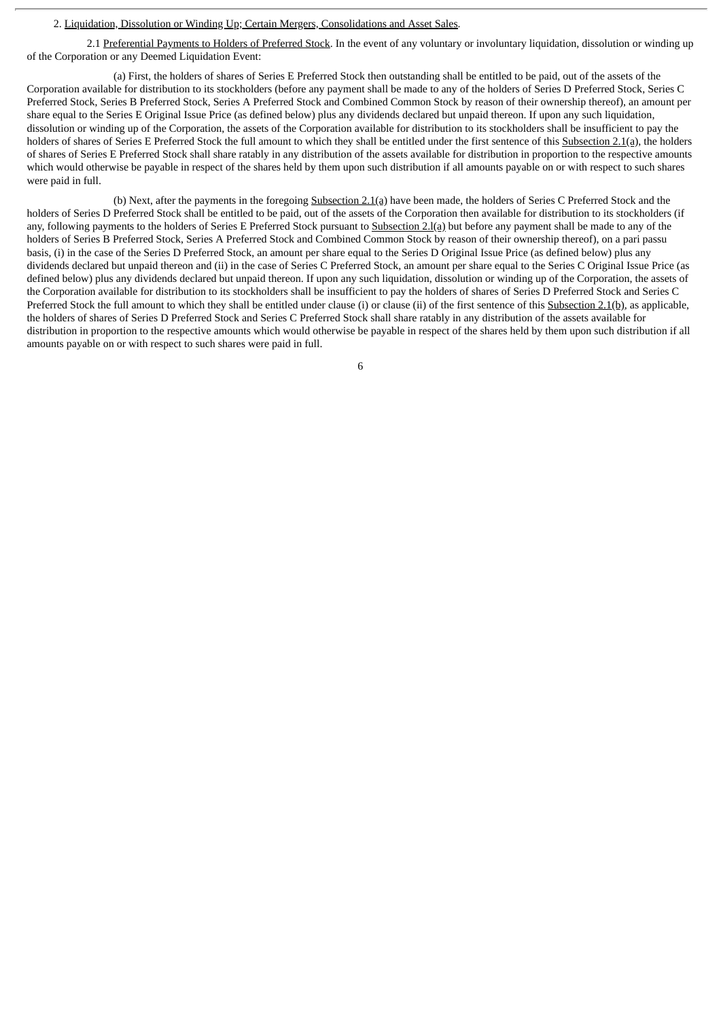#### 2. Liquidation, Dissolution or Winding Up; Certain Mergers, Consolidations and Asset Sales.

2.1 Preferential Payments to Holders of Preferred Stock. In the event of any voluntary or involuntary liquidation, dissolution or winding up of the Corporation or any Deemed Liquidation Event:

(a) First, the holders of shares of Series E Preferred Stock then outstanding shall be entitled to be paid, out of the assets of the Corporation available for distribution to its stockholders (before any payment shall be made to any of the holders of Series D Preferred Stock, Series C Preferred Stock, Series B Preferred Stock, Series A Preferred Stock and Combined Common Stock by reason of their ownership thereof), an amount per share equal to the Series E Original Issue Price (as defined below) plus any dividends declared but unpaid thereon. If upon any such liquidation, dissolution or winding up of the Corporation, the assets of the Corporation available for distribution to its stockholders shall be insufficient to pay the holders of shares of Series E Preferred Stock the full amount to which they shall be entitled under the first sentence of this Subsection 2.1(a), the holders of shares of Series E Preferred Stock shall share ratably in any distribution of the assets available for distribution in proportion to the respective amounts which would otherwise be payable in respect of the shares held by them upon such distribution if all amounts payable on or with respect to such shares were paid in full.

(b) Next, after the payments in the foregoing Subsection 2.1(a) have been made, the holders of Series C Preferred Stock and the holders of Series D Preferred Stock shall be entitled to be paid, out of the assets of the Corporation then available for distribution to its stockholders (if any, following payments to the holders of Series E Preferred Stock pursuant to Subsection 2.1(a) but before any payment shall be made to any of the holders of Series B Preferred Stock, Series A Preferred Stock and Combined Common Stock by reason of their ownership thereof), on a pari passu basis, (i) in the case of the Series D Preferred Stock, an amount per share equal to the Series D Original Issue Price (as defined below) plus any dividends declared but unpaid thereon and (ii) in the case of Series C Preferred Stock, an amount per share equal to the Series C Original Issue Price (as defined below) plus any dividends declared but unpaid thereon. If upon any such liquidation, dissolution or winding up of the Corporation, the assets of the Corporation available for distribution to its stockholders shall be insufficient to pay the holders of shares of Series D Preferred Stock and Series C Preferred Stock the full amount to which they shall be entitled under clause (i) or clause (ii) of the first sentence of this Subsection 2.1(b), as applicable, the holders of shares of Series D Preferred Stock and Series C Preferred Stock shall share ratably in any distribution of the assets available for distribution in proportion to the respective amounts which would otherwise be payable in respect of the shares held by them upon such distribution if all amounts payable on or with respect to such shares were paid in full.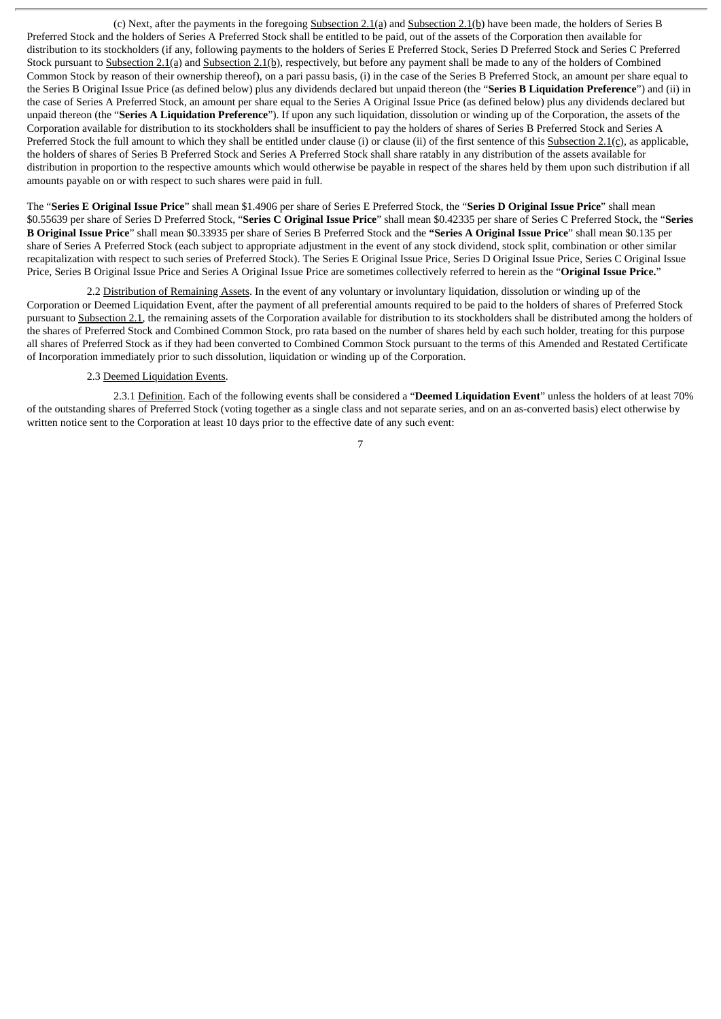(c) Next, after the payments in the foregoing Subsection 2.1(a) and Subsection 2.1(b) have been made, the holders of Series B Preferred Stock and the holders of Series A Preferred Stock shall be entitled to be paid, out of the assets of the Corporation then available for distribution to its stockholders (if any, following payments to the holders of Series E Preferred Stock, Series D Preferred Stock and Series C Preferred Stock pursuant to Subsection 2.1(a) and Subsection 2.1(b), respectively, but before any payment shall be made to any of the holders of Combined Common Stock by reason of their ownership thereof), on a pari passu basis, (i) in the case of the Series B Preferred Stock, an amount per share equal to the Series B Original Issue Price (as defined below) plus any dividends declared but unpaid thereon (the "**Series B Liquidation Preference**") and (ii) in the case of Series A Preferred Stock, an amount per share equal to the Series A Original Issue Price (as defined below) plus any dividends declared but unpaid thereon (the "**Series A Liquidation Preference**"). If upon any such liquidation, dissolution or winding up of the Corporation, the assets of the Corporation available for distribution to its stockholders shall be insufficient to pay the holders of shares of Series B Preferred Stock and Series A Preferred Stock the full amount to which they shall be entitled under clause (i) or clause (ii) of the first sentence of this Subsection 2.1(c), as applicable, the holders of shares of Series B Preferred Stock and Series A Preferred Stock shall share ratably in any distribution of the assets available for distribution in proportion to the respective amounts which would otherwise be payable in respect of the shares held by them upon such distribution if all amounts payable on or with respect to such shares were paid in full.

The "**Series E Original Issue Price**" shall mean \$1.4906 per share of Series E Preferred Stock, the "**Series D Original Issue Price**" shall mean \$0.55639 per share of Series D Preferred Stock, "**Series C Original Issue Price**" shall mean \$0.42335 per share of Series C Preferred Stock, the "**Series B Original Issue Price**" shall mean \$0.33935 per share of Series B Preferred Stock and the **"Series A Original Issue Price**" shall mean \$0.135 per share of Series A Preferred Stock (each subject to appropriate adjustment in the event of any stock dividend, stock split, combination or other similar recapitalization with respect to such series of Preferred Stock). The Series E Original Issue Price, Series D Original Issue Price, Series C Original Issue Price, Series B Original Issue Price and Series A Original Issue Price are sometimes collectively referred to herein as the "**Original Issue Price.**"

2.2 Distribution of Remaining Assets. In the event of any voluntary or involuntary liquidation, dissolution or winding up of the Corporation or Deemed Liquidation Event, after the payment of all preferential amounts required to be paid to the holders of shares of Preferred Stock pursuant to Subsection 2.1, the remaining assets of the Corporation available for distribution to its stockholders shall be distributed among the holders of the shares of Preferred Stock and Combined Common Stock, pro rata based on the number of shares held by each such holder, treating for this purpose all shares of Preferred Stock as if they had been converted to Combined Common Stock pursuant to the terms of this Amended and Restated Certificate of Incorporation immediately prior to such dissolution, liquidation or winding up of the Corporation.

#### 2.3 Deemed Liquidation Events.

2.3.1 Definition. Each of the following events shall be considered a "**Deemed Liquidation Event**" unless the holders of at least 70% of the outstanding shares of Preferred Stock (voting together as a single class and not separate series, and on an as-converted basis) elect otherwise by written notice sent to the Corporation at least 10 days prior to the effective date of any such event: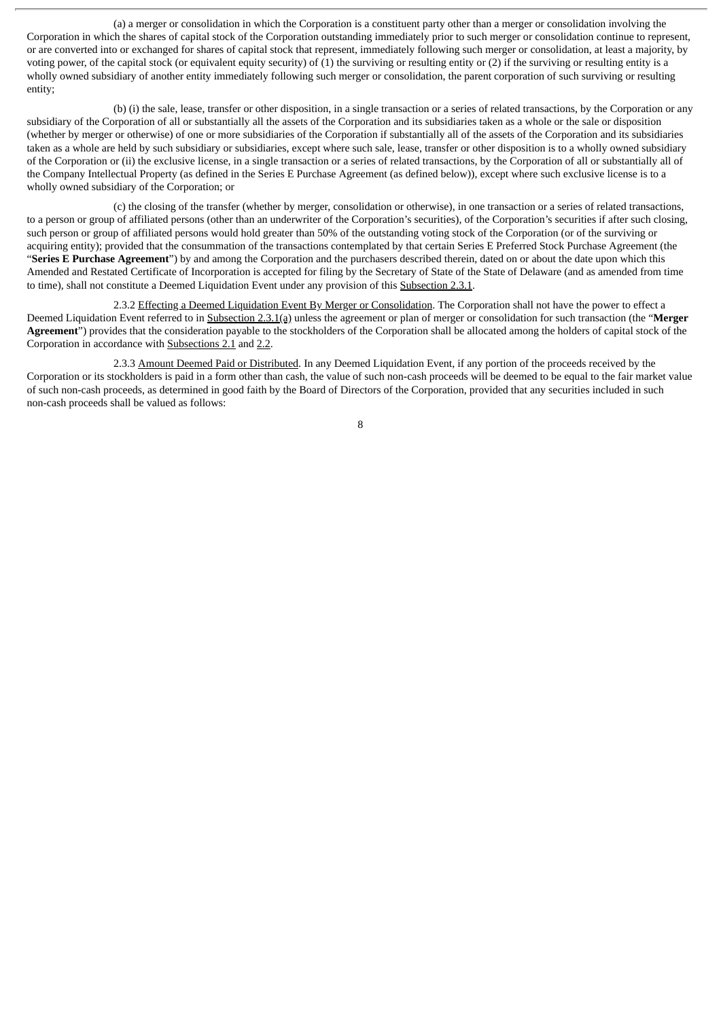(a) a merger or consolidation in which the Corporation is a constituent party other than a merger or consolidation involving the Corporation in which the shares of capital stock of the Corporation outstanding immediately prior to such merger or consolidation continue to represent, or are converted into or exchanged for shares of capital stock that represent, immediately following such merger or consolidation, at least a majority, by voting power, of the capital stock (or equivalent equity security) of (1) the surviving or resulting entity or (2) if the surviving or resulting entity is a wholly owned subsidiary of another entity immediately following such merger or consolidation, the parent corporation of such surviving or resulting entity;

(b) (i) the sale, lease, transfer or other disposition, in a single transaction or a series of related transactions, by the Corporation or any subsidiary of the Corporation of all or substantially all the assets of the Corporation and its subsidiaries taken as a whole or the sale or disposition (whether by merger or otherwise) of one or more subsidiaries of the Corporation if substantially all of the assets of the Corporation and its subsidiaries taken as a whole are held by such subsidiary or subsidiaries, except where such sale, lease, transfer or other disposition is to a wholly owned subsidiary of the Corporation or (ii) the exclusive license, in a single transaction or a series of related transactions, by the Corporation of all or substantially all of the Company Intellectual Property (as defined in the Series E Purchase Agreement (as defined below)), except where such exclusive license is to a wholly owned subsidiary of the Corporation; or

(c) the closing of the transfer (whether by merger, consolidation or otherwise), in one transaction or a series of related transactions, to a person or group of affiliated persons (other than an underwriter of the Corporation's securities), of the Corporation's securities if after such closing, such person or group of affiliated persons would hold greater than 50% of the outstanding voting stock of the Corporation (or of the surviving or acquiring entity); provided that the consummation of the transactions contemplated by that certain Series E Preferred Stock Purchase Agreement (the "**Series E Purchase Agreement**") by and among the Corporation and the purchasers described therein, dated on or about the date upon which this Amended and Restated Certificate of Incorporation is accepted for filing by the Secretary of State of the State of Delaware (and as amended from time to time), shall not constitute a Deemed Liquidation Event under any provision of this Subsection 2.3.1.

2.3.2 Effecting a Deemed Liquidation Event By Merger or Consolidation. The Corporation shall not have the power to effect a Deemed Liquidation Event referred to in Subsection 2.3.1(a) unless the agreement or plan of merger or consolidation for such transaction (the "**Merger Agreement**") provides that the consideration payable to the stockholders of the Corporation shall be allocated among the holders of capital stock of the Corporation in accordance with Subsections 2.1 and 2.2.

2.3.3 Amount Deemed Paid or Distributed. In any Deemed Liquidation Event, if any portion of the proceeds received by the Corporation or its stockholders is paid in a form other than cash, the value of such non-cash proceeds will be deemed to be equal to the fair market value of such non-cash proceeds, as determined in good faith by the Board of Directors of the Corporation, provided that any securities included in such non-cash proceeds shall be valued as follows: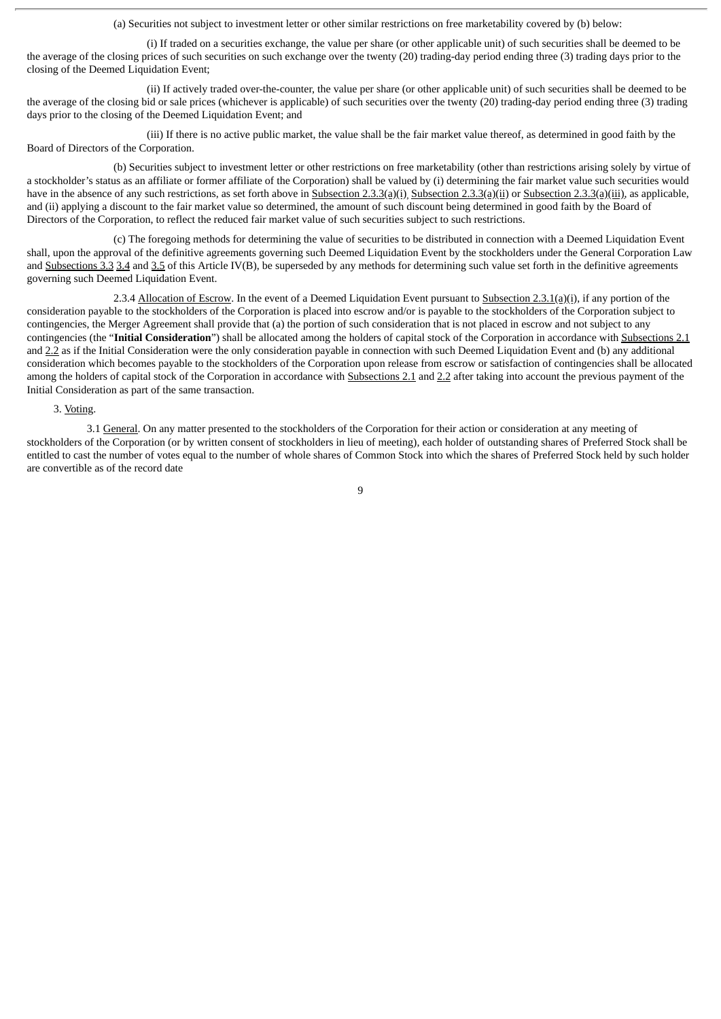(a) Securities not subject to investment letter or other similar restrictions on free marketability covered by (b) below:

(i) If traded on a securities exchange, the value per share (or other applicable unit) of such securities shall be deemed to be the average of the closing prices of such securities on such exchange over the twenty (20) trading-day period ending three (3) trading days prior to the closing of the Deemed Liquidation Event;

(ii) If actively traded over-the-counter, the value per share (or other applicable unit) of such securities shall be deemed to be the average of the closing bid or sale prices (whichever is applicable) of such securities over the twenty (20) trading-day period ending three (3) trading days prior to the closing of the Deemed Liquidation Event; and

(iii) If there is no active public market, the value shall be the fair market value thereof, as determined in good faith by the Board of Directors of the Corporation.

(b) Securities subject to investment letter or other restrictions on free marketability (other than restrictions arising solely by virtue of a stockholder's status as an affiliate or former affiliate of the Corporation) shall be valued by (i) determining the fair market value such securities would have in the absence of any such restrictions, as set forth above in Subsection 2.3.3(a)(i) Subsection 2.3.3(a)(ii) or Subsection 2.3.3(a)(iii), as applicable, and (ii) applying a discount to the fair market value so determined, the amount of such discount being determined in good faith by the Board of Directors of the Corporation, to reflect the reduced fair market value of such securities subject to such restrictions.

(c) The foregoing methods for determining the value of securities to be distributed in connection with a Deemed Liquidation Event shall, upon the approval of the definitive agreements governing such Deemed Liquidation Event by the stockholders under the General Corporation Law and Subsections 3.3 3.4 and 3.5 of this Article IV(B), be superseded by any methods for determining such value set forth in the definitive agreements governing such Deemed Liquidation Event.

2.3.4 Allocation of Escrow. In the event of a Deemed Liquidation Event pursuant to Subsection 2.3.1(a)(i), if any portion of the consideration payable to the stockholders of the Corporation is placed into escrow and/or is payable to the stockholders of the Corporation subject to contingencies, the Merger Agreement shall provide that (a) the portion of such consideration that is not placed in escrow and not subject to any contingencies (the "**Initial Consideration**") shall be allocated among the holders of capital stock of the Corporation in accordance with Subsections 2.1 and 2.2 as if the Initial Consideration were the only consideration payable in connection with such Deemed Liquidation Event and (b) any additional consideration which becomes payable to the stockholders of the Corporation upon release from escrow or satisfaction of contingencies shall be allocated among the holders of capital stock of the Corporation in accordance with Subsections 2.1 and 2.2 after taking into account the previous payment of the Initial Consideration as part of the same transaction.

#### 3. Voting.

3.1 General. On any matter presented to the stockholders of the Corporation for their action or consideration at any meeting of stockholders of the Corporation (or by written consent of stockholders in lieu of meeting), each holder of outstanding shares of Preferred Stock shall be entitled to cast the number of votes equal to the number of whole shares of Common Stock into which the shares of Preferred Stock held by such holder are convertible as of the record date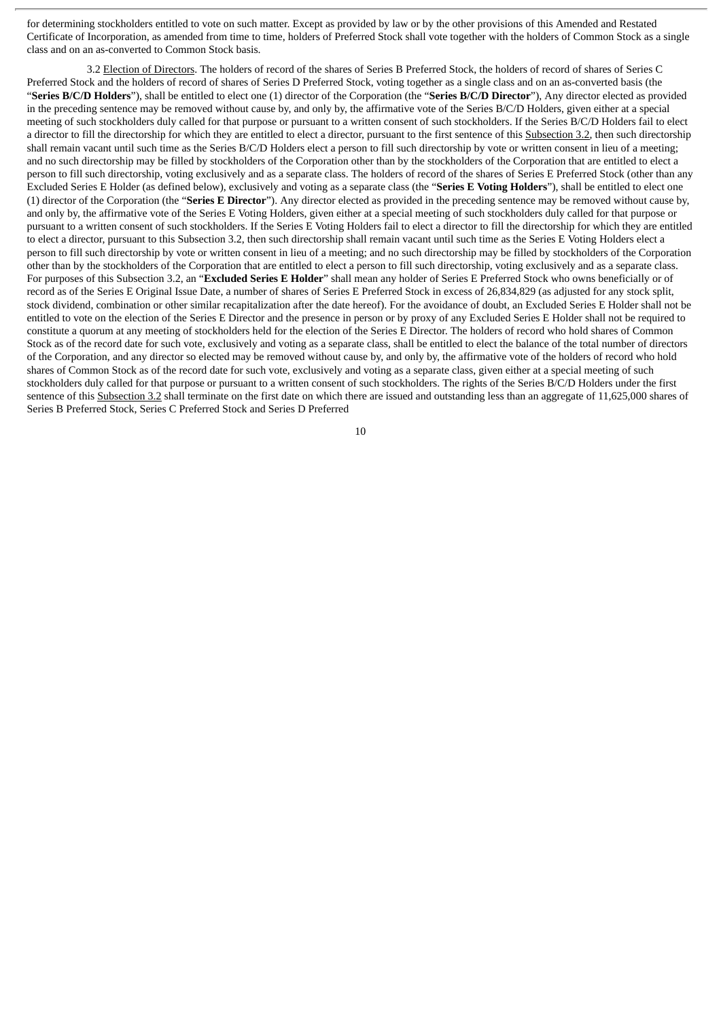for determining stockholders entitled to vote on such matter. Except as provided by law or by the other provisions of this Amended and Restated Certificate of Incorporation, as amended from time to time, holders of Preferred Stock shall vote together with the holders of Common Stock as a single class and on an as-converted to Common Stock basis.

3.2 Election of Directors. The holders of record of the shares of Series B Preferred Stock, the holders of record of shares of Series C Preferred Stock and the holders of record of shares of Series D Preferred Stock, voting together as a single class and on an as-converted basis (the "**Series B/C/D Holders**"), shall be entitled to elect one (1) director of the Corporation (the "**Series B/C/D Director**"), Any director elected as provided in the preceding sentence may be removed without cause by, and only by, the affirmative vote of the Series B/C/D Holders, given either at a special meeting of such stockholders duly called for that purpose or pursuant to a written consent of such stockholders. If the Series B/C/D Holders fail to elect a director to fill the directorship for which they are entitled to elect a director, pursuant to the first sentence of this Subsection 3.2, then such directorship shall remain vacant until such time as the Series B/C/D Holders elect a person to fill such directorship by vote or written consent in lieu of a meeting; and no such directorship may be filled by stockholders of the Corporation other than by the stockholders of the Corporation that are entitled to elect a person to fill such directorship, voting exclusively and as a separate class. The holders of record of the shares of Series E Preferred Stock (other than any Excluded Series E Holder (as defined below), exclusively and voting as a separate class (the "**Series E Voting Holders**"), shall be entitled to elect one (1) director of the Corporation (the "**Series E Director**"). Any director elected as provided in the preceding sentence may be removed without cause by, and only by, the affirmative vote of the Series E Voting Holders, given either at a special meeting of such stockholders duly called for that purpose or pursuant to a written consent of such stockholders. If the Series E Voting Holders fail to elect a director to fill the directorship for which they are entitled to elect a director, pursuant to this Subsection 3.2, then such directorship shall remain vacant until such time as the Series E Voting Holders elect a person to fill such directorship by vote or written consent in lieu of a meeting; and no such directorship may be filled by stockholders of the Corporation other than by the stockholders of the Corporation that are entitled to elect a person to fill such directorship, voting exclusively and as a separate class. For purposes of this Subsection 3.2, an "**Excluded Series E Holder**" shall mean any holder of Series E Preferred Stock who owns beneficially or of record as of the Series E Original Issue Date, a number of shares of Series E Preferred Stock in excess of 26,834,829 (as adjusted for any stock split, stock dividend, combination or other similar recapitalization after the date hereof). For the avoidance of doubt, an Excluded Series E Holder shall not be entitled to vote on the election of the Series E Director and the presence in person or by proxy of any Excluded Series E Holder shall not be required to constitute a quorum at any meeting of stockholders held for the election of the Series E Director. The holders of record who hold shares of Common Stock as of the record date for such vote, exclusively and voting as a separate class, shall be entitled to elect the balance of the total number of directors of the Corporation, and any director so elected may be removed without cause by, and only by, the affirmative vote of the holders of record who hold shares of Common Stock as of the record date for such vote, exclusively and voting as a separate class, given either at a special meeting of such stockholders duly called for that purpose or pursuant to a written consent of such stockholders. The rights of the Series B/C/D Holders under the first sentence of this Subsection 3.2 shall terminate on the first date on which there are issued and outstanding less than an aggregate of 11,625,000 shares of Series B Preferred Stock, Series C Preferred Stock and Series D Preferred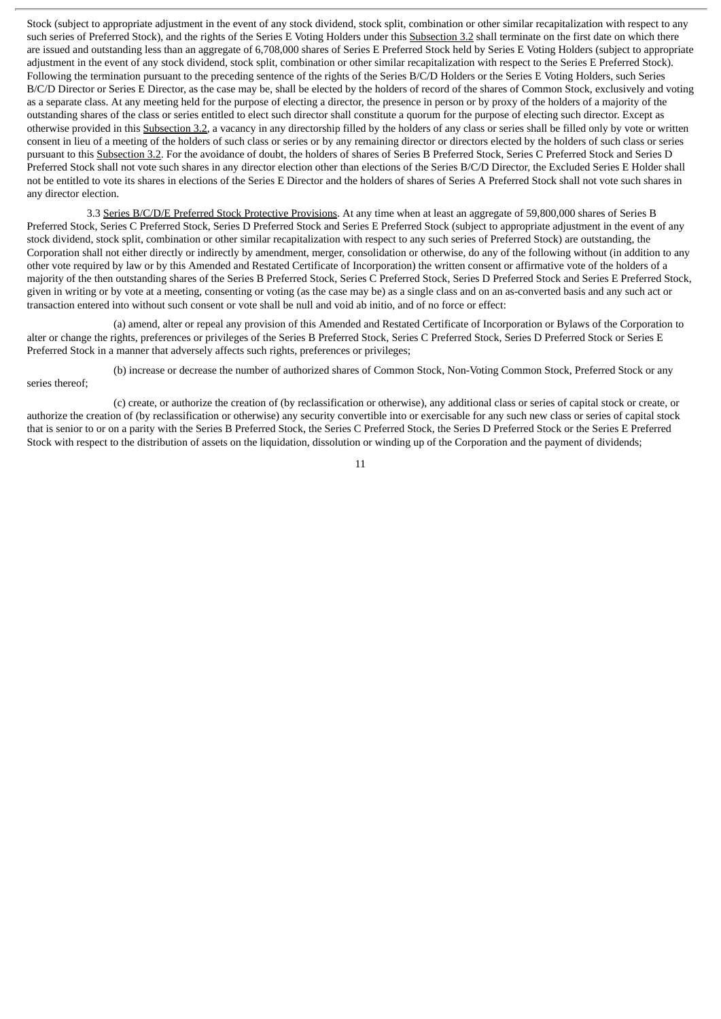Stock (subject to appropriate adjustment in the event of any stock dividend, stock split, combination or other similar recapitalization with respect to any such series of Preferred Stock), and the rights of the Series E Voting Holders under this Subsection 3.2 shall terminate on the first date on which there are issued and outstanding less than an aggregate of 6,708,000 shares of Series E Preferred Stock held by Series E Voting Holders (subject to appropriate adjustment in the event of any stock dividend, stock split, combination or other similar recapitalization with respect to the Series E Preferred Stock). Following the termination pursuant to the preceding sentence of the rights of the Series B/C/D Holders or the Series E Voting Holders, such Series B/C/D Director or Series E Director, as the case may be, shall be elected by the holders of record of the shares of Common Stock, exclusively and voting as a separate class. At any meeting held for the purpose of electing a director, the presence in person or by proxy of the holders of a majority of the outstanding shares of the class or series entitled to elect such director shall constitute a quorum for the purpose of electing such director. Except as otherwise provided in this Subsection 3.2, a vacancy in any directorship filled by the holders of any class or series shall be filled only by vote or written consent in lieu of a meeting of the holders of such class or series or by any remaining director or directors elected by the holders of such class or series pursuant to this Subsection 3.2. For the avoidance of doubt, the holders of shares of Series B Preferred Stock, Series C Preferred Stock and Series D Preferred Stock shall not vote such shares in any director election other than elections of the Series B/C/D Director, the Excluded Series E Holder shall not be entitled to vote its shares in elections of the Series E Director and the holders of shares of Series A Preferred Stock shall not vote such shares in any director election.

3.3 Series B/C/D/E Preferred Stock Protective Provisions. At any time when at least an aggregate of 59,800,000 shares of Series B Preferred Stock, Series C Preferred Stock, Series D Preferred Stock and Series E Preferred Stock (subject to appropriate adjustment in the event of any stock dividend, stock split, combination or other similar recapitalization with respect to any such series of Preferred Stock) are outstanding, the Corporation shall not either directly or indirectly by amendment, merger, consolidation or otherwise, do any of the following without (in addition to any other vote required by law or by this Amended and Restated Certificate of Incorporation) the written consent or affirmative vote of the holders of a majority of the then outstanding shares of the Series B Preferred Stock, Series C Preferred Stock, Series D Preferred Stock and Series E Preferred Stock, given in writing or by vote at a meeting, consenting or voting (as the case may be) as a single class and on an as-converted basis and any such act or transaction entered into without such consent or vote shall be null and void ab initio, and of no force or effect:

(a) amend, alter or repeal any provision of this Amended and Restated Certificate of Incorporation or Bylaws of the Corporation to alter or change the rights, preferences or privileges of the Series B Preferred Stock, Series C Preferred Stock, Series D Preferred Stock or Series E Preferred Stock in a manner that adversely affects such rights, preferences or privileges;

(b) increase or decrease the number of authorized shares of Common Stock, Non-Voting Common Stock, Preferred Stock or any series thereof;

(c) create, or authorize the creation of (by reclassification or otherwise), any additional class or series of capital stock or create, or authorize the creation of (by reclassification or otherwise) any security convertible into or exercisable for any such new class or series of capital stock that is senior to or on a parity with the Series B Preferred Stock, the Series C Preferred Stock, the Series D Preferred Stock or the Series E Preferred Stock with respect to the distribution of assets on the liquidation, dissolution or winding up of the Corporation and the payment of dividends;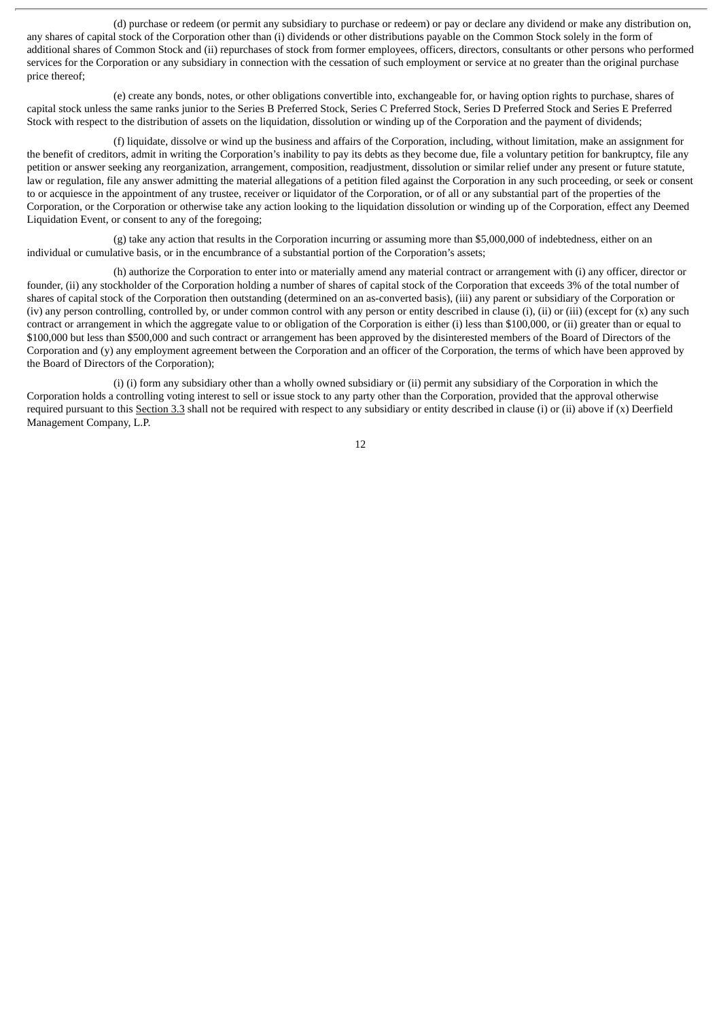(d) purchase or redeem (or permit any subsidiary to purchase or redeem) or pay or declare any dividend or make any distribution on, any shares of capital stock of the Corporation other than (i) dividends or other distributions payable on the Common Stock solely in the form of additional shares of Common Stock and (ii) repurchases of stock from former employees, officers, directors, consultants or other persons who performed services for the Corporation or any subsidiary in connection with the cessation of such employment or service at no greater than the original purchase price thereof;

(e) create any bonds, notes, or other obligations convertible into, exchangeable for, or having option rights to purchase, shares of capital stock unless the same ranks junior to the Series B Preferred Stock, Series C Preferred Stock, Series D Preferred Stock and Series E Preferred Stock with respect to the distribution of assets on the liquidation, dissolution or winding up of the Corporation and the payment of dividends;

(f) liquidate, dissolve or wind up the business and affairs of the Corporation, including, without limitation, make an assignment for the benefit of creditors, admit in writing the Corporation's inability to pay its debts as they become due, file a voluntary petition for bankruptcy, file any petition or answer seeking any reorganization, arrangement, composition, readjustment, dissolution or similar relief under any present or future statute, law or regulation, file any answer admitting the material allegations of a petition filed against the Corporation in any such proceeding, or seek or consent to or acquiesce in the appointment of any trustee, receiver or liquidator of the Corporation, or of all or any substantial part of the properties of the Corporation, or the Corporation or otherwise take any action looking to the liquidation dissolution or winding up of the Corporation, effect any Deemed Liquidation Event, or consent to any of the foregoing;

(g) take any action that results in the Corporation incurring or assuming more than \$5,000,000 of indebtedness, either on an individual or cumulative basis, or in the encumbrance of a substantial portion of the Corporation's assets;

(h) authorize the Corporation to enter into or materially amend any material contract or arrangement with (i) any officer, director or founder, (ii) any stockholder of the Corporation holding a number of shares of capital stock of the Corporation that exceeds 3% of the total number of shares of capital stock of the Corporation then outstanding (determined on an as-converted basis), (iii) any parent or subsidiary of the Corporation or (iv) any person controlling, controlled by, or under common control with any person or entity described in clause (i), (ii) or (iii) (except for (x) any such contract or arrangement in which the aggregate value to or obligation of the Corporation is either (i) less than \$100,000, or (ii) greater than or equal to \$100,000 but less than \$500,000 and such contract or arrangement has been approved by the disinterested members of the Board of Directors of the Corporation and (y) any employment agreement between the Corporation and an officer of the Corporation, the terms of which have been approved by the Board of Directors of the Corporation);

(i) (i) form any subsidiary other than a wholly owned subsidiary or (ii) permit any subsidiary of the Corporation in which the Corporation holds a controlling voting interest to sell or issue stock to any party other than the Corporation, provided that the approval otherwise required pursuant to this Section 3.3 shall not be required with respect to any subsidiary or entity described in clause (i) or (ii) above if  $(x)$  Deerfield Management Company, L.P.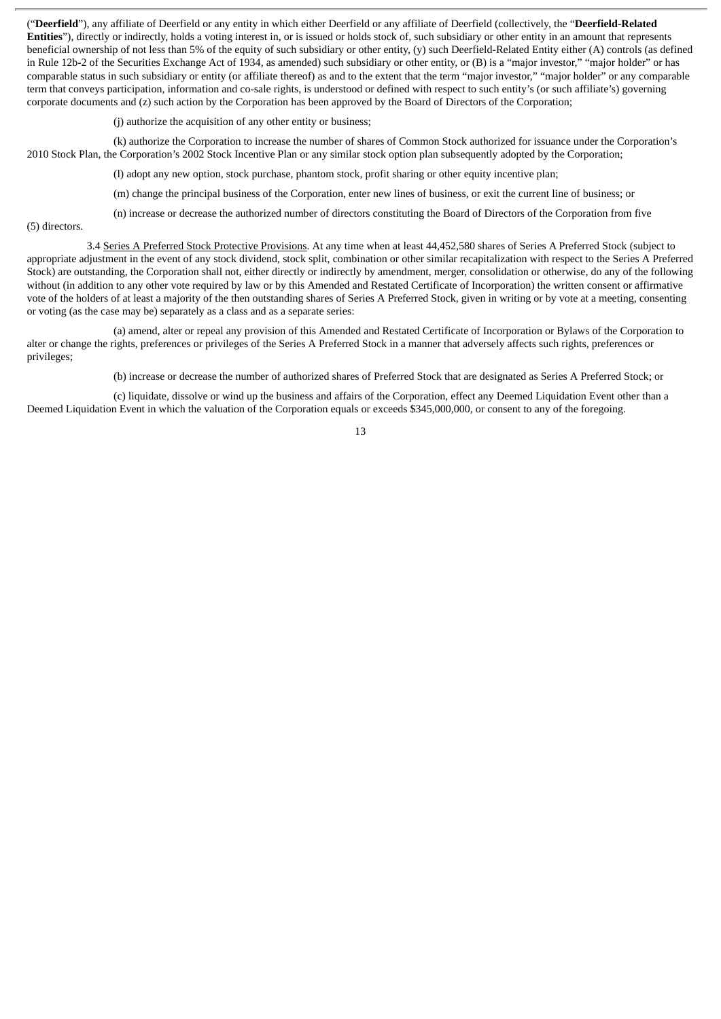("**Deerfield**"), any affiliate of Deerfield or any entity in which either Deerfield or any affiliate of Deerfield (collectively, the "**Deerfield-Related Entities**"), directly or indirectly, holds a voting interest in, or is issued or holds stock of, such subsidiary or other entity in an amount that represents beneficial ownership of not less than 5% of the equity of such subsidiary or other entity, (y) such Deerfield-Related Entity either (A) controls (as defined in Rule 12b-2 of the Securities Exchange Act of 1934, as amended) such subsidiary or other entity, or (B) is a "major investor," "major holder" or has comparable status in such subsidiary or entity (or affiliate thereof) as and to the extent that the term "major investor," "major holder" or any comparable term that conveys participation, information and co-sale rights, is understood or defined with respect to such entity's (or such affiliate's) governing corporate documents and (z) such action by the Corporation has been approved by the Board of Directors of the Corporation;

(j) authorize the acquisition of any other entity or business;

(k) authorize the Corporation to increase the number of shares of Common Stock authorized for issuance under the Corporation's 2010 Stock Plan, the Corporation's 2002 Stock Incentive Plan or any similar stock option plan subsequently adopted by the Corporation;

(l) adopt any new option, stock purchase, phantom stock, profit sharing or other equity incentive plan;

(m) change the principal business of the Corporation, enter new lines of business, or exit the current line of business; or

(n) increase or decrease the authorized number of directors constituting the Board of Directors of the Corporation from five

(5) directors.

3.4 Series A Preferred Stock Protective Provisions. At any time when at least 44,452,580 shares of Series A Preferred Stock (subiect to appropriate adjustment in the event of any stock dividend, stock split, combination or other similar recapitalization with respect to the Series A Preferred Stock) are outstanding, the Corporation shall not, either directly or indirectly by amendment, merger, consolidation or otherwise, do any of the following without (in addition to any other vote required by law or by this Amended and Restated Certificate of Incorporation) the written consent or affirmative vote of the holders of at least a majority of the then outstanding shares of Series A Preferred Stock, given in writing or by vote at a meeting, consenting or voting (as the case may be) separately as a class and as a separate series:

(a) amend, alter or repeal any provision of this Amended and Restated Certificate of Incorporation or Bylaws of the Corporation to alter or change the rights, preferences or privileges of the Series A Preferred Stock in a manner that adversely affects such rights, preferences or privileges;

(b) increase or decrease the number of authorized shares of Preferred Stock that are designated as Series A Preferred Stock; or

(c) liquidate, dissolve or wind up the business and affairs of the Corporation, effect any Deemed Liquidation Event other than a Deemed Liquidation Event in which the valuation of the Corporation equals or exceeds \$345,000,000, or consent to any of the foregoing.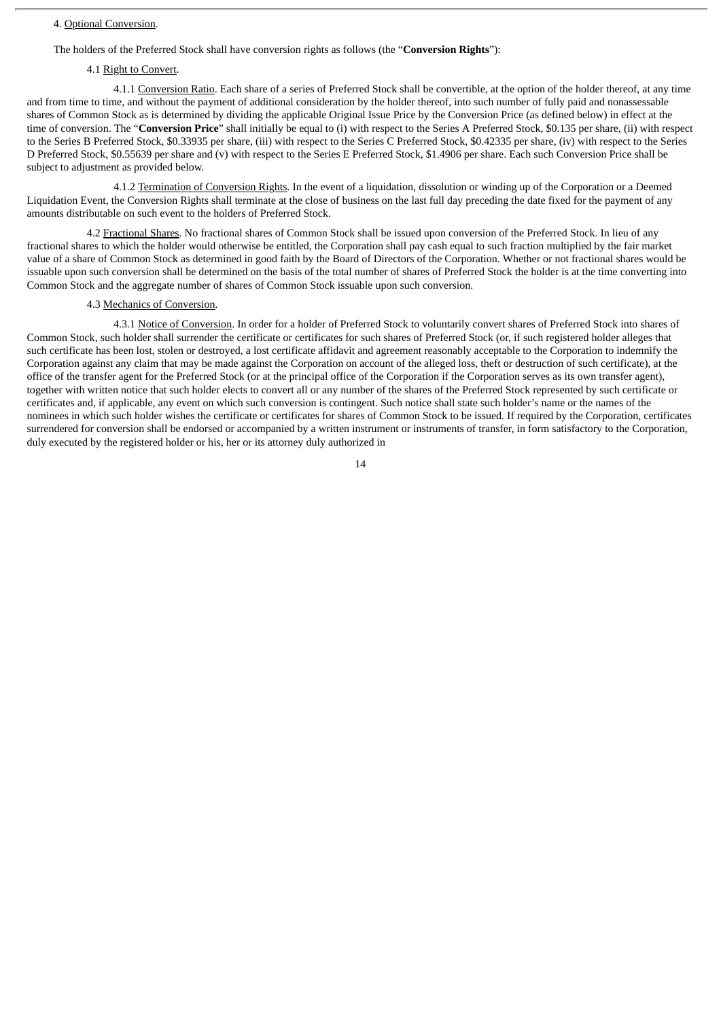#### 4. Optional Conversion.

The holders of the Preferred Stock shall have conversion rights as follows (the "**Conversion Rights**"):

#### 4.1 Right to Convert.

4.1.1 Conversion Ratio. Each share of a series of Preferred Stock shall be convertible, at the option of the holder thereof, at any time and from time to time, and without the payment of additional consideration by the holder thereof, into such number of fully paid and nonassessable shares of Common Stock as is determined by dividing the applicable Original Issue Price by the Conversion Price (as defined below) in effect at the time of conversion. The "**Conversion Price**" shall initially be equal to (i) with respect to the Series A Preferred Stock, \$0.135 per share, (ii) with respect to the Series B Preferred Stock, \$0.33935 per share, (iii) with respect to the Series C Preferred Stock, \$0.42335 per share, (iv) with respect to the Series D Preferred Stock, \$0.55639 per share and (v) with respect to the Series E Preferred Stock, \$1.4906 per share. Each such Conversion Price shall be subject to adjustment as provided below.

4.1.2 Termination of Conversion Rights. In the event of a liquidation, dissolution or winding up of the Corporation or a Deemed Liquidation Event, the Conversion Rights shall terminate at the close of business on the last full day preceding the date fixed for the payment of any amounts distributable on such event to the holders of Preferred Stock.

4.2 Fractional Shares. No fractional shares of Common Stock shall be issued upon conversion of the Preferred Stock. In lieu of any fractional shares to which the holder would otherwise be entitled, the Corporation shall pay cash equal to such fraction multiplied by the fair market value of a share of Common Stock as determined in good faith by the Board of Directors of the Corporation. Whether or not fractional shares would be issuable upon such conversion shall be determined on the basis of the total number of shares of Preferred Stock the holder is at the time converting into Common Stock and the aggregate number of shares of Common Stock issuable upon such conversion.

#### 4.3 Mechanics of Conversion.

4.3.1 Notice of Conversion. In order for a holder of Preferred Stock to voluntarily convert shares of Preferred Stock into shares of Common Stock, such holder shall surrender the certificate or certificates for such shares of Preferred Stock (or, if such registered holder alleges that such certificate has been lost, stolen or destroyed, a lost certificate affidavit and agreement reasonably acceptable to the Corporation to indemnify the Corporation against any claim that may be made against the Corporation on account of the alleged loss, theft or destruction of such certificate), at the office of the transfer agent for the Preferred Stock (or at the principal office of the Corporation if the Corporation serves as its own transfer agent), together with written notice that such holder elects to convert all or any number of the shares of the Preferred Stock represented by such certificate or certificates and, if applicable, any event on which such conversion is contingent. Such notice shall state such holder's name or the names of the nominees in which such holder wishes the certificate or certificates for shares of Common Stock to be issued. If required by the Corporation, certificates surrendered for conversion shall be endorsed or accompanied by a written instrument or instruments of transfer, in form satisfactory to the Corporation, duly executed by the registered holder or his, her or its attorney duly authorized in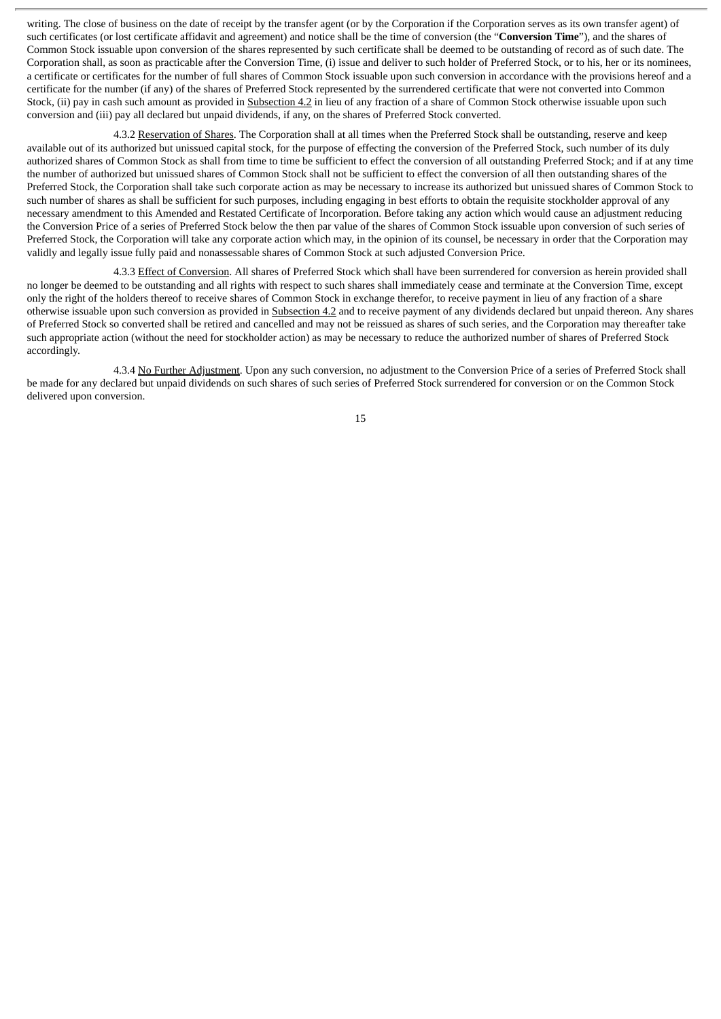writing. The close of business on the date of receipt by the transfer agent (or by the Corporation if the Corporation serves as its own transfer agent) of such certificates (or lost certificate affidavit and agreement) and notice shall be the time of conversion (the "**Conversion Time**"), and the shares of Common Stock issuable upon conversion of the shares represented by such certificate shall be deemed to be outstanding of record as of such date. The Corporation shall, as soon as practicable after the Conversion Time, (i) issue and deliver to such holder of Preferred Stock, or to his, her or its nominees, a certificate or certificates for the number of full shares of Common Stock issuable upon such conversion in accordance with the provisions hereof and a certificate for the number (if any) of the shares of Preferred Stock represented by the surrendered certificate that were not converted into Common Stock, (ii) pay in cash such amount as provided in Subsection 4.2 in lieu of any fraction of a share of Common Stock otherwise issuable upon such conversion and (iii) pay all declared but unpaid dividends, if any, on the shares of Preferred Stock converted.

4.3.2 Reservation of Shares. The Corporation shall at all times when the Preferred Stock shall be outstanding, reserve and keep available out of its authorized but unissued capital stock, for the purpose of effecting the conversion of the Preferred Stock, such number of its duly authorized shares of Common Stock as shall from time to time be sufficient to effect the conversion of all outstanding Preferred Stock; and if at any time the number of authorized but unissued shares of Common Stock shall not be sufficient to effect the conversion of all then outstanding shares of the Preferred Stock, the Corporation shall take such corporate action as may be necessary to increase its authorized but unissued shares of Common Stock to such number of shares as shall be sufficient for such purposes, including engaging in best efforts to obtain the requisite stockholder approval of any necessary amendment to this Amended and Restated Certificate of Incorporation. Before taking any action which would cause an adjustment reducing the Conversion Price of a series of Preferred Stock below the then par value of the shares of Common Stock issuable upon conversion of such series of Preferred Stock, the Corporation will take any corporate action which may, in the opinion of its counsel, be necessary in order that the Corporation may validly and legally issue fully paid and nonassessable shares of Common Stock at such adjusted Conversion Price.

4.3.3 Effect of Conversion. All shares of Preferred Stock which shall have been surrendered for conversion as herein provided shall no longer be deemed to be outstanding and all rights with respect to such shares shall immediately cease and terminate at the Conversion Time, except only the right of the holders thereof to receive shares of Common Stock in exchange therefor, to receive payment in lieu of any fraction of a share otherwise issuable upon such conversion as provided in Subsection 4.2 and to receive payment of any dividends declared but unpaid thereon. Any shares of Preferred Stock so converted shall be retired and cancelled and may not be reissued as shares of such series, and the Corporation may thereafter take such appropriate action (without the need for stockholder action) as may be necessary to reduce the authorized number of shares of Preferred Stock accordingly.

4.3.4 No Further Adjustment. Upon any such conversion, no adjustment to the Conversion Price of a series of Preferred Stock shall be made for any declared but unpaid dividends on such shares of such series of Preferred Stock surrendered for conversion or on the Common Stock delivered upon conversion.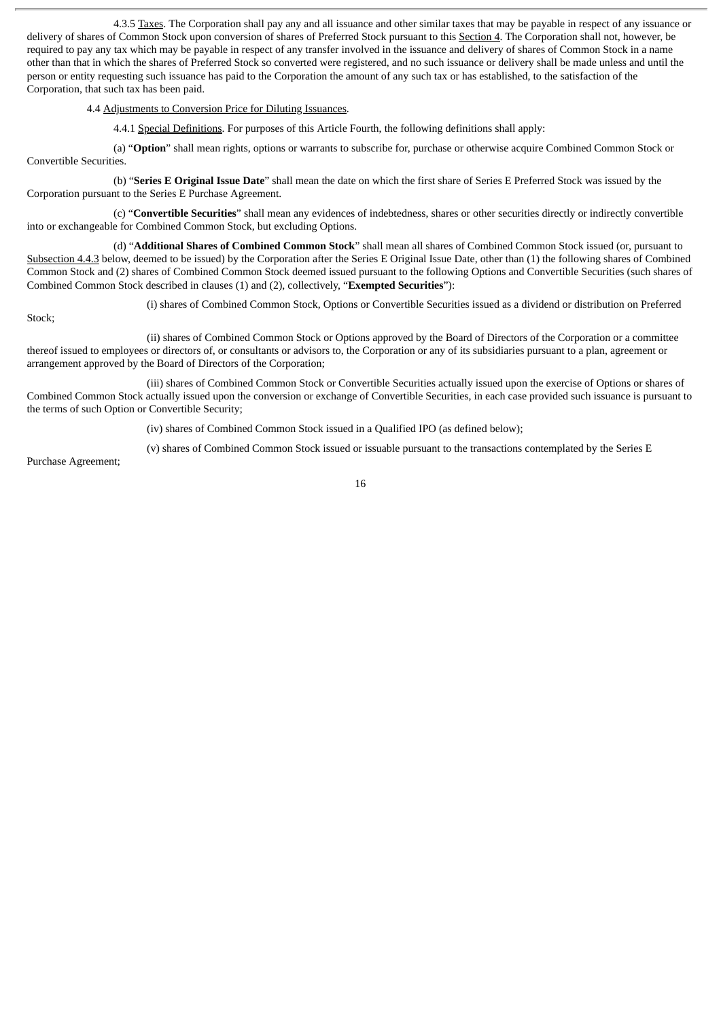4.3.5 Taxes. The Corporation shall pay any and all issuance and other similar taxes that may be payable in respect of any issuance or delivery of shares of Common Stock upon conversion of shares of Preferred Stock pursuant to this Section 4. The Corporation shall not, however, be required to pay any tax which may be payable in respect of any transfer involved in the issuance and delivery of shares of Common Stock in a name other than that in which the shares of Preferred Stock so converted were registered, and no such issuance or delivery shall be made unless and until the person or entity requesting such issuance has paid to the Corporation the amount of any such tax or has established, to the satisfaction of the Corporation, that such tax has been paid.

4.4 Adjustments to Conversion Price for Diluting Issuances.

4.4.1 Special Definitions. For purposes of this Article Fourth, the following definitions shall apply:

(a) "**Option**" shall mean rights, options or warrants to subscribe for, purchase or otherwise acquire Combined Common Stock or Convertible Securities.

(b) "**Series E Original Issue Date**" shall mean the date on which the first share of Series E Preferred Stock was issued by the Corporation pursuant to the Series E Purchase Agreement.

(c) "**Convertible Securities**" shall mean any evidences of indebtedness, shares or other securities directly or indirectly convertible into or exchangeable for Combined Common Stock, but excluding Options.

(d) "**Additional Shares of Combined Common Stock**" shall mean all shares of Combined Common Stock issued (or, pursuant to Subsection 4.4.3 below, deemed to be issued) by the Corporation after the Series E Original Issue Date, other than (1) the following shares of Combined Common Stock and (2) shares of Combined Common Stock deemed issued pursuant to the following Options and Convertible Securities (such shares of Combined Common Stock described in clauses (1) and (2), collectively, "**Exempted Securities**"):

(i) shares of Combined Common Stock, Options or Convertible Securities issued as a dividend or distribution on Preferred

Stock;

(ii) shares of Combined Common Stock or Options approved by the Board of Directors of the Corporation or a committee thereof issued to employees or directors of, or consultants or advisors to, the Corporation or any of its subsidiaries pursuant to a plan, agreement or arrangement approved by the Board of Directors of the Corporation;

(iii) shares of Combined Common Stock or Convertible Securities actually issued upon the exercise of Options or shares of Combined Common Stock actually issued upon the conversion or exchange of Convertible Securities, in each case provided such issuance is pursuant to the terms of such Option or Convertible Security;

(iv) shares of Combined Common Stock issued in a Qualified IPO (as defined below);

(v) shares of Combined Common Stock issued or issuable pursuant to the transactions contemplated by the Series E

Purchase Agreement;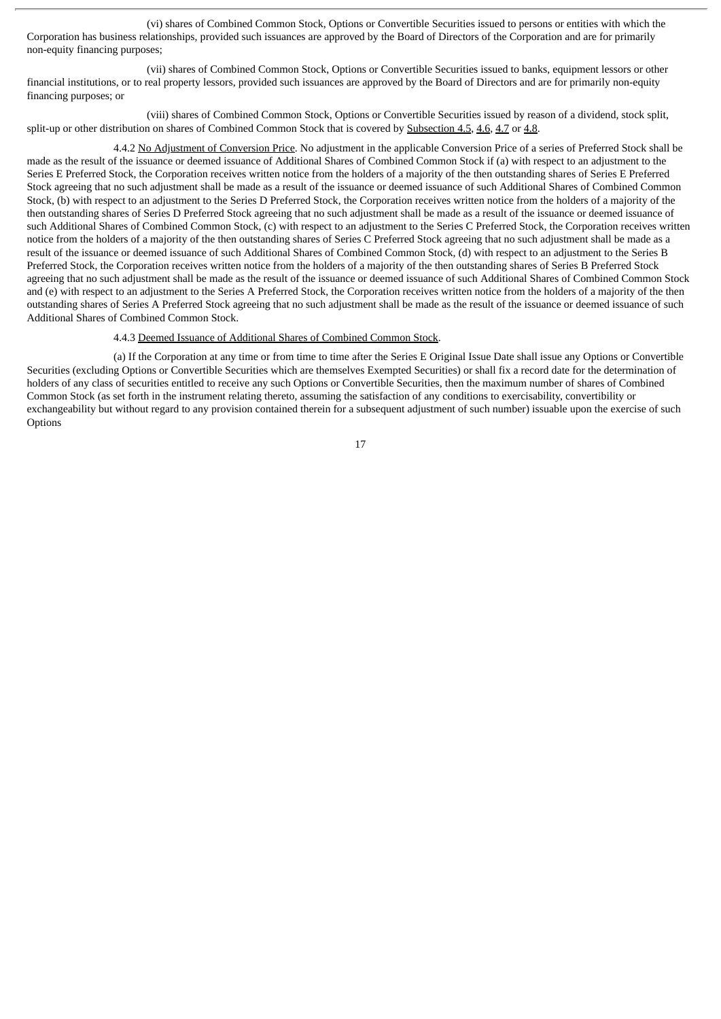(vi) shares of Combined Common Stock, Options or Convertible Securities issued to persons or entities with which the Corporation has business relationships, provided such issuances are approved by the Board of Directors of the Corporation and are for primarily non-equity financing purposes;

(vii) shares of Combined Common Stock, Options or Convertible Securities issued to banks, equipment lessors or other financial institutions, or to real property lessors, provided such issuances are approved by the Board of Directors and are for primarily non-equity financing purposes; or

(viii) shares of Combined Common Stock, Options or Convertible Securities issued by reason of a dividend, stock split, split-up or other distribution on shares of Combined Common Stock that is covered by Subsection 4.5, 4.6, 4.7 or 4.8.

4.4.2 No Adjustment of Conversion Price. No adjustment in the applicable Conversion Price of a series of Preferred Stock shall be made as the result of the issuance or deemed issuance of Additional Shares of Combined Common Stock if (a) with respect to an adjustment to the Series E Preferred Stock, the Corporation receives written notice from the holders of a majority of the then outstanding shares of Series E Preferred Stock agreeing that no such adjustment shall be made as a result of the issuance or deemed issuance of such Additional Shares of Combined Common Stock, (b) with respect to an adjustment to the Series D Preferred Stock, the Corporation receives written notice from the holders of a majority of the then outstanding shares of Series D Preferred Stock agreeing that no such adjustment shall be made as a result of the issuance or deemed issuance of such Additional Shares of Combined Common Stock, (c) with respect to an adjustment to the Series C Preferred Stock, the Corporation receives written notice from the holders of a majority of the then outstanding shares of Series C Preferred Stock agreeing that no such adjustment shall be made as a result of the issuance or deemed issuance of such Additional Shares of Combined Common Stock, (d) with respect to an adjustment to the Series B Preferred Stock, the Corporation receives written notice from the holders of a majority of the then outstanding shares of Series B Preferred Stock agreeing that no such adjustment shall be made as the result of the issuance or deemed issuance of such Additional Shares of Combined Common Stock and (e) with respect to an adjustment to the Series A Preferred Stock, the Corporation receives written notice from the holders of a majority of the then outstanding shares of Series A Preferred Stock agreeing that no such adjustment shall be made as the result of the issuance or deemed issuance of such Additional Shares of Combined Common Stock.

#### 4.4.3 Deemed Issuance of Additional Shares of Combined Common Stock.

(a) If the Corporation at any time or from time to time after the Series E Original Issue Date shall issue any Options or Convertible Securities (excluding Options or Convertible Securities which are themselves Exempted Securities) or shall fix a record date for the determination of holders of any class of securities entitled to receive any such Options or Convertible Securities, then the maximum number of shares of Combined Common Stock (as set forth in the instrument relating thereto, assuming the satisfaction of any conditions to exercisability, convertibility or exchangeability but without regard to any provision contained therein for a subsequent adjustment of such number) issuable upon the exercise of such **Options**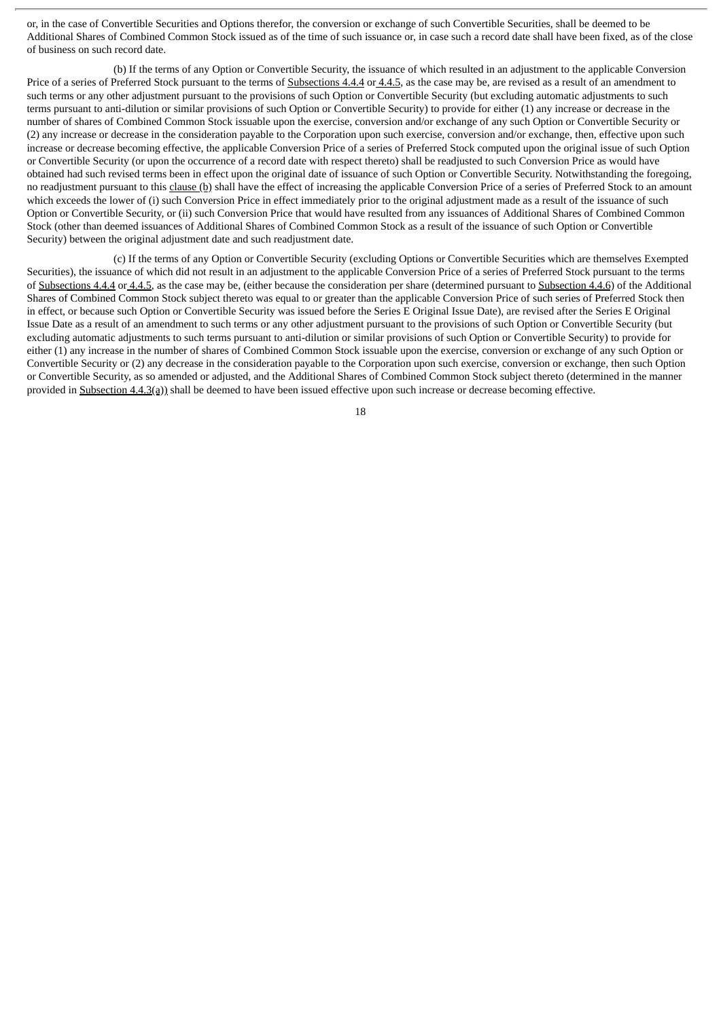or, in the case of Convertible Securities and Options therefor, the conversion or exchange of such Convertible Securities, shall be deemed to be Additional Shares of Combined Common Stock issued as of the time of such issuance or, in case such a record date shall have been fixed, as of the close of business on such record date.

(b) If the terms of any Option or Convertible Security, the issuance of which resulted in an adjustment to the applicable Conversion Price of a series of Preferred Stock pursuant to the terms of Subsections 4.4.4 or 4.4.5, as the case may be, are revised as a result of an amendment to such terms or any other adjustment pursuant to the provisions of such Option or Convertible Security (but excluding automatic adjustments to such terms pursuant to anti-dilution or similar provisions of such Option or Convertible Security) to provide for either (1) any increase or decrease in the number of shares of Combined Common Stock issuable upon the exercise, conversion and/or exchange of any such Option or Convertible Security or (2) any increase or decrease in the consideration payable to the Corporation upon such exercise, conversion and/or exchange, then, effective upon such increase or decrease becoming effective, the applicable Conversion Price of a series of Preferred Stock computed upon the original issue of such Option or Convertible Security (or upon the occurrence of a record date with respect thereto) shall be readjusted to such Conversion Price as would have obtained had such revised terms been in effect upon the original date of issuance of such Option or Convertible Security. Notwithstanding the foregoing, no readjustment pursuant to this clause (b) shall have the effect of increasing the applicable Conversion Price of a series of Preferred Stock to an amount which exceeds the lower of (i) such Conversion Price in effect immediately prior to the original adjustment made as a result of the issuance of such Option or Convertible Security, or (ii) such Conversion Price that would have resulted from any issuances of Additional Shares of Combined Common Stock (other than deemed issuances of Additional Shares of Combined Common Stock as a result of the issuance of such Option or Convertible Security) between the original adjustment date and such readjustment date.

(c) If the terms of any Option or Convertible Security (excluding Options or Convertible Securities which are themselves Exempted Securities), the issuance of which did not result in an adjustment to the applicable Conversion Price of a series of Preferred Stock pursuant to the terms of Subsections 4.4.4 or 4.4.5, as the case may be, (either because the consideration per share (determined pursuant to Subsection 4.4.6) of the Additional Shares of Combined Common Stock subject thereto was equal to or greater than the applicable Conversion Price of such series of Preferred Stock then in effect, or because such Option or Convertible Security was issued before the Series E Original Issue Date), are revised after the Series E Original Issue Date as a result of an amendment to such terms or any other adjustment pursuant to the provisions of such Option or Convertible Security (but excluding automatic adjustments to such terms pursuant to anti-dilution or similar provisions of such Option or Convertible Security) to provide for either (1) any increase in the number of shares of Combined Common Stock issuable upon the exercise, conversion or exchange of any such Option or Convertible Security or (2) any decrease in the consideration payable to the Corporation upon such exercise, conversion or exchange, then such Option or Convertible Security, as so amended or adjusted, and the Additional Shares of Combined Common Stock subject thereto (determined in the manner provided in Subsection 4.4.3(a)) shall be deemed to have been issued effective upon such increase or decrease becoming effective.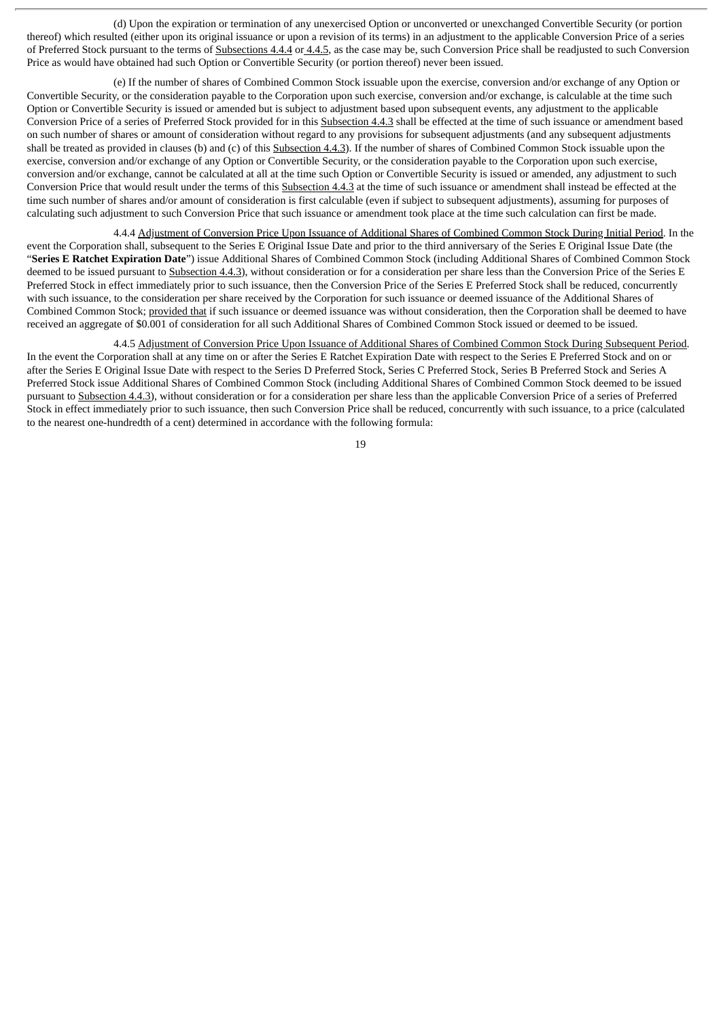(d) Upon the expiration or termination of any unexercised Option or unconverted or unexchanged Convertible Security (or portion thereof) which resulted (either upon its original issuance or upon a revision of its terms) in an adjustment to the applicable Conversion Price of a series of Preferred Stock pursuant to the terms of Subsections 4.4.4 or 4.4.5, as the case may be, such Conversion Price shall be readjusted to such Conversion Price as would have obtained had such Option or Convertible Security (or portion thereof) never been issued.

(e) If the number of shares of Combined Common Stock issuable upon the exercise, conversion and/or exchange of any Option or Convertible Security, or the consideration payable to the Corporation upon such exercise, conversion and/or exchange, is calculable at the time such Option or Convertible Security is issued or amended but is subject to adjustment based upon subsequent events, any adjustment to the applicable Conversion Price of a series of Preferred Stock provided for in this Subsection 4.4.3 shall be effected at the time of such issuance or amendment based on such number of shares or amount of consideration without regard to any provisions for subsequent adjustments (and any subsequent adjustments shall be treated as provided in clauses (b) and (c) of this Subsection 4.4.3). If the number of shares of Combined Common Stock issuable upon the exercise, conversion and/or exchange of any Option or Convertible Security, or the consideration payable to the Corporation upon such exercise, conversion and/or exchange, cannot be calculated at all at the time such Option or Convertible Security is issued or amended, any adjustment to such Conversion Price that would result under the terms of this Subsection 4.4.3 at the time of such issuance or amendment shall instead be effected at the time such number of shares and/or amount of consideration is first calculable (even if subject to subsequent adjustments), assuming for purposes of calculating such adjustment to such Conversion Price that such issuance or amendment took place at the time such calculation can first be made.

4.4.4 Adjustment of Conversion Price Upon Issuance of Additional Shares of Combined Common Stock During Initial Period. In the event the Corporation shall, subsequent to the Series E Original Issue Date and prior to the third anniversary of the Series E Original Issue Date (the "**Series E Ratchet Expiration Date**") issue Additional Shares of Combined Common Stock (including Additional Shares of Combined Common Stock deemed to be issued pursuant to Subsection 4.4.3), without consideration or for a consideration per share less than the Conversion Price of the Series E Preferred Stock in effect immediately prior to such issuance, then the Conversion Price of the Series E Preferred Stock shall be reduced, concurrently with such issuance, to the consideration per share received by the Corporation for such issuance or deemed issuance of the Additional Shares of Combined Common Stock; provided that if such issuance or deemed issuance was without consideration, then the Corporation shall be deemed to have received an aggregate of \$0.001 of consideration for all such Additional Shares of Combined Common Stock issued or deemed to be issued.

4.4.5 Adjustment of Conversion Price Upon Issuance of Additional Shares of Combined Common Stock During Subsequent Period. In the event the Corporation shall at any time on or after the Series E Ratchet Expiration Date with respect to the Series E Preferred Stock and on or after the Series E Original Issue Date with respect to the Series D Preferred Stock, Series C Preferred Stock, Series B Preferred Stock and Series A Preferred Stock issue Additional Shares of Combined Common Stock (including Additional Shares of Combined Common Stock deemed to be issued pursuant to Subsection 4.4.3), without consideration or for a consideration per share less than the applicable Conversion Price of a series of Preferred Stock in effect immediately prior to such issuance, then such Conversion Price shall be reduced, concurrently with such issuance, to a price (calculated to the nearest one-hundredth of a cent) determined in accordance with the following formula: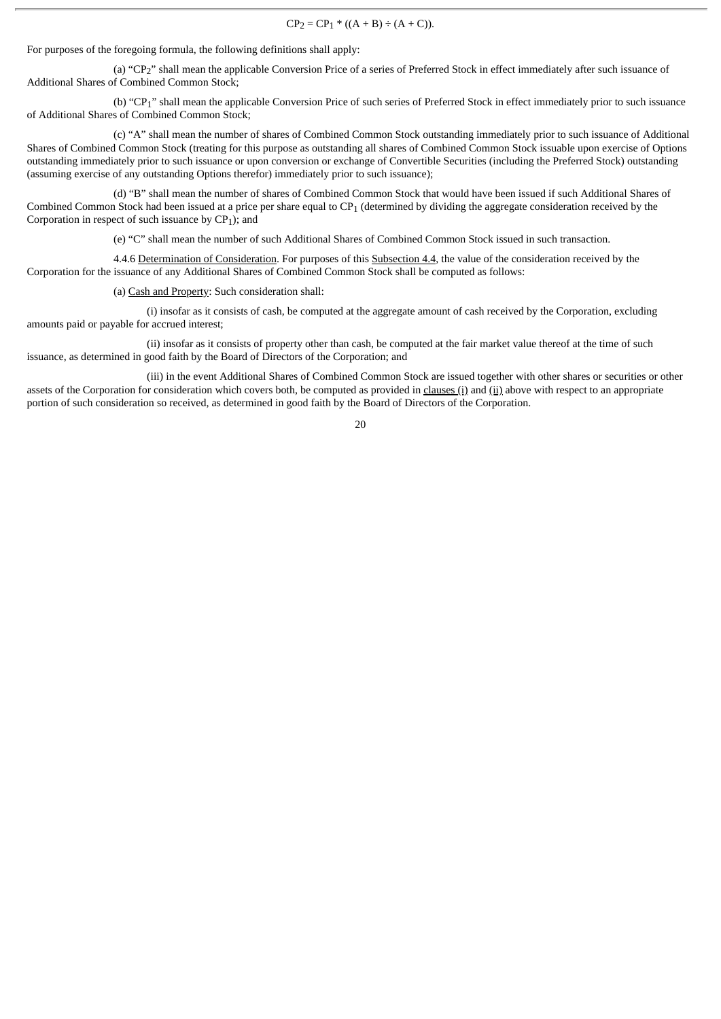$CP_2 = CP_1 * ((A + B) \div (A + C)).$ 

For purposes of the foregoing formula, the following definitions shall apply:

(a) "CP2" shall mean the applicable Conversion Price of a series of Preferred Stock in effect immediately after such issuance of Additional Shares of Combined Common Stock;

(b) "CP1" shall mean the applicable Conversion Price of such series of Preferred Stock in effect immediately prior to such issuance of Additional Shares of Combined Common Stock;

(c) "A" shall mean the number of shares of Combined Common Stock outstanding immediately prior to such issuance of Additional Shares of Combined Common Stock (treating for this purpose as outstanding all shares of Combined Common Stock issuable upon exercise of Options outstanding immediately prior to such issuance or upon conversion or exchange of Convertible Securities (including the Preferred Stock) outstanding (assuming exercise of any outstanding Options therefor) immediately prior to such issuance);

(d) "B" shall mean the number of shares of Combined Common Stock that would have been issued if such Additional Shares of Combined Common Stock had been issued at a price per share equal to CP1 (determined by dividing the aggregate consideration received by the Corporation in respect of such issuance by  $CP<sub>1</sub>$ ); and

(e) "C" shall mean the number of such Additional Shares of Combined Common Stock issued in such transaction.

4.4.6 Determination of Consideration. For purposes of this Subsection 4.4, the value of the consideration received by the Corporation for the issuance of any Additional Shares of Combined Common Stock shall be computed as follows:

(a) Cash and Property: Such consideration shall:

(i) insofar as it consists of cash, be computed at the aggregate amount of cash received by the Corporation, excluding amounts paid or payable for accrued interest;

(ii) insofar as it consists of property other than cash, be computed at the fair market value thereof at the time of such issuance, as determined in good faith by the Board of Directors of the Corporation; and

(iii) in the event Additional Shares of Combined Common Stock are issued together with other shares or securities or other assets of the Corporation for consideration which covers both, be computed as provided in clauses (i) and (ii) above with respect to an appropriate portion of such consideration so received, as determined in good faith by the Board of Directors of the Corporation.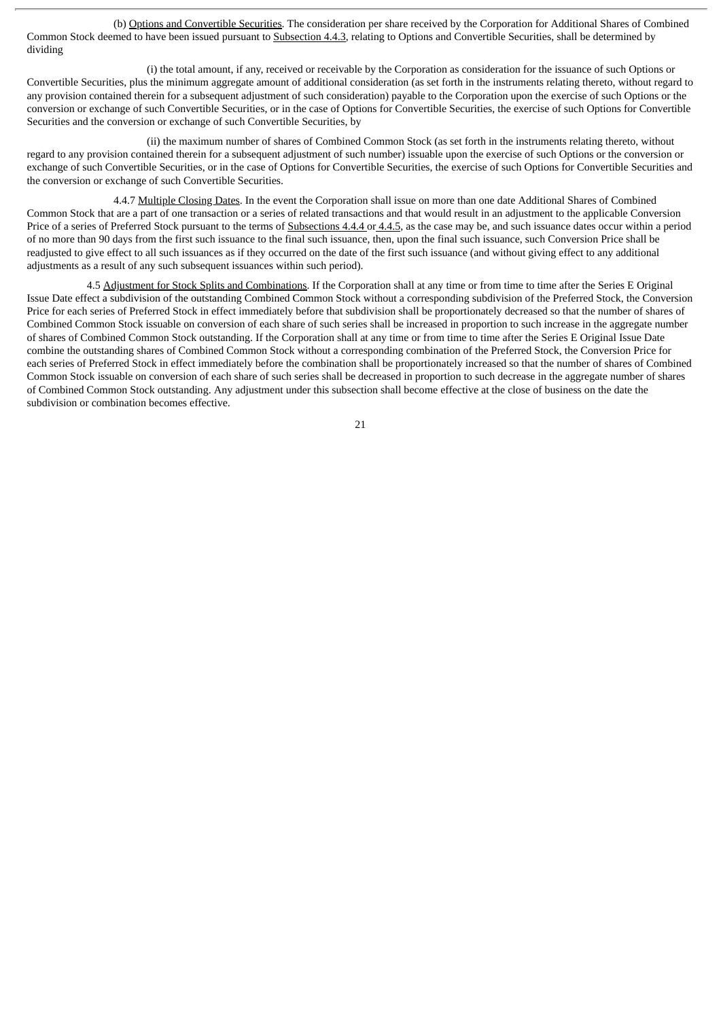(b) Options and Convertible Securities. The consideration per share received by the Corporation for Additional Shares of Combined Common Stock deemed to have been issued pursuant to Subsection 4.4.3, relating to Options and Convertible Securities, shall be determined by dividing

(i) the total amount, if any, received or receivable by the Corporation as consideration for the issuance of such Options or Convertible Securities, plus the minimum aggregate amount of additional consideration (as set forth in the instruments relating thereto, without regard to any provision contained therein for a subsequent adjustment of such consideration) payable to the Corporation upon the exercise of such Options or the conversion or exchange of such Convertible Securities, or in the case of Options for Convertible Securities, the exercise of such Options for Convertible Securities and the conversion or exchange of such Convertible Securities, by

(ii) the maximum number of shares of Combined Common Stock (as set forth in the instruments relating thereto, without regard to any provision contained therein for a subsequent adjustment of such number) issuable upon the exercise of such Options or the conversion or exchange of such Convertible Securities, or in the case of Options for Convertible Securities, the exercise of such Options for Convertible Securities and the conversion or exchange of such Convertible Securities.

4.4.7 Multiple Closing Dates. In the event the Corporation shall issue on more than one date Additional Shares of Combined Common Stock that are a part of one transaction or a series of related transactions and that would result in an adjustment to the applicable Conversion Price of a series of Preferred Stock pursuant to the terms of Subsections 4.4.4 or 4.4.5, as the case may be, and such issuance dates occur within a period of no more than 90 days from the first such issuance to the final such issuance, then, upon the final such issuance, such Conversion Price shall be readjusted to give effect to all such issuances as if they occurred on the date of the first such issuance (and without giving effect to any additional adjustments as a result of any such subsequent issuances within such period).

4.5 Adjustment for Stock Splits and Combinations. If the Corporation shall at any time or from time to time after the Series E Original Issue Date effect a subdivision of the outstanding Combined Common Stock without a corresponding subdivision of the Preferred Stock, the Conversion Price for each series of Preferred Stock in effect immediately before that subdivision shall be proportionately decreased so that the number of shares of Combined Common Stock issuable on conversion of each share of such series shall be increased in proportion to such increase in the aggregate number of shares of Combined Common Stock outstanding. If the Corporation shall at any time or from time to time after the Series E Original Issue Date combine the outstanding shares of Combined Common Stock without a corresponding combination of the Preferred Stock, the Conversion Price for each series of Preferred Stock in effect immediately before the combination shall be proportionately increased so that the number of shares of Combined Common Stock issuable on conversion of each share of such series shall be decreased in proportion to such decrease in the aggregate number of shares of Combined Common Stock outstanding. Any adjustment under this subsection shall become effective at the close of business on the date the subdivision or combination becomes effective.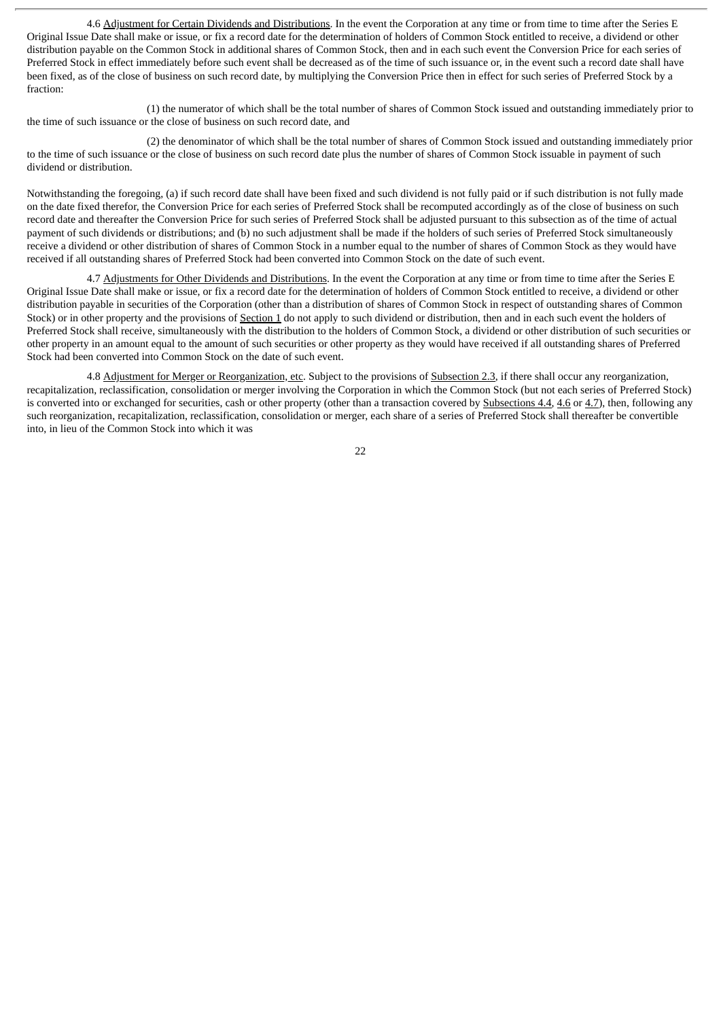4.6 Adjustment for Certain Dividends and Distributions. In the event the Corporation at any time or from time to time after the Series E Original Issue Date shall make or issue, or fix a record date for the determination of holders of Common Stock entitled to receive, a dividend or other distribution payable on the Common Stock in additional shares of Common Stock, then and in each such event the Conversion Price for each series of Preferred Stock in effect immediately before such event shall be decreased as of the time of such issuance or, in the event such a record date shall have been fixed, as of the close of business on such record date, by multiplying the Conversion Price then in effect for such series of Preferred Stock by a fraction:

(1) the numerator of which shall be the total number of shares of Common Stock issued and outstanding immediately prior to the time of such issuance or the close of business on such record date, and

(2) the denominator of which shall be the total number of shares of Common Stock issued and outstanding immediately prior to the time of such issuance or the close of business on such record date plus the number of shares of Common Stock issuable in payment of such dividend or distribution.

Notwithstanding the foregoing, (a) if such record date shall have been fixed and such dividend is not fully paid or if such distribution is not fully made on the date fixed therefor, the Conversion Price for each series of Preferred Stock shall be recomputed accordingly as of the close of business on such record date and thereafter the Conversion Price for such series of Preferred Stock shall be adjusted pursuant to this subsection as of the time of actual payment of such dividends or distributions; and (b) no such adjustment shall be made if the holders of such series of Preferred Stock simultaneously receive a dividend or other distribution of shares of Common Stock in a number equal to the number of shares of Common Stock as they would have received if all outstanding shares of Preferred Stock had been converted into Common Stock on the date of such event.

4.7 Adjustments for Other Dividends and Distributions. In the event the Corporation at any time or from time to time after the Series E Original Issue Date shall make or issue, or fix a record date for the determination of holders of Common Stock entitled to receive, a dividend or other distribution payable in securities of the Corporation (other than a distribution of shares of Common Stock in respect of outstanding shares of Common Stock) or in other property and the provisions of Section 1 do not apply to such dividend or distribution, then and in each such event the holders of Preferred Stock shall receive, simultaneously with the distribution to the holders of Common Stock, a dividend or other distribution of such securities or other property in an amount equal to the amount of such securities or other property as they would have received if all outstanding shares of Preferred Stock had been converted into Common Stock on the date of such event.

4.8 Adjustment for Merger or Reorganization, etc. Subject to the provisions of Subsection 2.3, if there shall occur any reorganization, recapitalization, reclassification, consolidation or merger involving the Corporation in which the Common Stock (but not each series of Preferred Stock) is converted into or exchanged for securities, cash or other property (other than a transaction covered by Subsections 4.4, 4.6 or 4.7), then, following any such reorganization, recapitalization, reclassification, consolidation or merger, each share of a series of Preferred Stock shall thereafter be convertible into, in lieu of the Common Stock into which it was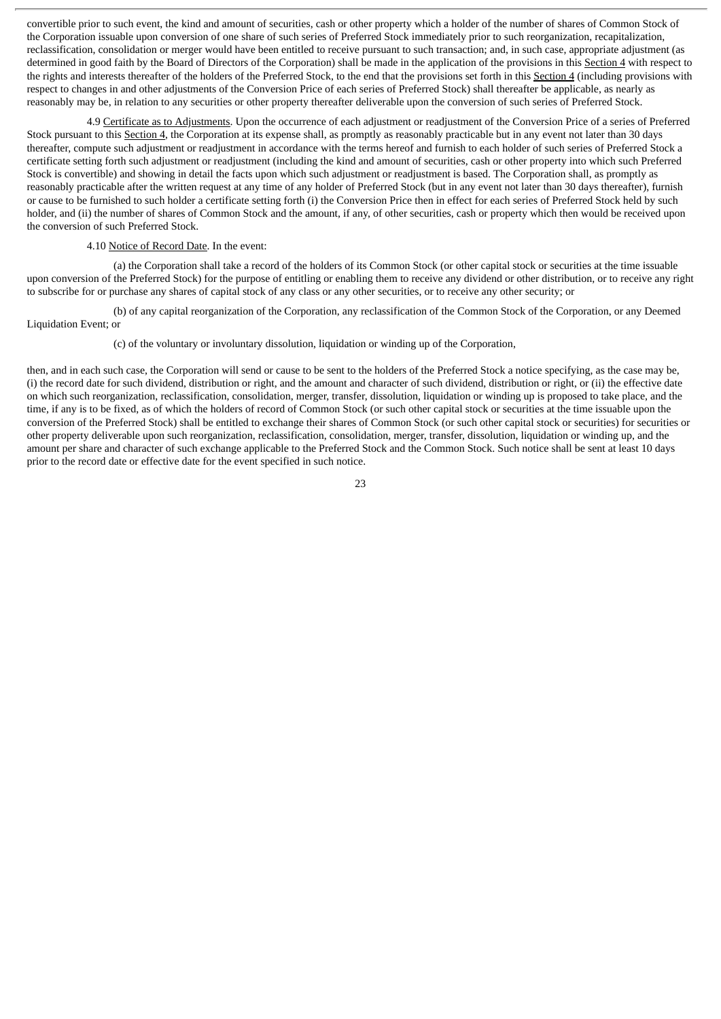convertible prior to such event, the kind and amount of securities, cash or other property which a holder of the number of shares of Common Stock of the Corporation issuable upon conversion of one share of such series of Preferred Stock immediately prior to such reorganization, recapitalization, reclassification, consolidation or merger would have been entitled to receive pursuant to such transaction; and, in such case, appropriate adjustment (as determined in good faith by the Board of Directors of the Corporation) shall be made in the application of the provisions in this Section 4 with respect to the rights and interests thereafter of the holders of the Preferred Stock, to the end that the provisions set forth in this Section 4 (including provisions with respect to changes in and other adjustments of the Conversion Price of each series of Preferred Stock) shall thereafter be applicable, as nearly as reasonably may be, in relation to any securities or other property thereafter deliverable upon the conversion of such series of Preferred Stock.

4.9 Certificate as to Adjustments. Upon the occurrence of each adjustment or readjustment of the Conversion Price of a series of Preferred Stock pursuant to this Section 4, the Corporation at its expense shall, as promptly as reasonably practicable but in any event not later than 30 days thereafter, compute such adjustment or readjustment in accordance with the terms hereof and furnish to each holder of such series of Preferred Stock a certificate setting forth such adjustment or readjustment (including the kind and amount of securities, cash or other property into which such Preferred Stock is convertible) and showing in detail the facts upon which such adjustment or readjustment is based. The Corporation shall, as promptly as reasonably practicable after the written request at any time of any holder of Preferred Stock (but in any event not later than 30 days thereafter), furnish or cause to be furnished to such holder a certificate setting forth (i) the Conversion Price then in effect for each series of Preferred Stock held by such holder, and (ii) the number of shares of Common Stock and the amount, if any, of other securities, cash or property which then would be received upon the conversion of such Preferred Stock.

#### 4.10 Notice of Record Date. In the event:

(a) the Corporation shall take a record of the holders of its Common Stock (or other capital stock or securities at the time issuable upon conversion of the Preferred Stock) for the purpose of entitling or enabling them to receive any dividend or other distribution, or to receive any right to subscribe for or purchase any shares of capital stock of any class or any other securities, or to receive any other security; or

(b) of any capital reorganization of the Corporation, any reclassification of the Common Stock of the Corporation, or any Deemed Liquidation Event; or

(c) of the voluntary or involuntary dissolution, liquidation or winding up of the Corporation,

then, and in each such case, the Corporation will send or cause to be sent to the holders of the Preferred Stock a notice specifying, as the case may be, (i) the record date for such dividend, distribution or right, and the amount and character of such dividend, distribution or right, or (ii) the effective date on which such reorganization, reclassification, consolidation, merger, transfer, dissolution, liquidation or winding up is proposed to take place, and the time, if any is to be fixed, as of which the holders of record of Common Stock (or such other capital stock or securities at the time issuable upon the conversion of the Preferred Stock) shall be entitled to exchange their shares of Common Stock (or such other capital stock or securities) for securities or other property deliverable upon such reorganization, reclassification, consolidation, merger, transfer, dissolution, liquidation or winding up, and the amount per share and character of such exchange applicable to the Preferred Stock and the Common Stock. Such notice shall be sent at least 10 days prior to the record date or effective date for the event specified in such notice.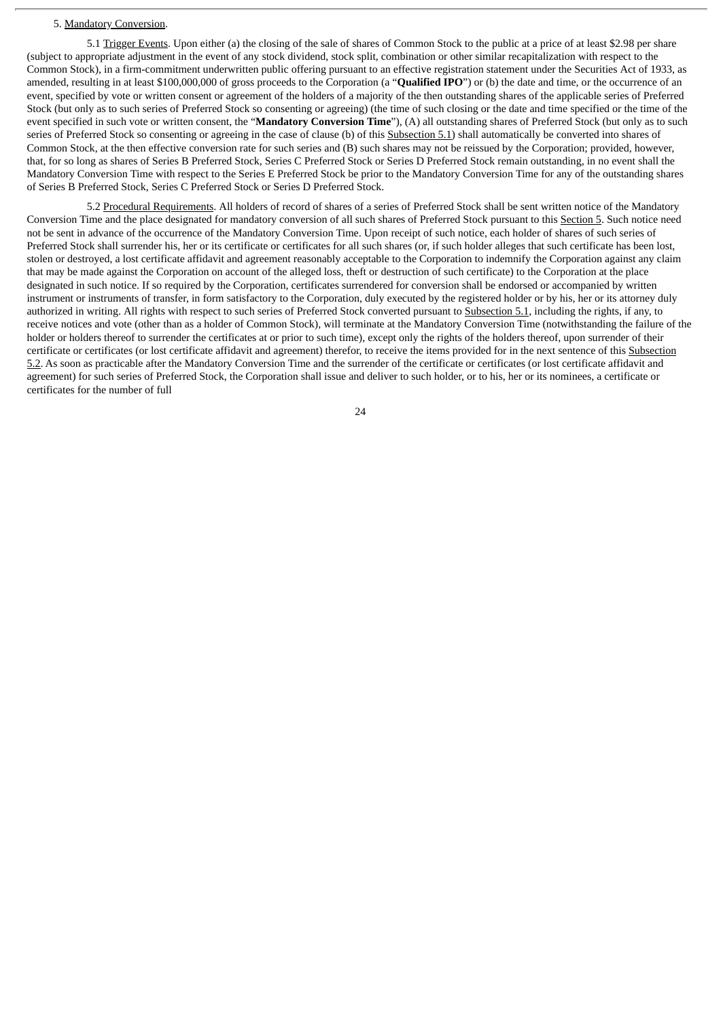#### 5. Mandatory Conversion.

5.1 Trigger Events. Upon either (a) the closing of the sale of shares of Common Stock to the public at a price of at least \$2.98 per share (subject to appropriate adjustment in the event of any stock dividend, stock split, combination or other similar recapitalization with respect to the Common Stock), in a firm-commitment underwritten public offering pursuant to an effective registration statement under the Securities Act of 1933, as amended, resulting in at least \$100,000,000 of gross proceeds to the Corporation (a "**Qualified IPO**") or (b) the date and time, or the occurrence of an event, specified by vote or written consent or agreement of the holders of a majority of the then outstanding shares of the applicable series of Preferred Stock (but only as to such series of Preferred Stock so consenting or agreeing) (the time of such closing or the date and time specified or the time of the event specified in such vote or written consent, the "**Mandatory Conversion Time**"), (A) all outstanding shares of Preferred Stock (but only as to such series of Preferred Stock so consenting or agreeing in the case of clause (b) of this Subsection 5.1) shall automatically be converted into shares of Common Stock, at the then effective conversion rate for such series and (B) such shares may not be reissued by the Corporation; provided, however, that, for so long as shares of Series B Preferred Stock, Series C Preferred Stock or Series D Preferred Stock remain outstanding, in no event shall the Mandatory Conversion Time with respect to the Series E Preferred Stock be prior to the Mandatory Conversion Time for any of the outstanding shares of Series B Preferred Stock, Series C Preferred Stock or Series D Preferred Stock.

5.2 Procedural Requirements. All holders of record of shares of a series of Preferred Stock shall be sent written notice of the Mandatory Conversion Time and the place designated for mandatory conversion of all such shares of Preferred Stock pursuant to this Section 5. Such notice need not be sent in advance of the occurrence of the Mandatory Conversion Time. Upon receipt of such notice, each holder of shares of such series of Preferred Stock shall surrender his, her or its certificate or certificates for all such shares (or, if such holder alleges that such certificate has been lost, stolen or destroyed, a lost certificate affidavit and agreement reasonably acceptable to the Corporation to indemnify the Corporation against any claim that may be made against the Corporation on account of the alleged loss, theft or destruction of such certificate) to the Corporation at the place designated in such notice. If so required by the Corporation, certificates surrendered for conversion shall be endorsed or accompanied by written instrument or instruments of transfer, in form satisfactory to the Corporation, duly executed by the registered holder or by his, her or its attorney duly authorized in writing. All rights with respect to such series of Preferred Stock converted pursuant to Subsection 5.1, including the rights, if any, to receive notices and vote (other than as a holder of Common Stock), will terminate at the Mandatory Conversion Time (notwithstanding the failure of the holder or holders thereof to surrender the certificates at or prior to such time), except only the rights of the holders thereof, upon surrender of their certificate or certificates (or lost certificate affidavit and agreement) therefor, to receive the items provided for in the next sentence of this Subsection 5.2. As soon as practicable after the Mandatory Conversion Time and the surrender of the certificate or certificates (or lost certificate affidavit and agreement) for such series of Preferred Stock, the Corporation shall issue and deliver to such holder, or to his, her or its nominees, a certificate or certificates for the number of full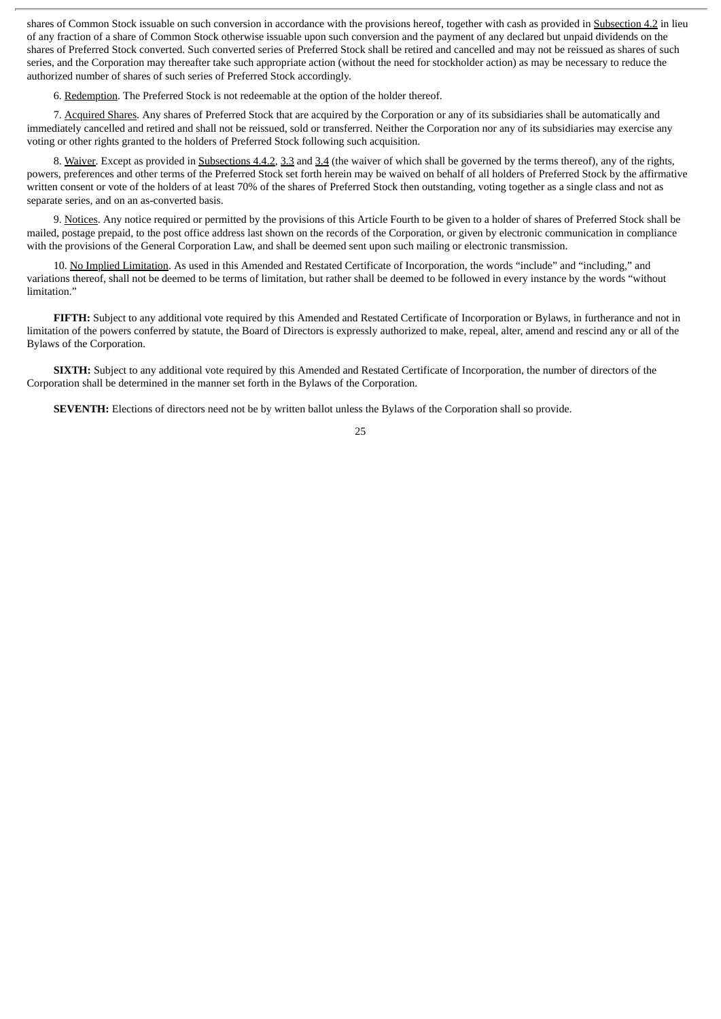shares of Common Stock issuable on such conversion in accordance with the provisions hereof, together with cash as provided in Subsection 4.2 in lieu of any fraction of a share of Common Stock otherwise issuable upon such conversion and the payment of any declared but unpaid dividends on the shares of Preferred Stock converted. Such converted series of Preferred Stock shall be retired and cancelled and may not be reissued as shares of such series, and the Corporation may thereafter take such appropriate action (without the need for stockholder action) as may be necessary to reduce the authorized number of shares of such series of Preferred Stock accordingly.

6. Redemption. The Preferred Stock is not redeemable at the option of the holder thereof.

7. Acquired Shares. Any shares of Preferred Stock that are acquired by the Corporation or any of its subsidiaries shall be automatically and immediately cancelled and retired and shall not be reissued, sold or transferred. Neither the Corporation nor any of its subsidiaries may exercise any voting or other rights granted to the holders of Preferred Stock following such acquisition.

8. Waiver. Except as provided in Subsections 4.4.2, 3.3 and 3.4 (the waiver of which shall be governed by the terms thereof), any of the rights, powers, preferences and other terms of the Preferred Stock set forth herein may be waived on behalf of all holders of Preferred Stock by the affirmative written consent or vote of the holders of at least 70% of the shares of Preferred Stock then outstanding, voting together as a single class and not as separate series, and on an as-converted basis.

9. Notices. Any notice required or permitted by the provisions of this Article Fourth to be given to a holder of shares of Preferred Stock shall be mailed, postage prepaid, to the post office address last shown on the records of the Corporation, or given by electronic communication in compliance with the provisions of the General Corporation Law, and shall be deemed sent upon such mailing or electronic transmission.

10. No Implied Limitation. As used in this Amended and Restated Certificate of Incorporation, the words "include" and "including," and variations thereof, shall not be deemed to be terms of limitation, but rather shall be deemed to be followed in every instance by the words "without limitation."

**FIFTH:** Subject to any additional vote required by this Amended and Restated Certificate of Incorporation or Bylaws, in furtherance and not in limitation of the powers conferred by statute, the Board of Directors is expressly authorized to make, repeal, alter, amend and rescind any or all of the Bylaws of the Corporation.

**SIXTH:** Subject to any additional vote required by this Amended and Restated Certificate of Incorporation, the number of directors of the Corporation shall be determined in the manner set forth in the Bylaws of the Corporation.

**SEVENTH:** Elections of directors need not be by written ballot unless the Bylaws of the Corporation shall so provide.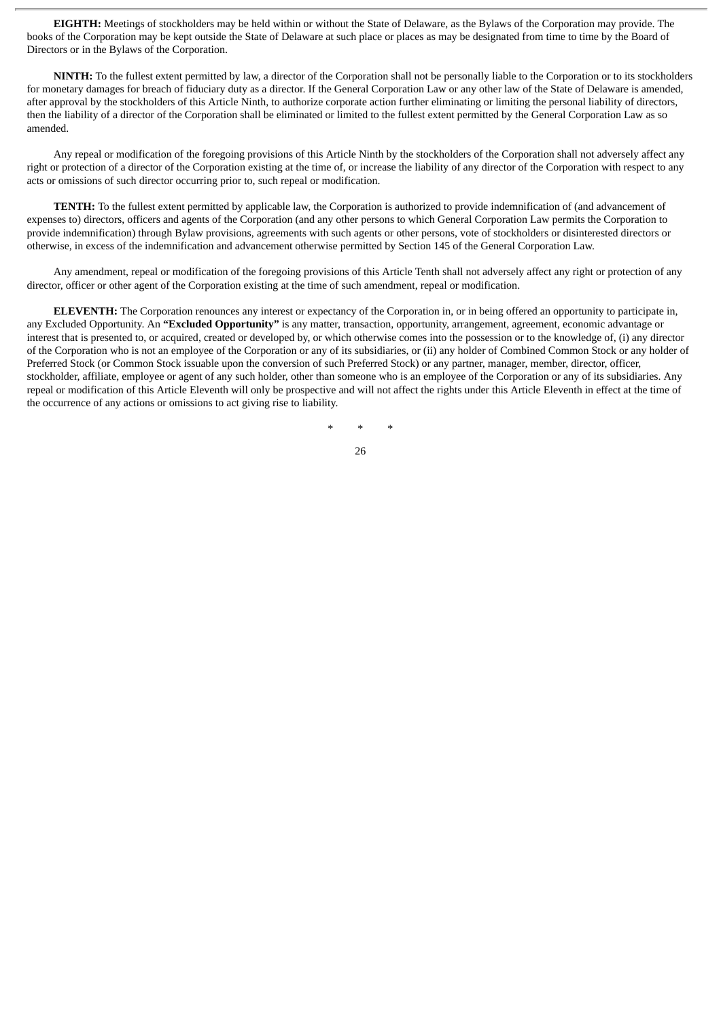**EIGHTH:** Meetings of stockholders may be held within or without the State of Delaware, as the Bylaws of the Corporation may provide. The books of the Corporation may be kept outside the State of Delaware at such place or places as may be designated from time to time by the Board of Directors or in the Bylaws of the Corporation.

**NINTH:** To the fullest extent permitted by law, a director of the Corporation shall not be personally liable to the Corporation or to its stockholders for monetary damages for breach of fiduciary duty as a director. If the General Corporation Law or any other law of the State of Delaware is amended, after approval by the stockholders of this Article Ninth, to authorize corporate action further eliminating or limiting the personal liability of directors, then the liability of a director of the Corporation shall be eliminated or limited to the fullest extent permitted by the General Corporation Law as so amended.

Any repeal or modification of the foregoing provisions of this Article Ninth by the stockholders of the Corporation shall not adversely affect any right or protection of a director of the Corporation existing at the time of, or increase the liability of any director of the Corporation with respect to any acts or omissions of such director occurring prior to, such repeal or modification.

**TENTH:** To the fullest extent permitted by applicable law, the Corporation is authorized to provide indemnification of (and advancement of expenses to) directors, officers and agents of the Corporation (and any other persons to which General Corporation Law permits the Corporation to provide indemnification) through Bylaw provisions, agreements with such agents or other persons, vote of stockholders or disinterested directors or otherwise, in excess of the indemnification and advancement otherwise permitted by Section 145 of the General Corporation Law.

Any amendment, repeal or modification of the foregoing provisions of this Article Tenth shall not adversely affect any right or protection of any director, officer or other agent of the Corporation existing at the time of such amendment, repeal or modification.

**ELEVENTH:** The Corporation renounces any interest or expectancy of the Corporation in, or in being offered an opportunity to participate in, any Excluded Opportunity. An **"Excluded Opportunity"** is any matter, transaction, opportunity, arrangement, agreement, economic advantage or interest that is presented to, or acquired, created or developed by, or which otherwise comes into the possession or to the knowledge of, (i) any director of the Corporation who is not an employee of the Corporation or any of its subsidiaries, or (ii) any holder of Combined Common Stock or any holder of Preferred Stock (or Common Stock issuable upon the conversion of such Preferred Stock) or any partner, manager, member, director, officer, stockholder, affiliate, employee or agent of any such holder, other than someone who is an employee of the Corporation or any of its subsidiaries. Any repeal or modification of this Article Eleventh will only be prospective and will not affect the rights under this Article Eleventh in effect at the time of the occurrence of any actions or omissions to act giving rise to liability.

\* \* \*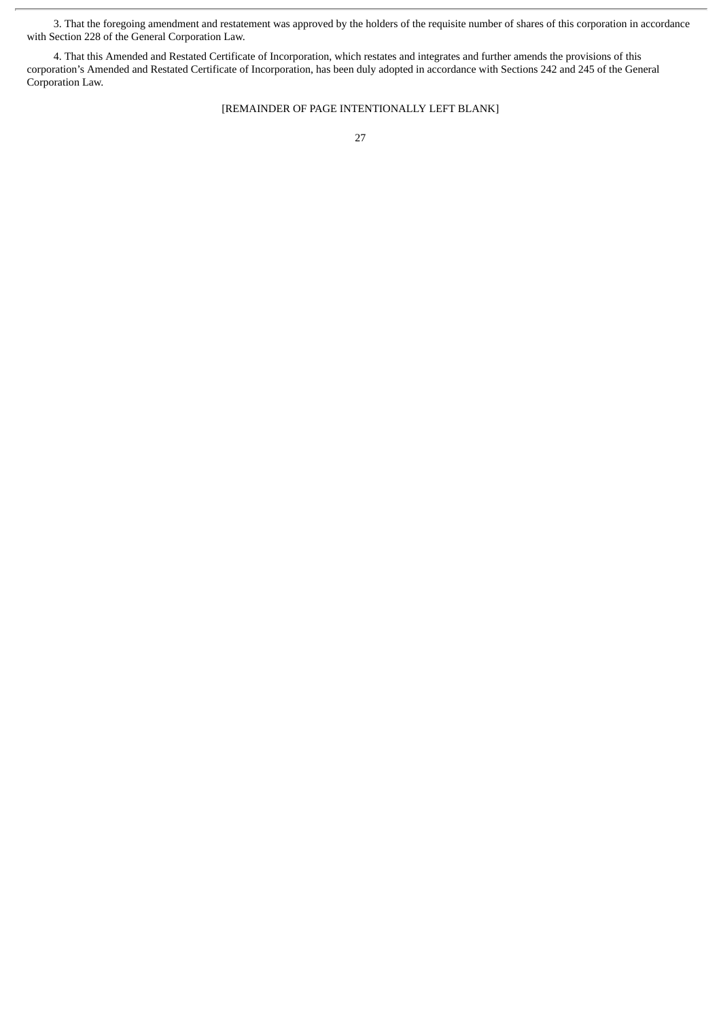3. That the foregoing amendment and restatement was approved by the holders of the requisite number of shares of this corporation in accordance with Section 228 of the General Corporation Law.

4. That this Amended and Restated Certificate of Incorporation, which restates and integrates and further amends the provisions of this corporation's Amended and Restated Certificate of Incorporation, has been duly adopted in accordance with Sections 242 and 245 of the General Corporation Law.

#### [REMAINDER OF PAGE INTENTIONALLY LEFT BLANK]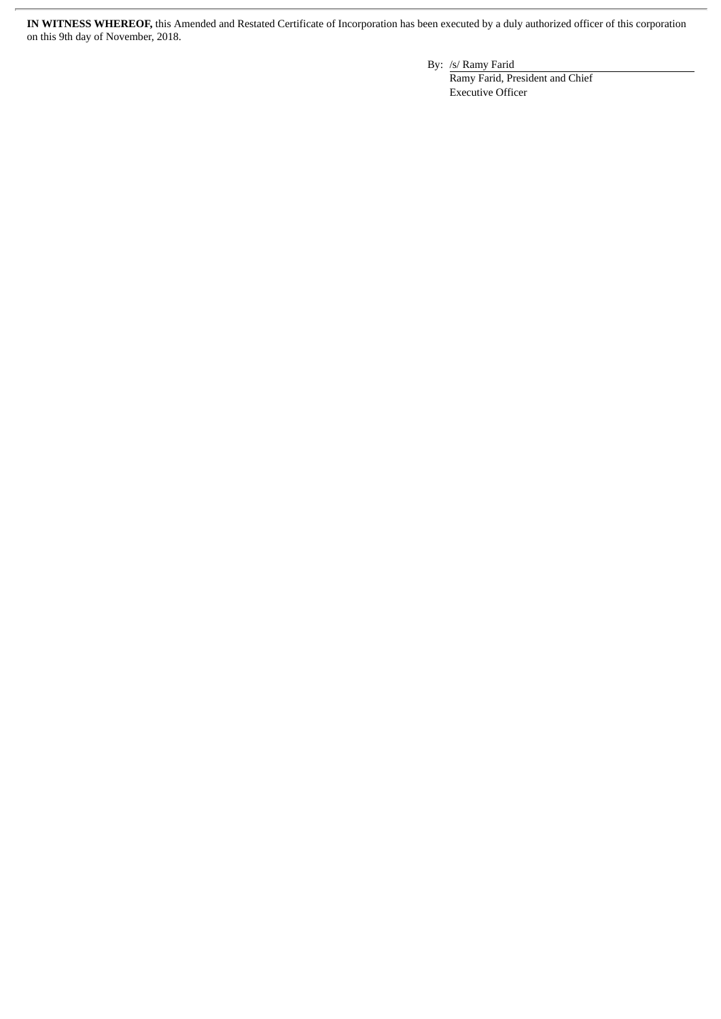**IN WITNESS WHEREOF,** this Amended and Restated Certificate of Incorporation has been executed by a duly authorized officer of this corporation on this 9th day of November, 2018.

By: /s/ Ramy Farid

Ramy Farid, President and Chief Executive Officer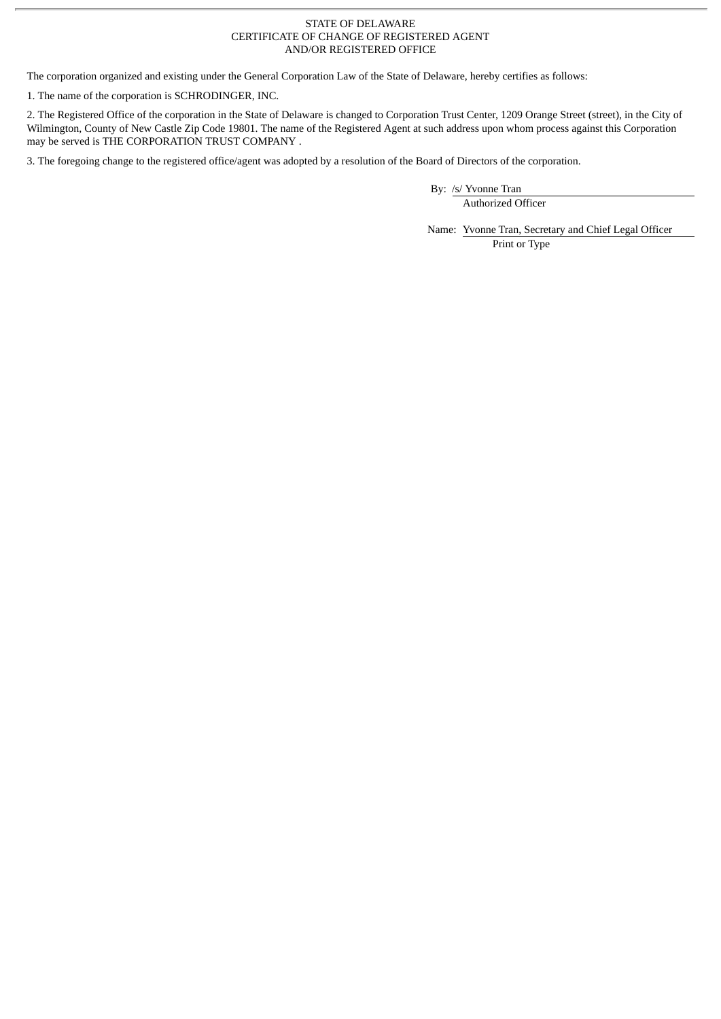#### STATE OF DELAWARE CERTIFICATE OF CHANGE OF REGISTERED AGENT AND/OR REGISTERED OFFICE

The corporation organized and existing under the General Corporation Law of the State of Delaware, hereby certifies as follows:

1. The name of the corporation is SCHRODINGER, INC.

2. The Registered Office of the corporation in the State of Delaware is changed to Corporation Trust Center, 1209 Orange Street (street), in the City of Wilmington, County of New Castle Zip Code 19801. The name of the Registered Agent at such address upon whom process against this Corporation may be served is THE CORPORATION TRUST COMPANY.

3. The foregoing change to the registered office/agent was adopted by a resolution of the Board of Directors of the corporation.

By: /s/ Yvonne Tran Authorized Officer

Name: Yvonne Tran, Secretary and Chief Legal Officer Print or Type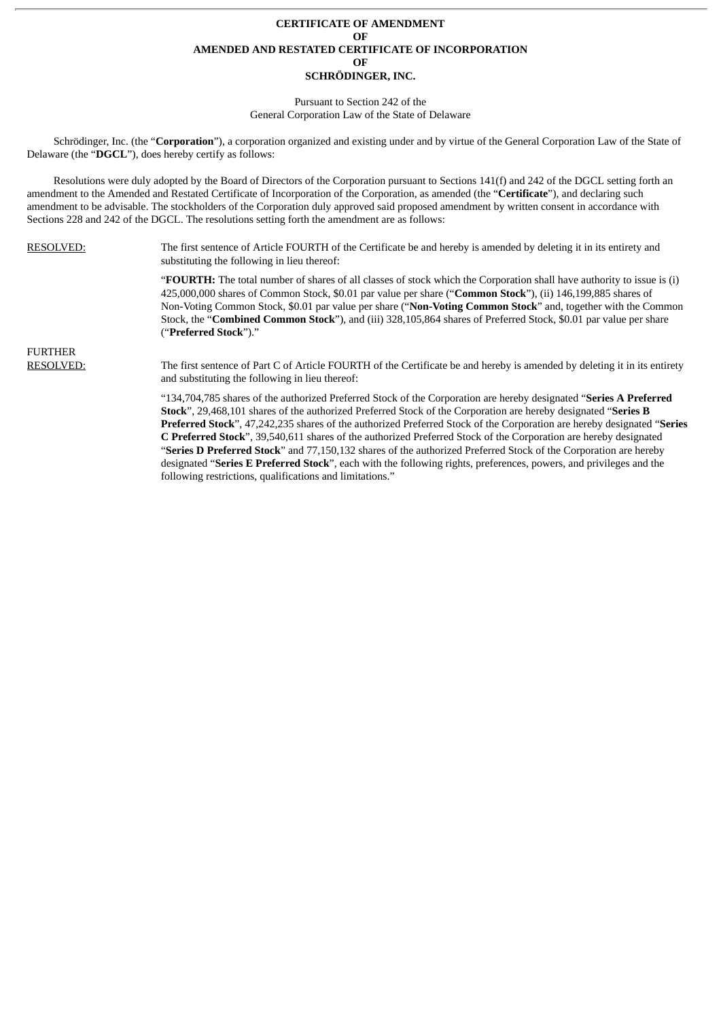#### **CERTIFICATE OF AMENDMENT OF AMENDED AND RESTATED CERTIFICATE OF INCORPORATION OF SCHRÖDINGER, INC.**

### Pursuant to Section 242 of the

General Corporation Law of the State of Delaware

Schrödinger, Inc. (the "**Corporation**"), a corporation organized and existing under and by virtue of the General Corporation Law of the State of Delaware (the "**DGCL**"), does hereby certify as follows:

Resolutions were duly adopted by the Board of Directors of the Corporation pursuant to Sections 141(f) and 242 of the DGCL setting forth an amendment to the Amended and Restated Certificate of Incorporation of the Corporation, as amended (the "**Certificate**"), and declaring such amendment to be advisable. The stockholders of the Corporation duly approved said proposed amendment by written consent in accordance with Sections 228 and 242 of the DGCL. The resolutions setting forth the amendment are as follows:

RESOLVED: The first sentence of Article FOURTH of the Certificate be and hereby is amended by deleting it in its entirety and substituting the following in lieu thereof:

> "**FOURTH:** The total number of shares of all classes of stock which the Corporation shall have authority to issue is (i) 425,000,000 shares of Common Stock, \$0.01 par value per share ("**Common Stock**"), (ii) 146,199,885 shares of Non-Voting Common Stock, \$0.01 par value per share ("**Non-Voting Common Stock**" and, together with the Common Stock, the "**Combined Common Stock**"), and (iii) 328,105,864 shares of Preferred Stock, \$0.01 par value per share ("**Preferred Stock**")."

FURTHER

RESOLVED: The first sentence of Part C of Article FOURTH of the Certificate be and hereby is amended by deleting it in its entirety and substituting the following in lieu thereof:

> "134,704,785 shares of the authorized Preferred Stock of the Corporation are hereby designated "**Series A Preferred Stock**", 29,468,101 shares of the authorized Preferred Stock of the Corporation are hereby designated "**Series B Preferred Stock**", 47,242,235 shares of the authorized Preferred Stock of the Corporation are hereby designated "**Series C Preferred Stock**", 39,540,611 shares of the authorized Preferred Stock of the Corporation are hereby designated "**Series D Preferred Stock**" and 77,150,132 shares of the authorized Preferred Stock of the Corporation are hereby designated "**Series E Preferred Stock**", each with the following rights, preferences, powers, and privileges and the following restrictions, qualifications and limitations."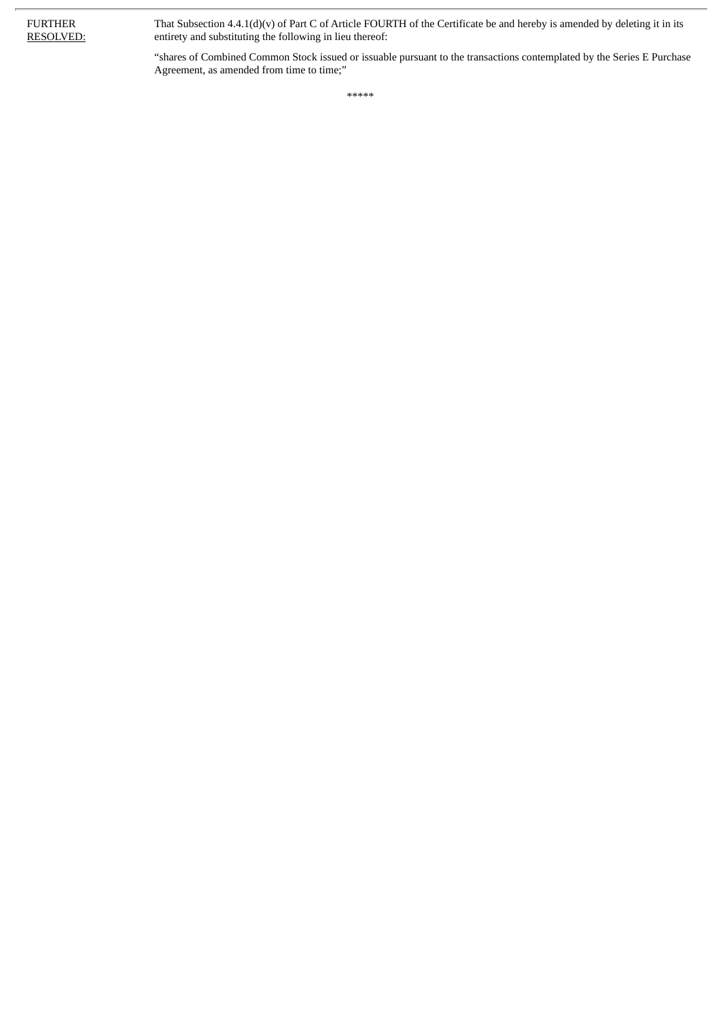That Subsection 4.4.1(d)(v) of Part C of Article FOURTH of the Certificate be and hereby is amended by deleting it in its entirety and substituting the following in lieu thereof:

"shares of Combined Common Stock issued or issuable pursuant to the transactions contemplated by the Series E Purchase Agreement, as amended from time to time;"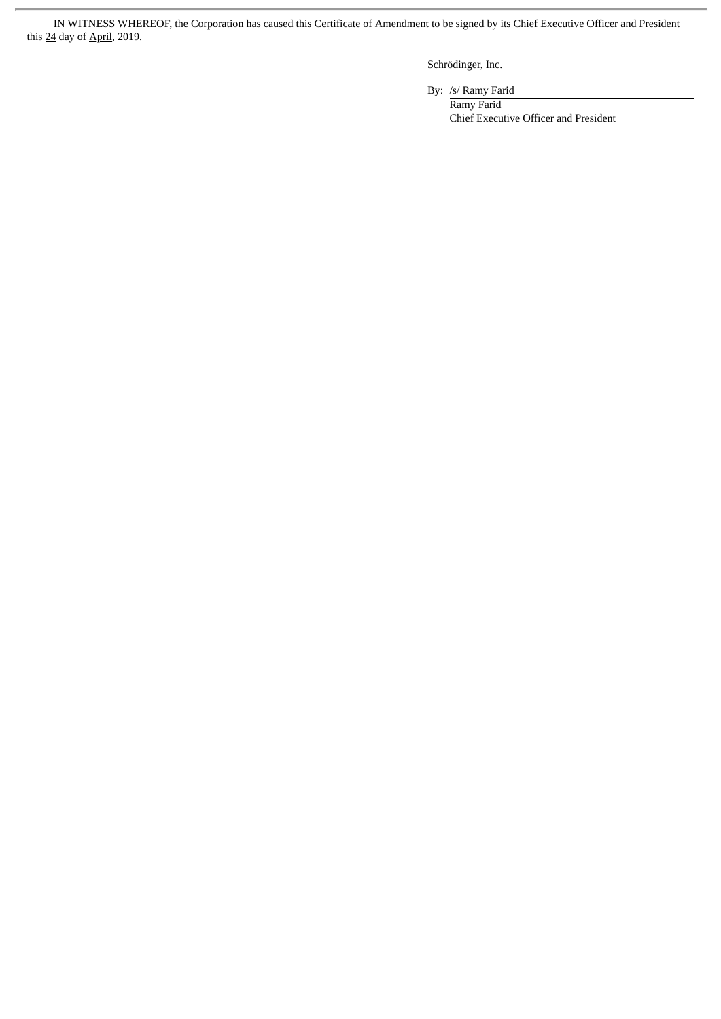IN WITNESS WHEREOF, the Corporation has caused this Certificate of Amendment to be signed by its Chief Executive Officer and President this 24 day of April, 2019.

Schrödinger, Inc.

By: /s/ Ramy Farid

Ramy Farid Chief Executive Officer and President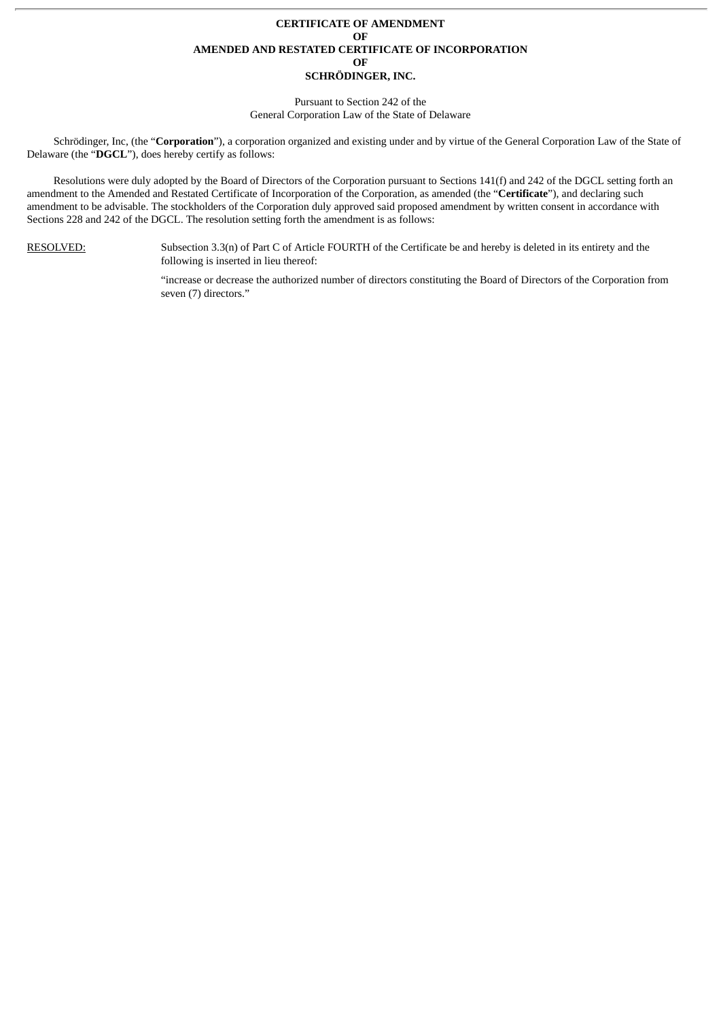#### **CERTIFICATE OF AMENDMENT OF AMENDED AND RESTATED CERTIFICATE OF INCORPORATION OF SCHRÖDINGER, INC.**

## Pursuant to Section 242 of the

General Corporation Law of the State of Delaware

Schrödinger, Inc, (the "**Corporation**"), a corporation organized and existing under and by virtue of the General Corporation Law of the State of Delaware (the "**DGCL**"), does hereby certify as follows:

Resolutions were duly adopted by the Board of Directors of the Corporation pursuant to Sections 141(f) and 242 of the DGCL setting forth an amendment to the Amended and Restated Certificate of Incorporation of the Corporation, as amended (the "**Certificate**"), and declaring such amendment to be advisable. The stockholders of the Corporation duly approved said proposed amendment by written consent in accordance with Sections 228 and 242 of the DGCL. The resolution setting forth the amendment is as follows:

RESOLVED: Subsection 3.3(n) of Part C of Article FOURTH of the Certificate be and hereby is deleted in its entirety and the following is inserted in lieu thereof:

> "increase or decrease the authorized number of directors constituting the Board of Directors of the Corporation from seven (7) directors."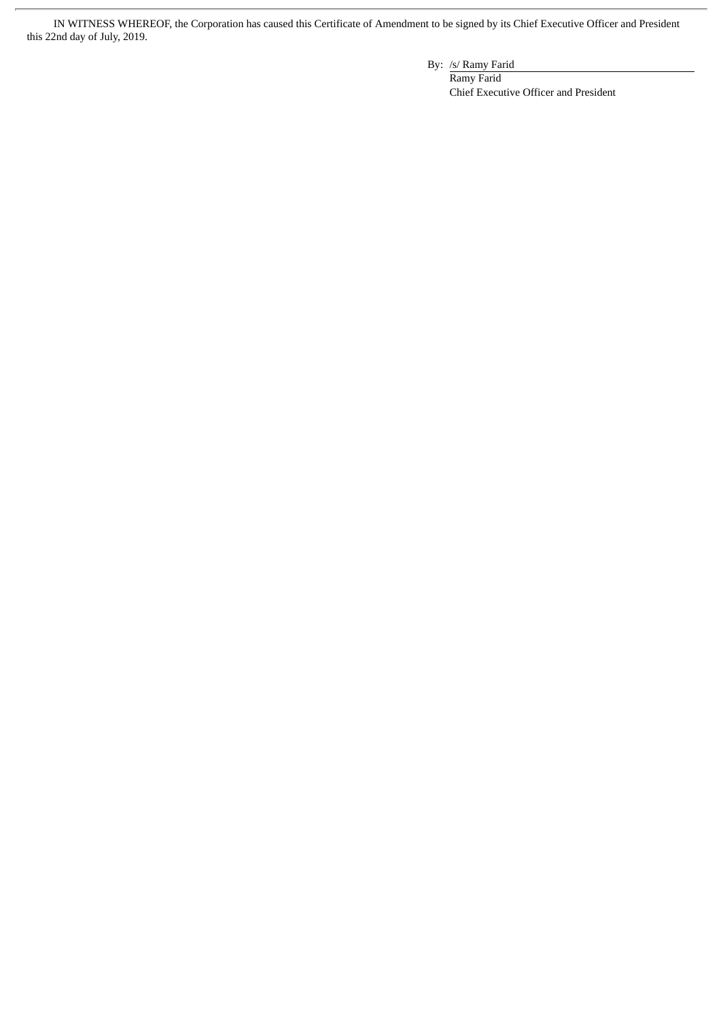IN WITNESS WHEREOF, the Corporation has caused this Certificate of Amendment to be signed by its Chief Executive Officer and President this 22nd day of July, 2019.

By: /s/ Ramy Farid

Ramy Farid Chief Executive Officer and President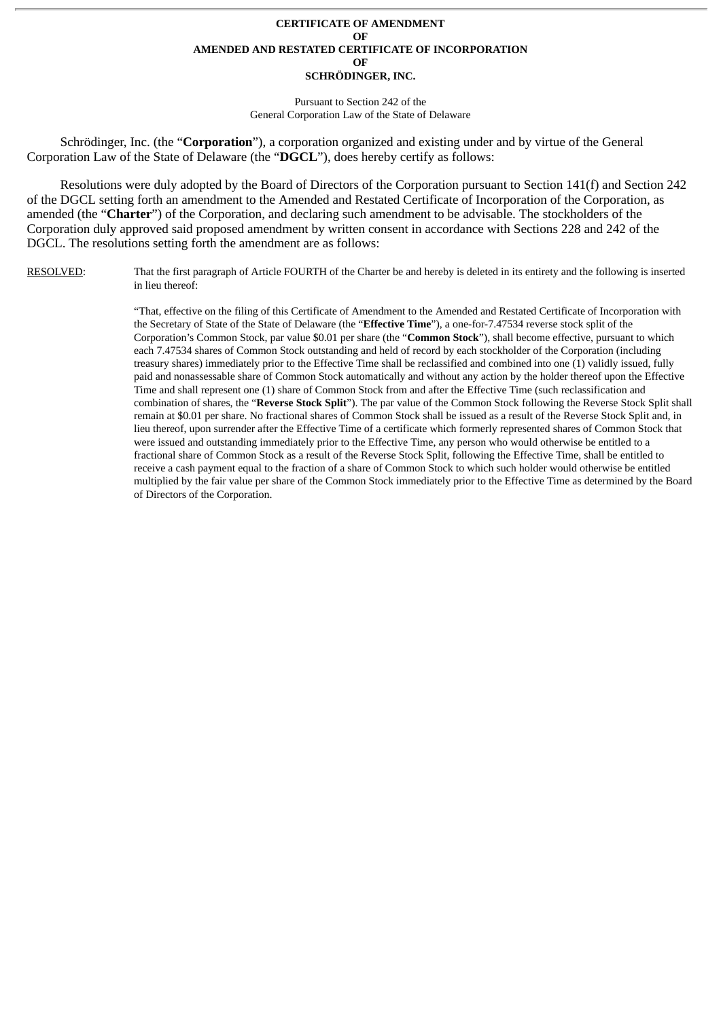#### **CERTIFICATE OF AMENDMENT OF AMENDED AND RESTATED CERTIFICATE OF INCORPORATION OF SCHRÖDINGER, INC.**

Pursuant to Section 242 of the General Corporation Law of the State of Delaware

Schrödinger, Inc. (the "**Corporation**"), a corporation organized and existing under and by virtue of the General Corporation Law of the State of Delaware (the "**DGCL**"), does hereby certify as follows:

Resolutions were duly adopted by the Board of Directors of the Corporation pursuant to Section 141(f) and Section 242 of the DGCL setting forth an amendment to the Amended and Restated Certificate of Incorporation of the Corporation, as amended (the "**Charter**") of the Corporation, and declaring such amendment to be advisable. The stockholders of the Corporation duly approved said proposed amendment by written consent in accordance with Sections 228 and 242 of the DGCL. The resolutions setting forth the amendment are as follows:

RESOLVED: That the first paragraph of Article FOURTH of the Charter be and hereby is deleted in its entirety and the following is inserted in lieu thereof:

> "That, effective on the filing of this Certificate of Amendment to the Amended and Restated Certificate of Incorporation with the Secretary of State of the State of Delaware (the "**Effective Time**"), a one-for-7.47534 reverse stock split of the Corporation's Common Stock, par value \$0.01 per share (the "**Common Stock**"), shall become effective, pursuant to which each 7.47534 shares of Common Stock outstanding and held of record by each stockholder of the Corporation (including treasury shares) immediately prior to the Effective Time shall be reclassified and combined into one (1) validly issued, fully paid and nonassessable share of Common Stock automatically and without any action by the holder thereof upon the Effective Time and shall represent one (1) share of Common Stock from and after the Effective Time (such reclassification and combination of shares, the "**Reverse Stock Split**"). The par value of the Common Stock following the Reverse Stock Split shall remain at \$0.01 per share. No fractional shares of Common Stock shall be issued as a result of the Reverse Stock Split and, in lieu thereof, upon surrender after the Effective Time of a certificate which formerly represented shares of Common Stock that were issued and outstanding immediately prior to the Effective Time, any person who would otherwise be entitled to a fractional share of Common Stock as a result of the Reverse Stock Split, following the Effective Time, shall be entitled to receive a cash payment equal to the fraction of a share of Common Stock to which such holder would otherwise be entitled multiplied by the fair value per share of the Common Stock immediately prior to the Effective Time as determined by the Board of Directors of the Corporation.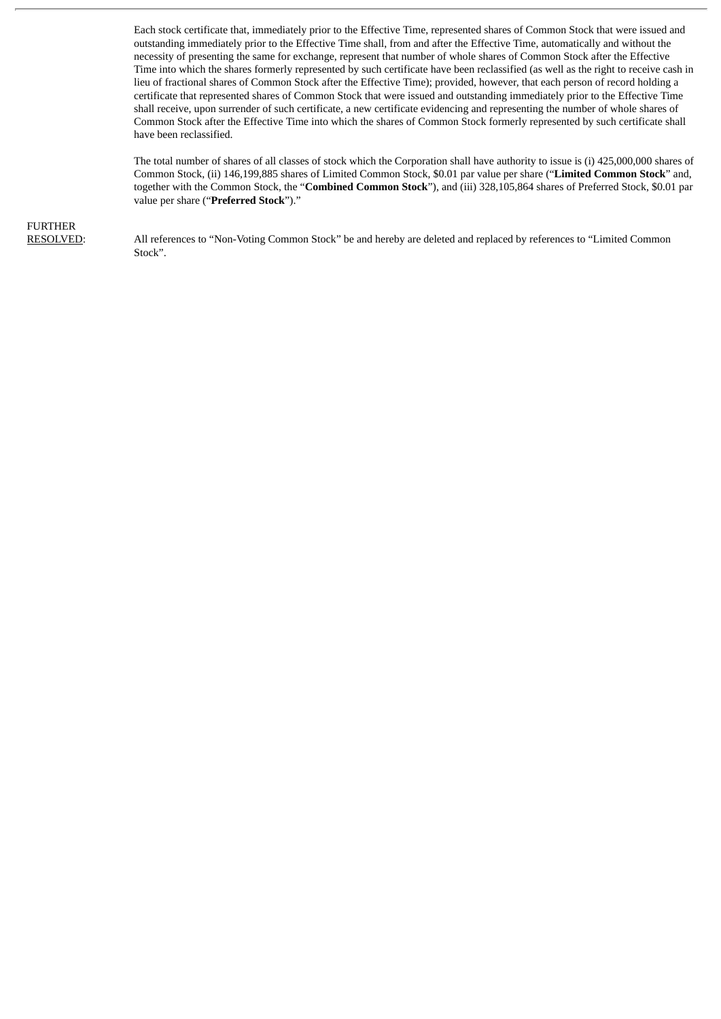Each stock certificate that, immediately prior to the Effective Time, represented shares of Common Stock that were issued and outstanding immediately prior to the Effective Time shall, from and after the Effective Time, automatically and without the necessity of presenting the same for exchange, represent that number of whole shares of Common Stock after the Effective Time into which the shares formerly represented by such certificate have been reclassified (as well as the right to receive cash in lieu of fractional shares of Common Stock after the Effective Time); provided, however, that each person of record holding a certificate that represented shares of Common Stock that were issued and outstanding immediately prior to the Effective Time shall receive, upon surrender of such certificate, a new certificate evidencing and representing the number of whole shares of Common Stock after the Effective Time into which the shares of Common Stock formerly represented by such certificate shall have been reclassified.

The total number of shares of all classes of stock which the Corporation shall have authority to issue is (i) 425,000,000 shares of Common Stock, (ii) 146,199,885 shares of Limited Common Stock, \$0.01 par value per share ("**Limited Common Stock**" and, together with the Common Stock, the "**Combined Common Stock**"), and (iii) 328,105,864 shares of Preferred Stock, \$0.01 par value per share ("**Preferred Stock**")."

## FURTHER

RESOLVED: All references to "Non-Voting Common Stock" be and hereby are deleted and replaced by references to "Limited Common Stock".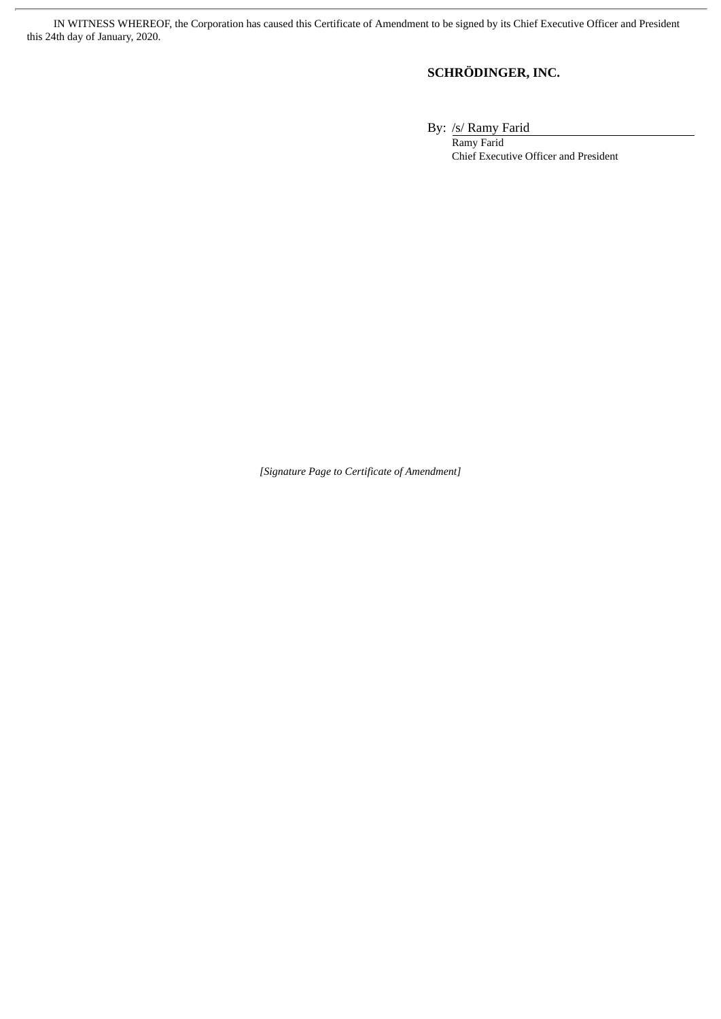IN WITNESS WHEREOF, the Corporation has caused this Certificate of Amendment to be signed by its Chief Executive Officer and President this 24th day of January, 2020.

### **SCHRÖDINGER, INC.**

By: /s/ Ramy Farid

Ramy Farid Chief Executive Officer and President

*[Signature Page to Certificate of Amendment]*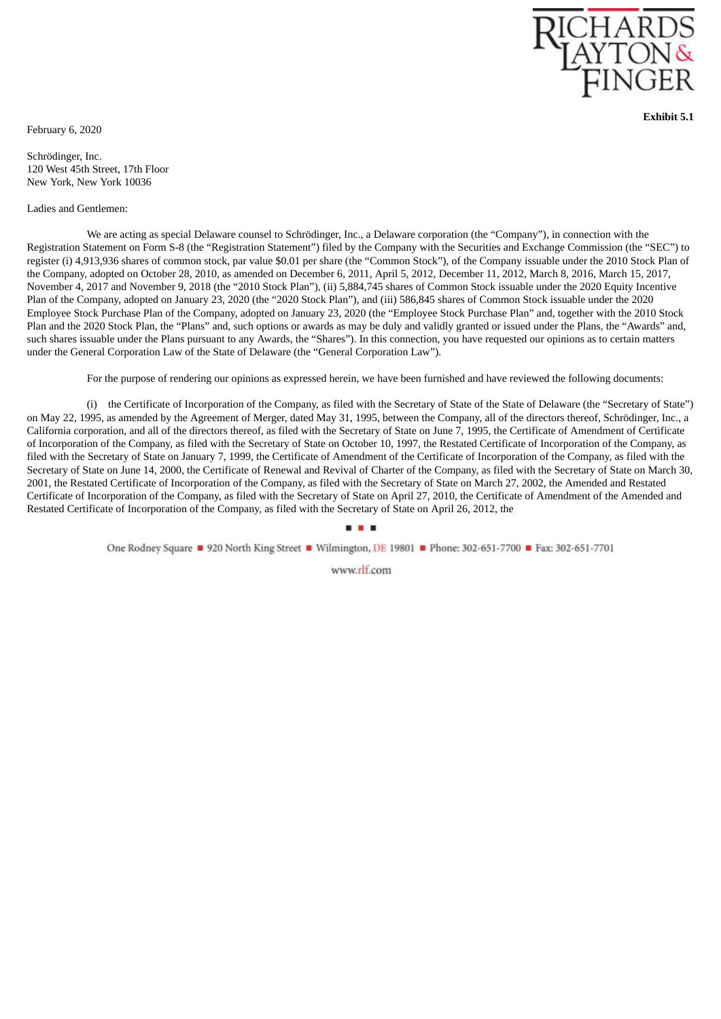

**Exhibit 5.1**

<span id="page-44-0"></span>February 6, 2020

Schrödinger, Inc. 120 West 45th Street, 17th Floor New York, New York 10036

#### Ladies and Gentlemen:

We are acting as special Delaware counsel to Schrödinger, Inc., a Delaware corporation (the "Company"), in connection with the Registration Statement on Form S-8 (the "Registration Statement") filed by the Company with the Securities and Exchange Commission (the "SEC") to register (i) 4,913,936 shares of common stock, par value \$0.01 per share (the "Common Stock"), of the Company issuable under the 2010 Stock Plan of the Company, adopted on October 28, 2010, as amended on December 6, 2011, April 5, 2012, December 11, 2012, March 8, 2016, March 15, 2017, November 4, 2017 and November 9, 2018 (the "2010 Stock Plan"), (ii) 5,884,745 shares of Common Stock issuable under the 2020 Equity Incentive Plan of the Company, adopted on January 23, 2020 (the "2020 Stock Plan"), and (iii) 586,845 shares of Common Stock issuable under the 2020 Employee Stock Purchase Plan of the Company, adopted on January 23, 2020 (the "Employee Stock Purchase Plan" and, together with the 2010 Stock Plan and the 2020 Stock Plan, the "Plans" and, such options or awards as may be duly and validly granted or issued under the Plans, the "Awards" and, such shares issuable under the Plans pursuant to any Awards, the "Shares"). In this connection, you have requested our opinions as to certain matters under the General Corporation Law of the State of Delaware (the "General Corporation Law").

For the purpose of rendering our opinions as expressed herein, we have been furnished and have reviewed the following documents:

(i) the Certificate of Incorporation of the Company, as filed with the Secretary of State of the State of Delaware (the "Secretary of State") on May 22, 1995, as amended by the Agreement of Merger, dated May 31, 1995, between the Company, all of the directors thereof, Schrödinger, Inc., a California corporation, and all of the directors thereof, as filed with the Secretary of State on June 7, 1995, the Certificate of Amendment of Certificate of Incorporation of the Company, as filed with the Secretary of State on October 10, 1997, the Restated Certificate of Incorporation of the Company, as filed with the Secretary of State on January 7, 1999, the Certificate of Amendment of the Certificate of Incorporation of the Company, as filed with the Secretary of State on June 14, 2000, the Certificate of Renewal and Revival of Charter of the Company, as filed with the Secretary of State on March 30, 2001, the Restated Certificate of Incorporation of the Company, as filed with the Secretary of State on March 27, 2002, the Amended and Restated Certificate of Incorporation of the Company, as filed with the Secretary of State on April 27, 2010, the Certificate of Amendment of the Amended and Restated Certificate of Incorporation of the Company, as filed with the Secretary of State on April 26, 2012, the

### One Rodney Square ■ 920 North King Street ■ Wilmington, DE 19801 ■ Phone: 302-651-7700 ■ Fax: 302-651-7701

www.rlf.com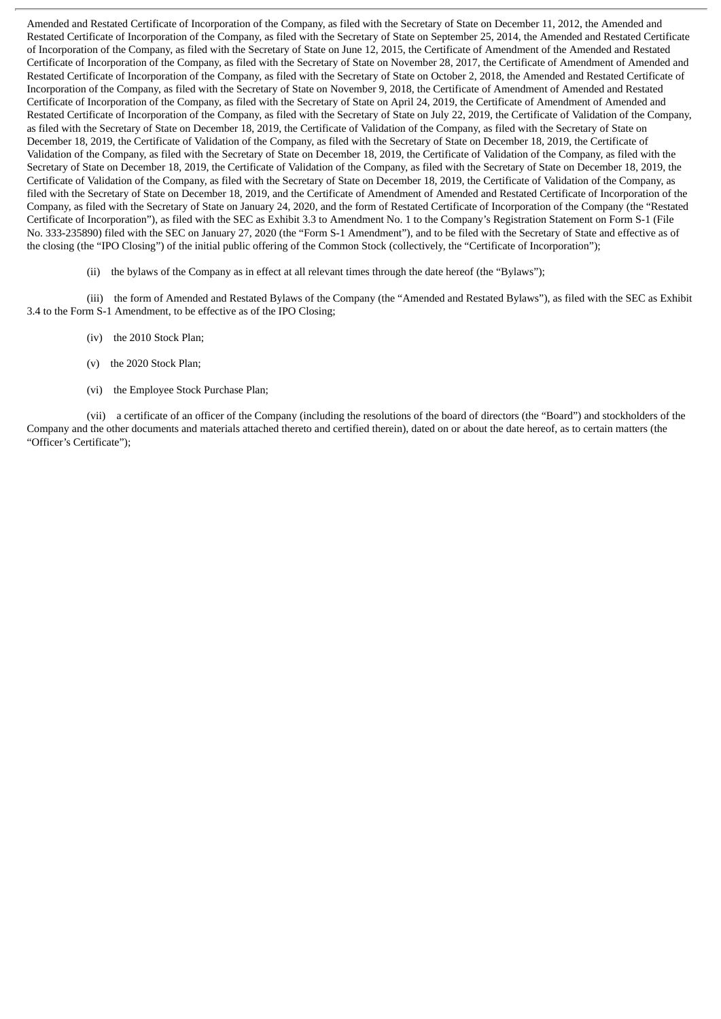Amended and Restated Certificate of Incorporation of the Company, as filed with the Secretary of State on December 11, 2012, the Amended and Restated Certificate of Incorporation of the Company, as filed with the Secretary of State on September 25, 2014, the Amended and Restated Certificate of Incorporation of the Company, as filed with the Secretary of State on June 12, 2015, the Certificate of Amendment of the Amended and Restated Certificate of Incorporation of the Company, as filed with the Secretary of State on November 28, 2017, the Certificate of Amendment of Amended and Restated Certificate of Incorporation of the Company, as filed with the Secretary of State on October 2, 2018, the Amended and Restated Certificate of Incorporation of the Company, as filed with the Secretary of State on November 9, 2018, the Certificate of Amendment of Amended and Restated Certificate of Incorporation of the Company, as filed with the Secretary of State on April 24, 2019, the Certificate of Amendment of Amended and Restated Certificate of Incorporation of the Company, as filed with the Secretary of State on July 22, 2019, the Certificate of Validation of the Company, as filed with the Secretary of State on December 18, 2019, the Certificate of Validation of the Company, as filed with the Secretary of State on December 18, 2019, the Certificate of Validation of the Company, as filed with the Secretary of State on December 18, 2019, the Certificate of Validation of the Company, as filed with the Secretary of State on December 18, 2019, the Certificate of Validation of the Company, as filed with the Secretary of State on December 18, 2019, the Certificate of Validation of the Company, as filed with the Secretary of State on December 18, 2019, the Certificate of Validation of the Company, as filed with the Secretary of State on December 18, 2019, the Certificate of Validation of the Company, as filed with the Secretary of State on December 18, 2019, and the Certificate of Amendment of Amended and Restated Certificate of Incorporation of the Company, as filed with the Secretary of State on January 24, 2020, and the form of Restated Certificate of Incorporation of the Company (the "Restated Certificate of Incorporation"), as filed with the SEC as Exhibit 3.3 to Amendment No. 1 to the Company's Registration Statement on Form S-1 (File No. 333-235890) filed with the SEC on January 27, 2020 (the "Form S-1 Amendment"), and to be filed with the Secretary of State and effective as of the closing (the "IPO Closing") of the initial public offering of the Common Stock (collectively, the "Certificate of Incorporation");

(ii) the bylaws of the Company as in effect at all relevant times through the date hereof (the "Bylaws");

(iii) the form of Amended and Restated Bylaws of the Company (the "Amended and Restated Bylaws"), as filed with the SEC as Exhibit 3.4 to the Form S-1 Amendment, to be effective as of the IPO Closing;

- (iv) the 2010 Stock Plan;
- (v) the 2020 Stock Plan;
- (vi) the Employee Stock Purchase Plan;

(vii) a certificate of an officer of the Company (including the resolutions of the board of directors (the "Board") and stockholders of the Company and the other documents and materials attached thereto and certified therein), dated on or about the date hereof, as to certain matters (the "Officer's Certificate");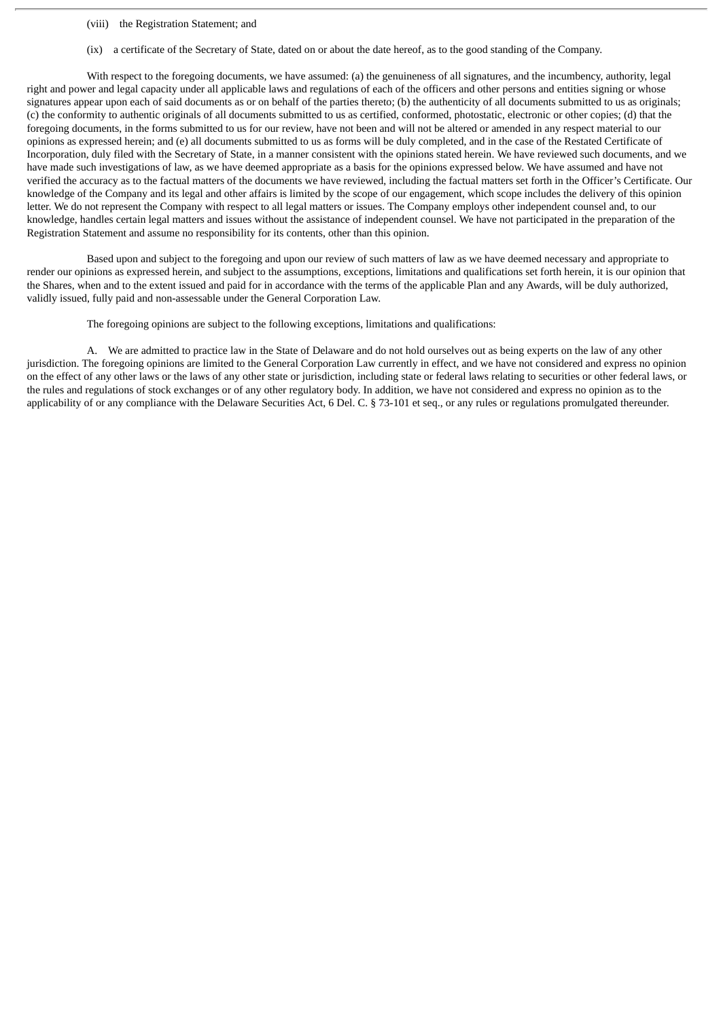- (viii) the Registration Statement; and
- (ix) a certificate of the Secretary of State, dated on or about the date hereof, as to the good standing of the Company.

With respect to the foregoing documents, we have assumed: (a) the genuineness of all signatures, and the incumbency, authority, legal right and power and legal capacity under all applicable laws and regulations of each of the officers and other persons and entities signing or whose signatures appear upon each of said documents as or on behalf of the parties thereto; (b) the authenticity of all documents submitted to us as originals; (c) the conformity to authentic originals of all documents submitted to us as certified, conformed, photostatic, electronic or other copies; (d) that the foregoing documents, in the forms submitted to us for our review, have not been and will not be altered or amended in any respect material to our opinions as expressed herein; and (e) all documents submitted to us as forms will be duly completed, and in the case of the Restated Certificate of Incorporation, duly filed with the Secretary of State, in a manner consistent with the opinions stated herein. We have reviewed such documents, and we have made such investigations of law, as we have deemed appropriate as a basis for the opinions expressed below. We have assumed and have not verified the accuracy as to the factual matters of the documents we have reviewed, including the factual matters set forth in the Officer's Certificate. Our knowledge of the Company and its legal and other affairs is limited by the scope of our engagement, which scope includes the delivery of this opinion letter. We do not represent the Company with respect to all legal matters or issues. The Company employs other independent counsel and, to our knowledge, handles certain legal matters and issues without the assistance of independent counsel. We have not participated in the preparation of the Registration Statement and assume no responsibility for its contents, other than this opinion.

Based upon and subject to the foregoing and upon our review of such matters of law as we have deemed necessary and appropriate to render our opinions as expressed herein, and subject to the assumptions, exceptions, limitations and qualifications set forth herein, it is our opinion that the Shares, when and to the extent issued and paid for in accordance with the terms of the applicable Plan and any Awards, will be duly authorized, validly issued, fully paid and non-assessable under the General Corporation Law.

The foregoing opinions are subject to the following exceptions, limitations and qualifications:

A. We are admitted to practice law in the State of Delaware and do not hold ourselves out as being experts on the law of any other jurisdiction. The foregoing opinions are limited to the General Corporation Law currently in effect, and we have not considered and express no opinion on the effect of any other laws or the laws of any other state or jurisdiction, including state or federal laws relating to securities or other federal laws, or the rules and regulations of stock exchanges or of any other regulatory body. In addition, we have not considered and express no opinion as to the applicability of or any compliance with the Delaware Securities Act, 6 Del. C. § 73-101 et seq., or any rules or regulations promulgated thereunder.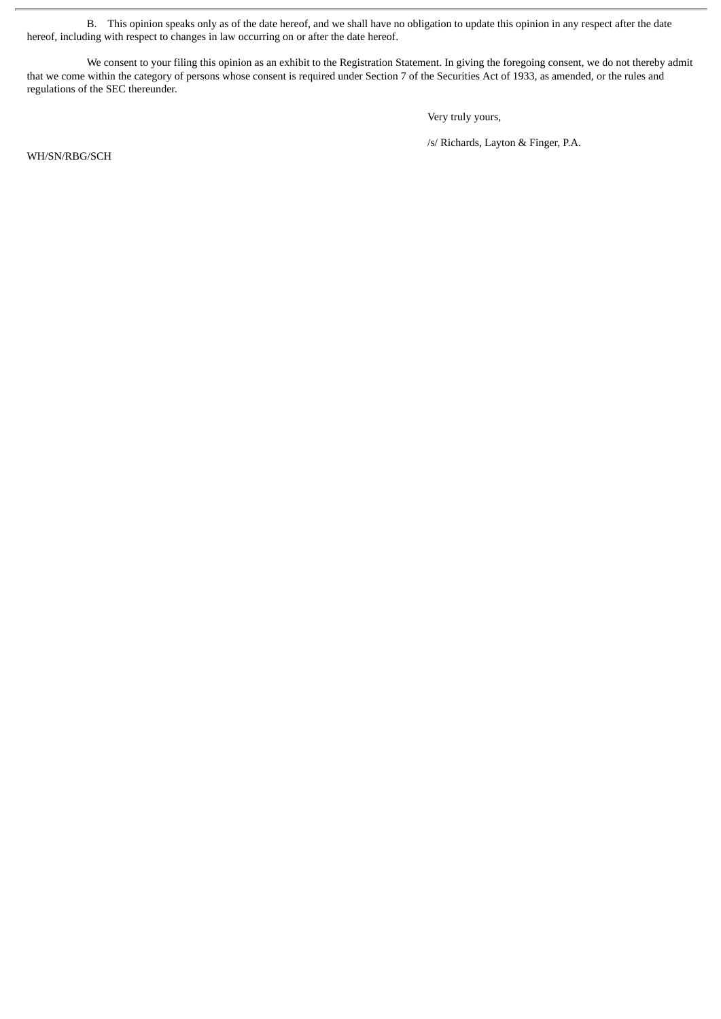B. This opinion speaks only as of the date hereof, and we shall have no obligation to update this opinion in any respect after the date hereof, including with respect to changes in law occurring on or after the date hereof.

We consent to your filing this opinion as an exhibit to the Registration Statement. In giving the foregoing consent, we do not thereby admit that we come within the category of persons whose consent is required under Section 7 of the Securities Act of 1933, as amended, or the rules and regulations of the SEC thereunder.

Very truly yours,

/s/ Richards, Layton & Finger, P.A.

WH/SN/RBG/SCH